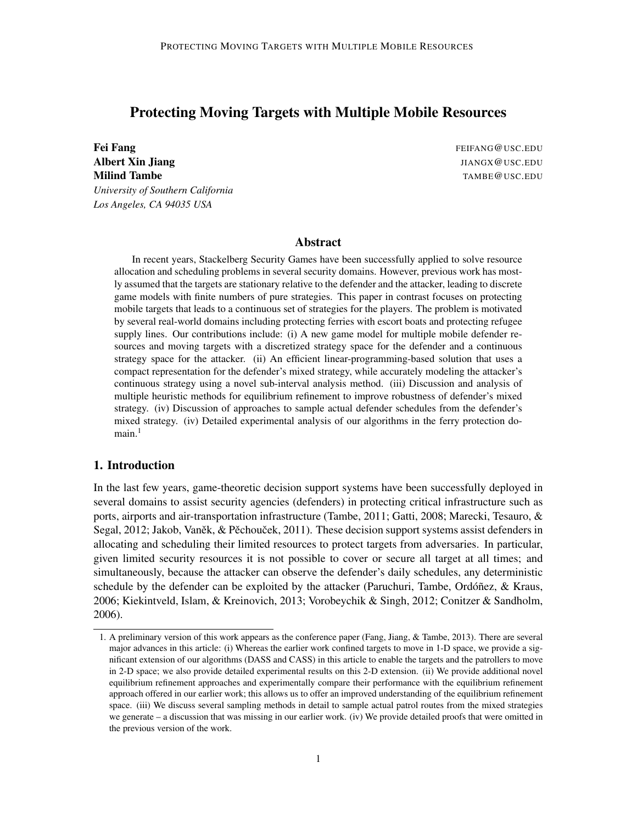# Protecting Moving Targets with Multiple Mobile Resources

**Fei Fang** Fang Fang Feir Anna Feir Ann an Eilean Feir Anna Feir Anna Feir Anna Feir Ann an Eilean Feir Anna Feir Anna Feir Anna Feir Anna Feir Anna Feir Anna Feir Anna Feir Anna Feir Anna Feir Anna Feir Anna Feir Anna Fei Albert Xin Jiang JIANGX @USC.EDU **Milind Tambe** TAMBE@USC.EDU *University of Southern California Los Angeles, CA 94035 USA*

### Abstract

In recent years, Stackelberg Security Games have been successfully applied to solve resource allocation and scheduling problems in several security domains. However, previous work has mostly assumed that the targets are stationary relative to the defender and the attacker, leading to discrete game models with finite numbers of pure strategies. This paper in contrast focuses on protecting mobile targets that leads to a continuous set of strategies for the players. The problem is motivated by several real-world domains including protecting ferries with escort boats and protecting refugee supply lines. Our contributions include: (i) A new game model for multiple mobile defender resources and moving targets with a discretized strategy space for the defender and a continuous strategy space for the attacker. (ii) An efficient linear-programming-based solution that uses a compact representation for the defender's mixed strategy, while accurately modeling the attacker's continuous strategy using a novel sub-interval analysis method. (iii) Discussion and analysis of multiple heuristic methods for equilibrium refinement to improve robustness of defender's mixed strategy. (iv) Discussion of approaches to sample actual defender schedules from the defender's mixed strategy. (iv) Detailed experimental analysis of our algorithms in the ferry protection do $main.<sup>1</sup>$ 

# 1. Introduction

In the last few years, game-theoretic decision support systems have been successfully deployed in several domains to assist security agencies (defenders) in protecting critical infrastructure such as ports, airports and air-transportation infrastructure (Tambe, 2011; Gatti, 2008; Marecki, Tesauro, & Segal,  $2012$ ; Jakob, Vaněk,  $&$  Pěchouček,  $2011$ ). These decision support systems assist defenders in allocating and scheduling their limited resources to protect targets from adversaries. In particular, given limited security resources it is not possible to cover or secure all target at all times; and simultaneously, because the attacker can observe the defender's daily schedules, any deterministic schedule by the defender can be exploited by the attacker (Paruchuri, Tambe, Ordóñez,  $\&$  Kraus, 2006; Kiekintveld, Islam, & Kreinovich, 2013; Vorobeychik & Singh, 2012; Conitzer & Sandholm, 2006).

<sup>1.</sup> A preliminary version of this work appears as the conference paper (Fang, Jiang, & Tambe, 2013). There are several major advances in this article: (i) Whereas the earlier work confined targets to move in 1-D space, we provide a significant extension of our algorithms (DASS and CASS) in this article to enable the targets and the patrollers to move in 2-D space; we also provide detailed experimental results on this 2-D extension. (ii) We provide additional novel equilibrium refinement approaches and experimentally compare their performance with the equilibrium refinement approach offered in our earlier work; this allows us to offer an improved understanding of the equilibrium refinement space. (iii) We discuss several sampling methods in detail to sample actual patrol routes from the mixed strategies we generate – a discussion that was missing in our earlier work. (iv) We provide detailed proofs that were omitted in the previous version of the work.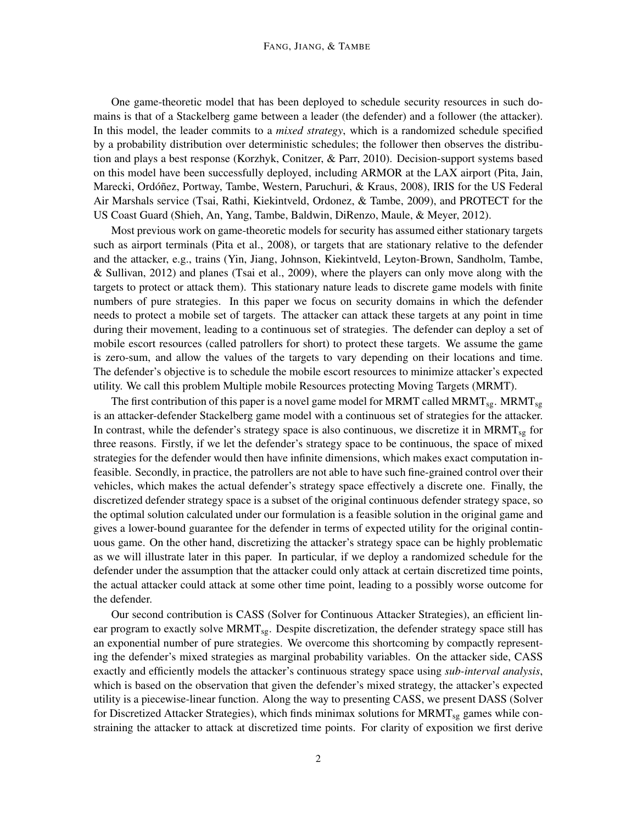One game-theoretic model that has been deployed to schedule security resources in such domains is that of a Stackelberg game between a leader (the defender) and a follower (the attacker). In this model, the leader commits to a *mixed strategy*, which is a randomized schedule specified by a probability distribution over deterministic schedules; the follower then observes the distribution and plays a best response (Korzhyk, Conitzer, & Parr, 2010). Decision-support systems based on this model have been successfully deployed, including ARMOR at the LAX airport (Pita, Jain, Marecki, Ordóñez, Portway, Tambe, Western, Paruchuri, & Kraus, 2008), IRIS for the US Federal Air Marshals service (Tsai, Rathi, Kiekintveld, Ordonez, & Tambe, 2009), and PROTECT for the US Coast Guard (Shieh, An, Yang, Tambe, Baldwin, DiRenzo, Maule, & Meyer, 2012).

Most previous work on game-theoretic models for security has assumed either stationary targets such as airport terminals (Pita et al., 2008), or targets that are stationary relative to the defender and the attacker, e.g., trains (Yin, Jiang, Johnson, Kiekintveld, Leyton-Brown, Sandholm, Tambe, & Sullivan, 2012) and planes (Tsai et al., 2009), where the players can only move along with the targets to protect or attack them). This stationary nature leads to discrete game models with finite numbers of pure strategies. In this paper we focus on security domains in which the defender needs to protect a mobile set of targets. The attacker can attack these targets at any point in time during their movement, leading to a continuous set of strategies. The defender can deploy a set of mobile escort resources (called patrollers for short) to protect these targets. We assume the game is zero-sum, and allow the values of the targets to vary depending on their locations and time. The defender's objective is to schedule the mobile escort resources to minimize attacker's expected utility. We call this problem Multiple mobile Resources protecting Moving Targets (MRMT).

The first contribution of this paper is a novel game model for MRMT called MRMT<sub>sg</sub>. MRMT<sub>sg</sub> is an attacker-defender Stackelberg game model with a continuous set of strategies for the attacker. In contrast, while the defender's strategy space is also continuous, we discretize it in  $MRMT_{sg}$  for three reasons. Firstly, if we let the defender's strategy space to be continuous, the space of mixed strategies for the defender would then have infinite dimensions, which makes exact computation infeasible. Secondly, in practice, the patrollers are not able to have such fine-grained control over their vehicles, which makes the actual defender's strategy space effectively a discrete one. Finally, the discretized defender strategy space is a subset of the original continuous defender strategy space, so the optimal solution calculated under our formulation is a feasible solution in the original game and gives a lower-bound guarantee for the defender in terms of expected utility for the original continuous game. On the other hand, discretizing the attacker's strategy space can be highly problematic as we will illustrate later in this paper. In particular, if we deploy a randomized schedule for the defender under the assumption that the attacker could only attack at certain discretized time points, the actual attacker could attack at some other time point, leading to a possibly worse outcome for the defender.

Our second contribution is CASS (Solver for Continuous Attacker Strategies), an efficient linear program to exactly solve  $MRMT_{sg}$ . Despite discretization, the defender strategy space still has an exponential number of pure strategies. We overcome this shortcoming by compactly representing the defender's mixed strategies as marginal probability variables. On the attacker side, CASS exactly and efficiently models the attacker's continuous strategy space using *sub-interval analysis*, which is based on the observation that given the defender's mixed strategy, the attacker's expected utility is a piecewise-linear function. Along the way to presenting CASS, we present DASS (Solver for Discretized Attacker Strategies), which finds minimax solutions for  $MRMT_{sg}$  games while constraining the attacker to attack at discretized time points. For clarity of exposition we first derive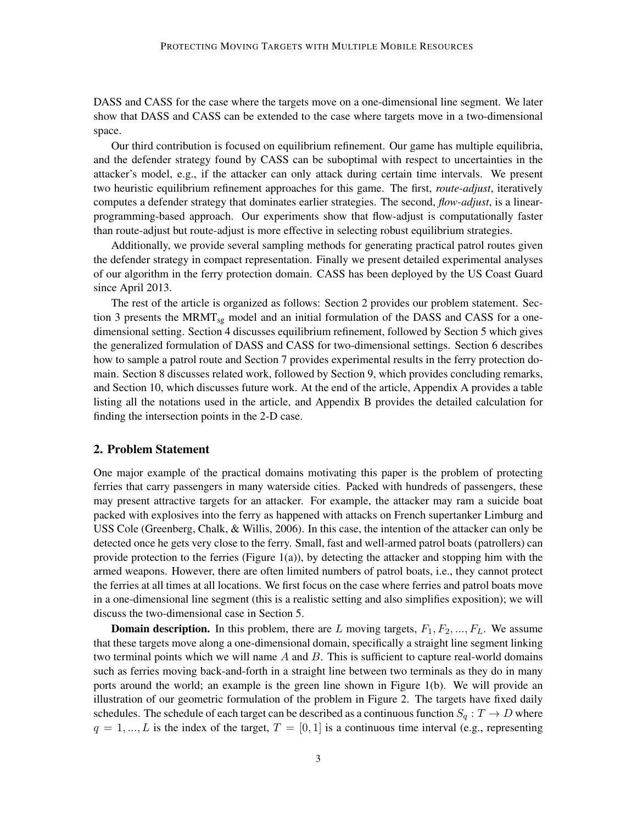DASS and CASS for the case where the targets move on a one-dimensional line segment. We later show that DASS and CASS can be extended to the case where targets move in a two-dimensional space.

Our third contribution is focused on equilibrium refinement. Our game has multiple equilibria, and the defender strategy found by CASS can be suboptimal with respect to uncertainties in the attacker's model, e.g., if the attacker can only attack during certain time intervals. We present two heuristic equilibrium refinement approaches for this game. The first, *route-adjust*, iteratively computes a defender strategy that dominates earlier strategies. The second, *flow-adjust*, is a linearprogramming-based approach. Our experiments show that flow-adjust is computationally faster than route-adjust but route-adjust is more effective in selecting robust equilibrium strategies.

Additionally, we provide several sampling methods for generating practical patrol routes given the defender strategy in compact representation. Finally we present detailed experimental analyses of our algorithm in the ferry protection domain. CASS has been deployed by the US Coast Guard since April 2013.

The rest of the article is organized as follows: Section 2 provides our problem statement. Section 3 presents the MRMT<sub>sg</sub> model and an initial formulation of the DASS and CASS for a onedimensional setting. Section 4 discusses equilibrium refinement, followed by Section 5 which gives the generalized formulation of DASS and CASS for two-dimensional settings. Section 6 describes how to sample a patrol route and Section 7 provides experimental results in the ferry protection domain. Section 8 discusses related work, followed by Section 9, which provides concluding remarks, and Section 10, which discusses future work. At the end of the article, Appendix A provides a table listing all the notations used in the article, and Appendix B provides the detailed calculation for finding the intersection points in the 2-D case.

# 2. Problem Statement

One major example of the practical domains motivating this paper is the problem of protecting ferries that carry passengers in many waterside cities. Packed with hundreds of passengers, these may present attractive targets for an attacker. For example, the attacker may ram a suicide boat packed with explosives into the ferry as happened with attacks on French supertanker Limburg and USS Cole (Greenberg, Chalk, & Willis, 2006). In this case, the intention of the attacker can only be detected once he gets very close to the ferry. Small, fast and well-armed patrol boats (patrollers) can provide protection to the ferries (Figure 1(a)), by detecting the attacker and stopping him with the armed weapons. However, there are often limited numbers of patrol boats, i.e., they cannot protect the ferries at all times at all locations. We first focus on the case where ferries and patrol boats move in a one-dimensional line segment (this is a realistic setting and also simplifies exposition); we will discuss the two-dimensional case in Section 5.

**Domain description.** In this problem, there are L moving targets,  $F_1, F_2, ..., F_L$ . We assume that these targets move along a one-dimensional domain, specifically a straight line segment linking two terminal points which we will name  $A$  and  $B$ . This is sufficient to capture real-world domains such as ferries moving back-and-forth in a straight line between two terminals as they do in many ports around the world; an example is the green line shown in Figure 1(b). We will provide an illustration of our geometric formulation of the problem in Figure 2. The targets have fixed daily schedules. The schedule of each target can be described as a continuous function  $S_q: T \to D$  where  $q = 1, ..., L$  is the index of the target,  $T = [0, 1]$  is a continuous time interval (e.g., representing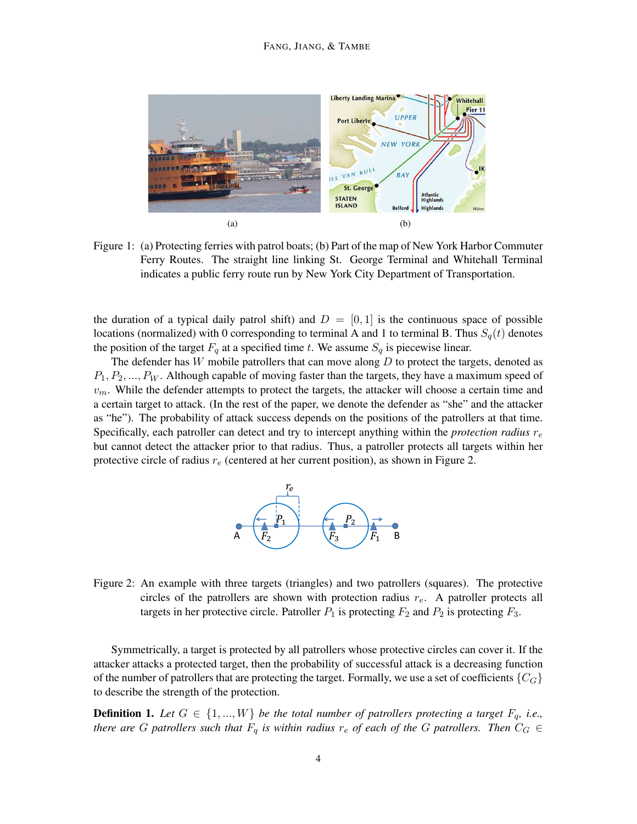

Figure 1: (a) Protecting ferries with patrol boats; (b) Part of the map of New York Harbor Commuter Ferry Routes. The straight line linking St. George Terminal and Whitehall Terminal indicates a public ferry route run by New York City Department of Transportation.

the duration of a typical daily patrol shift) and  $D = [0, 1]$  is the continuous space of possible locations (normalized) with 0 corresponding to terminal A and 1 to terminal B. Thus  $S_q(t)$  denotes the position of the target  $F_q$  at a specified time t. We assume  $S_q$  is piecewise linear.

The defender has  $W$  mobile patrollers that can move along  $D$  to protect the targets, denoted as  $P_1, P_2, \ldots, P_W$ . Although capable of moving faster than the targets, they have a maximum speed of  $v_m$ . While the defender attempts to protect the targets, the attacker will choose a certain time and a certain target to attack. (In the rest of the paper, we denote the defender as "she" and the attacker as "he"). The probability of attack success depends on the positions of the patrollers at that time. Specifically, each patroller can detect and try to intercept anything within the *protection radius*  $r_e$ but cannot detect the attacker prior to that radius. Thus, a patroller protects all targets within her protective circle of radius  $r_e$  (centered at her current position), as shown in Figure 2.



Figure 2: An example with three targets (triangles) and two patrollers (squares). The protective circles of the patrollers are shown with protection radius  $r<sub>e</sub>$ . A patroller protects all targets in her protective circle. Patroller  $P_1$  is protecting  $F_2$  and  $P_2$  is protecting  $F_3$ .

Symmetrically, a target is protected by all patrollers whose protective circles can cover it. If the attacker attacks a protected target, then the probability of successful attack is a decreasing function of the number of patrollers that are protecting the target. Formally, we use a set of coefficients  ${C_G}$ to describe the strength of the protection.

**Definition 1.** Let  $G \in \{1, ..., W\}$  be the total number of patrollers protecting a target  $F_q$ , i.e., *there are* G patrollers such that  $F_q$  is within radius  $r_e$  of each of the G patrollers. Then  $C_G \in$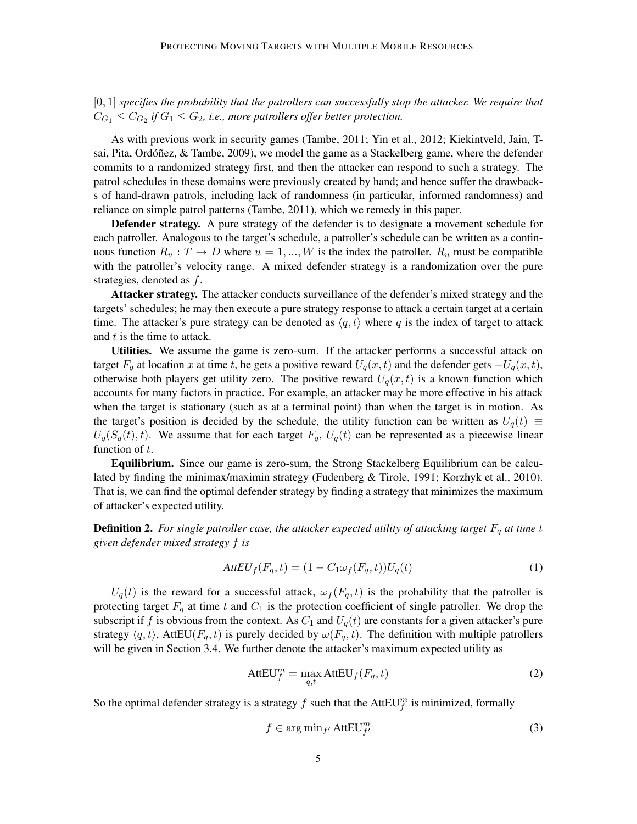[0, 1] *specifies the probability that the patrollers can successfully stop the attacker. We require that*  $C_{G_1} \leq C_{G_2}$  if  $G_1 \leq G_2$ , i.e., more patrollers offer better protection.

As with previous work in security games (Tambe, 2011; Yin et al., 2012; Kiekintveld, Jain, Tsai, Pita, Ordóñez, & Tambe, 2009), we model the game as a Stackelberg game, where the defender commits to a randomized strategy first, and then the attacker can respond to such a strategy. The patrol schedules in these domains were previously created by hand; and hence suffer the drawbacks of hand-drawn patrols, including lack of randomness (in particular, informed randomness) and reliance on simple patrol patterns (Tambe, 2011), which we remedy in this paper.

Defender strategy. A pure strategy of the defender is to designate a movement schedule for each patroller. Analogous to the target's schedule, a patroller's schedule can be written as a continuous function  $R_u : T \to D$  where  $u = 1, ..., W$  is the index the patroller.  $R_u$  must be compatible with the patroller's velocity range. A mixed defender strategy is a randomization over the pure strategies, denoted as f.

Attacker strategy. The attacker conducts surveillance of the defender's mixed strategy and the targets' schedules; he may then execute a pure strategy response to attack a certain target at a certain time. The attacker's pure strategy can be denoted as  $\langle q, t \rangle$  where q is the index of target to attack and  $t$  is the time to attack.

Utilities. We assume the game is zero-sum. If the attacker performs a successful attack on target  $F_q$  at location x at time t, he gets a positive reward  $U_q(x, t)$  and the defender gets  $-U_q(x, t)$ , otherwise both players get utility zero. The positive reward  $U_q(x, t)$  is a known function which accounts for many factors in practice. For example, an attacker may be more effective in his attack when the target is stationary (such as at a terminal point) than when the target is in motion. As the target's position is decided by the schedule, the utility function can be written as  $U_q(t) \equiv$  $U_q(S_q(t), t)$ . We assume that for each target  $F_q$ ,  $U_q(t)$  can be represented as a piecewise linear function of  $t$ .

Equilibrium. Since our game is zero-sum, the Strong Stackelberg Equilibrium can be calculated by finding the minimax/maximin strategy (Fudenberg & Tirole, 1991; Korzhyk et al., 2010). That is, we can find the optimal defender strategy by finding a strategy that minimizes the maximum of attacker's expected utility.

**Definition 2.** For single patroller case, the attacker expected utility of attacking target  $F_q$  at time  $t$ *given defender mixed strategy* f *is*

$$
AttEU_f(F_q, t) = (1 - C_1 \omega_f(F_q, t))U_q(t)
$$
\n<sup>(1)</sup>

 $U_q(t)$  is the reward for a successful attack,  $\omega_f(F_q, t)$  is the probability that the patroller is protecting target  $F_q$  at time t and  $C_1$  is the protection coefficient of single patroller. We drop the subscript if f is obvious from the context. As  $C_1$  and  $U_q(t)$  are constants for a given attacker's pure strategy  $\langle q, t \rangle$ , AttEU( $F_q, t$ ) is purely decided by  $\omega(F_q, t)$ . The definition with multiple patrollers will be given in Section 3.4. We further denote the attacker's maximum expected utility as

$$
AttEU_f^m = \max_{q,t} AttEU_f(F_q, t)
$$
 (2)

So the optimal defender strategy is a strategy  $f$  such that the AttEU $^m_f$  is minimized, formally

$$
f \in \arg\min_{f'} \text{AttEU}_{f'}^m \tag{3}
$$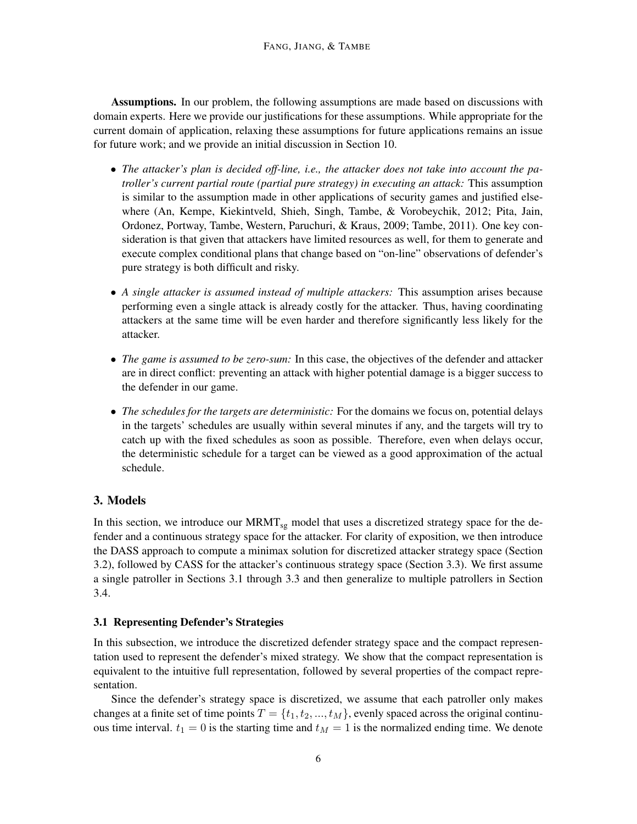Assumptions. In our problem, the following assumptions are made based on discussions with domain experts. Here we provide our justifications for these assumptions. While appropriate for the current domain of application, relaxing these assumptions for future applications remains an issue for future work; and we provide an initial discussion in Section 10.

- *The attacker's plan is decided off-line, i.e., the attacker does not take into account the patroller's current partial route (partial pure strategy) in executing an attack:* This assumption is similar to the assumption made in other applications of security games and justified elsewhere (An, Kempe, Kiekintveld, Shieh, Singh, Tambe, & Vorobeychik, 2012; Pita, Jain, Ordonez, Portway, Tambe, Western, Paruchuri, & Kraus, 2009; Tambe, 2011). One key consideration is that given that attackers have limited resources as well, for them to generate and execute complex conditional plans that change based on "on-line" observations of defender's pure strategy is both difficult and risky.
- *A single attacker is assumed instead of multiple attackers:* This assumption arises because performing even a single attack is already costly for the attacker. Thus, having coordinating attackers at the same time will be even harder and therefore significantly less likely for the attacker.
- *The game is assumed to be zero-sum:* In this case, the objectives of the defender and attacker are in direct conflict: preventing an attack with higher potential damage is a bigger success to the defender in our game.
- *The schedules for the targets are deterministic:* For the domains we focus on, potential delays in the targets' schedules are usually within several minutes if any, and the targets will try to catch up with the fixed schedules as soon as possible. Therefore, even when delays occur, the deterministic schedule for a target can be viewed as a good approximation of the actual schedule.

# 3. Models

In this section, we introduce our MRMT<sub>sg</sub> model that uses a discretized strategy space for the defender and a continuous strategy space for the attacker. For clarity of exposition, we then introduce the DASS approach to compute a minimax solution for discretized attacker strategy space (Section 3.2), followed by CASS for the attacker's continuous strategy space (Section 3.3). We first assume a single patroller in Sections 3.1 through 3.3 and then generalize to multiple patrollers in Section 3.4.

#### 3.1 Representing Defender's Strategies

In this subsection, we introduce the discretized defender strategy space and the compact representation used to represent the defender's mixed strategy. We show that the compact representation is equivalent to the intuitive full representation, followed by several properties of the compact representation.

Since the defender's strategy space is discretized, we assume that each patroller only makes changes at a finite set of time points  $T = \{t_1, t_2, ..., t_M\}$ , evenly spaced across the original continuous time interval.  $t_1 = 0$  is the starting time and  $t_M = 1$  is the normalized ending time. We denote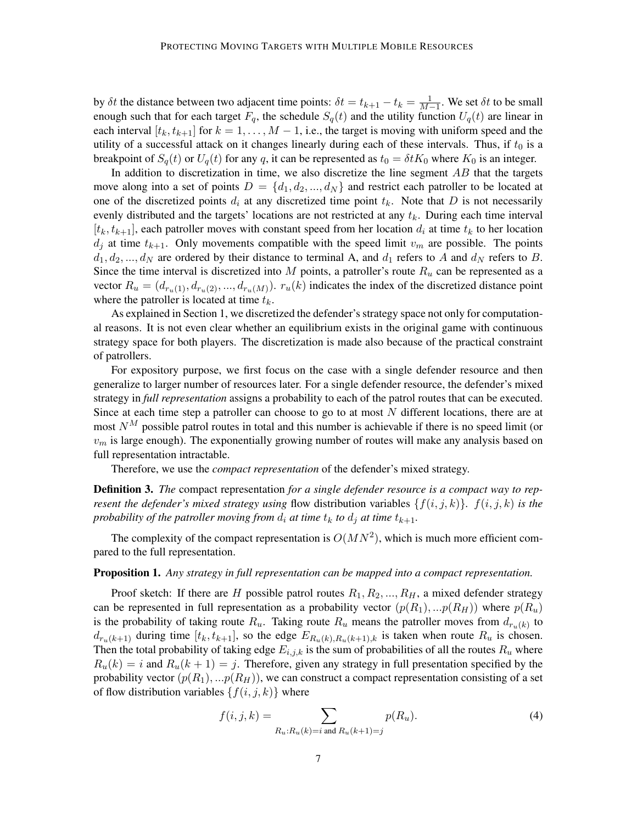by  $\delta t$  the distance between two adjacent time points:  $\delta t = t_{k+1} - t_k = \frac{1}{M-1}$ . We set  $\delta t$  to be small enough such that for each target  $F_q$ , the schedule  $S_q(t)$  and the utility function  $U_q(t)$  are linear in each interval  $[t_k, t_{k+1}]$  for  $k = 1, ..., M - 1$ , i.e., the target is moving with uniform speed and the utility of a successful attack on it changes linearly during each of these intervals. Thus, if  $t_0$  is a breakpoint of  $S_q(t)$  or  $U_q(t)$  for any q, it can be represented as  $t_0 = \delta t K_0$  where  $K_0$  is an integer.

In addition to discretization in time, we also discretize the line segment  $AB$  that the targets move along into a set of points  $D = \{d_1, d_2, ..., d_N\}$  and restrict each patroller to be located at one of the discretized points  $d_i$  at any discretized time point  $t_k$ . Note that D is not necessarily evenly distributed and the targets' locations are not restricted at any  $t_k$ . During each time interval  $[t_k, t_{k+1}]$ , each patroller moves with constant speed from her location  $d_i$  at time  $t_k$  to her location  $d_j$  at time  $t_{k+1}$ . Only movements compatible with the speed limit  $v_m$  are possible. The points  $d_1, d_2, ..., d_N$  are ordered by their distance to terminal A, and  $d_1$  refers to A and  $d_N$  refers to B. Since the time interval is discretized into M points, a patroller's route  $R_u$  can be represented as a vector  $R_u = (d_{r_u(1)}, d_{r_u(2)}, ..., d_{r_u(M)})$ .  $r_u(k)$  indicates the index of the discretized distance point where the patroller is located at time  $t_k$ .

As explained in Section 1, we discretized the defender's strategy space not only for computational reasons. It is not even clear whether an equilibrium exists in the original game with continuous strategy space for both players. The discretization is made also because of the practical constraint of patrollers.

For expository purpose, we first focus on the case with a single defender resource and then generalize to larger number of resources later. For a single defender resource, the defender's mixed strategy in *full representation* assigns a probability to each of the patrol routes that can be executed. Since at each time step a patroller can choose to go to at most  $N$  different locations, there are at most  $N^M$  possible patrol routes in total and this number is achievable if there is no speed limit (or  $v<sub>m</sub>$  is large enough). The exponentially growing number of routes will make any analysis based on full representation intractable.

Therefore, we use the *compact representation* of the defender's mixed strategy.

Definition 3. *The* compact representation *for a single defender resource is a compact way to represent the defender's mixed strategy using* flow distribution variables  $\{f(i, j, k)\}\$ *.*  $f(i, j, k)$  *is the probability of the patroller moving from*  $d_i$  *at time*  $t_k$  *to*  $d_j$  *at time*  $t_{k+1}$ *.* 

The complexity of the compact representation is  $O(MN^2)$ , which is much more efficient compared to the full representation.

#### Proposition 1. *Any strategy in full representation can be mapped into a compact representation.*

Proof sketch: If there are H possible patrol routes  $R_1, R_2, ..., R_H$ , a mixed defender strategy can be represented in full representation as a probability vector  $(p(R_1), ... p(R_H))$  where  $p(R_u)$ is the probability of taking route  $R_u$ . Taking route  $R_u$  means the patroller moves from  $d_{r_u(k)}$  to  $d_{r_u(k+1)}$  during time  $[t_k, t_{k+1}]$ , so the edge  $E_{R_u(k),R_u(k+1),k}$  is taken when route  $R_u$  is chosen. Then the total probability of taking edge  $E_{i,j,k}$  is the sum of probabilities of all the routes  $R_u$  where  $R_u(k) = i$  and  $R_u(k + 1) = j$ . Therefore, given any strategy in full presentation specified by the probability vector  $(p(R_1), ... p(R_H))$ , we can construct a compact representation consisting of a set of flow distribution variables  $\{f(i, j, k)\}\$  where

$$
f(i, j, k) = \sum_{R_u: R_u(k) = i \text{ and } R_u(k+1) = j} p(R_u).
$$
 (4)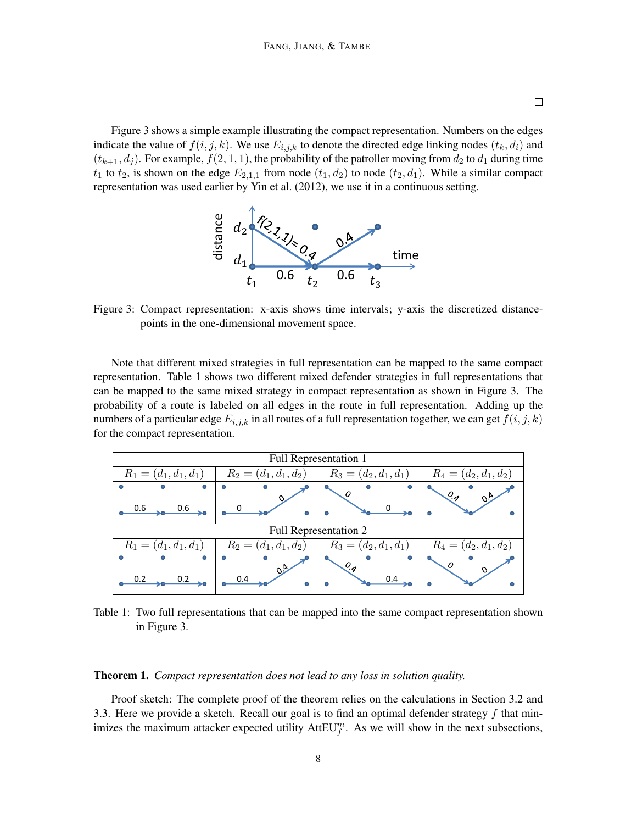Figure 3 shows a simple example illustrating the compact representation. Numbers on the edges indicate the value of  $f(i, j, k)$ . We use  $E_{i,j,k}$  to denote the directed edge linking nodes  $(t_k, d_i)$  and  $(t_{k+1}, d_j)$ . For example,  $f(2, 1, 1)$ , the probability of the patroller moving from  $d_2$  to  $d_1$  during time  $t_1$  to  $t_2$ , is shown on the edge  $E_{2,1,1}$  from node  $(t_1, d_2)$  to node  $(t_2, d_1)$ . While a similar compact representation was used earlier by Yin et al. (2012), we use it in a continuous setting.



Figure 3: Compact representation: x-axis shows time intervals; y-axis the discretized distancepoints in the one-dimensional movement space.

Note that different mixed strategies in full representation can be mapped to the same compact representation. Table 1 shows two different mixed defender strategies in full representations that can be mapped to the same mixed strategy in compact representation as shown in Figure 3. The probability of a route is labeled on all edges in the route in full representation. Adding up the numbers of a particular edge  $E_{i,j,k}$  in all routes of a full representation together, we can get  $f(i, j, k)$ for the compact representation.

| Full Representation 1   |                                                    |                         |                         |
|-------------------------|----------------------------------------------------|-------------------------|-------------------------|
| $R_1 = (d_1, d_1, d_1)$ | $R_3 = (d_2, d_1, d_1)$<br>$R_2 = (d_1, d_1, d_2)$ |                         | $R_4 = (d_2, d_1, d_2)$ |
| o                       |                                                    |                         | $O_{\mathcal{A}}$       |
| 0.6<br>0.6              |                                                    |                         |                         |
| Full Representation 2   |                                                    |                         |                         |
| $R_1 = (d_1, d_1, d_1)$ | $R_2 = (d_1, d_1, d_2)$                            | $R_3 = (d_2, d_1, d_1)$ | $R_4 = (d_2, d_1, d_2)$ |
| G<br>0.2                | 0.4                                                | $O_{q}$<br>0.4          |                         |

Table 1: Two full representations that can be mapped into the same compact representation shown in Figure 3.

#### Theorem 1. *Compact representation does not lead to any loss in solution quality.*

Proof sketch: The complete proof of the theorem relies on the calculations in Section 3.2 and 3.3. Here we provide a sketch. Recall our goal is to find an optimal defender strategy  $f$  that minimizes the maximum attacker expected utility  $AttEU_f^m$ . As we will show in the next subsections,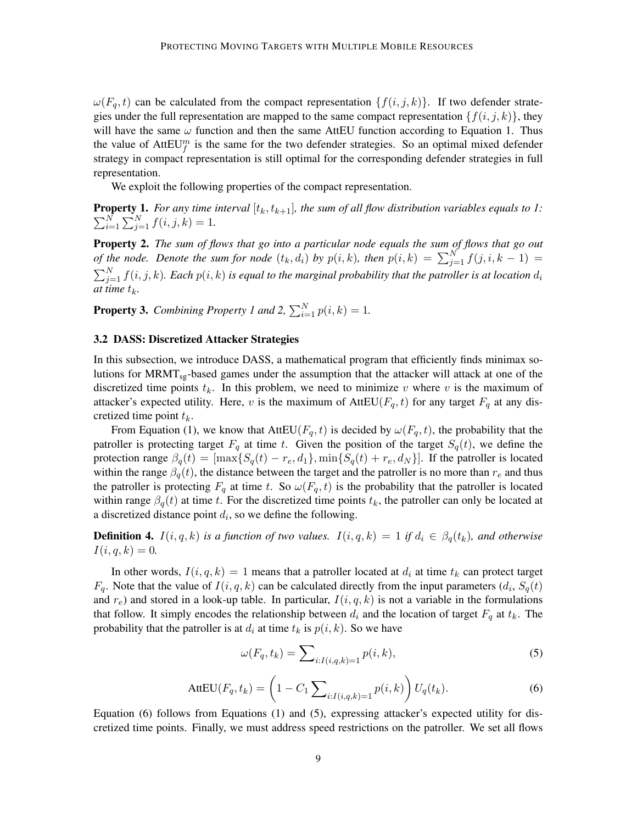$\omega(F_q, t)$  can be calculated from the compact representation  $\{f(i, j, k)\}\$ . If two defender strategies under the full representation are mapped to the same compact representation  $\{f(i, j, k)\}\$ , they will have the same  $\omega$  function and then the same AttEU function according to Equation 1. Thus the value of  $AttEU_f^m$  is the same for the two defender strategies. So an optimal mixed defender strategy in compact representation is still optimal for the corresponding defender strategies in full representation.

We exploit the following properties of the compact representation.

 $\sum_{i=1}^{N}$ **Property 1.** For any time interval  $[t_k, t_{k+1}]$ , the sum of all flow distribution variables equals to 1:  $_{i=1}^{N} \sum_{j=1}^{N} f(i, j, k) = 1.$ 

Property 2. *The sum of flows that go into a particular node equals the sum of flows that go out of the node. Denote the sum for node*  $(t_k, d_i)$  *by*  $p(i, k)$ *, then*  $p(i, k) = \sum_{j=1}^{N} f(j, i, k-1)$  =  $\sum_{j=1}^N f(i,j,k)$ *. Each*  $p(i,k)$  *is equal to the marginal probability that the patroller is at location*  $d_i$ *at time*  $t_k$ *.* 

**Property 3.** *Combining Property 1 and 2,*  $\sum_{i=1}^{N} p(i, k) = 1$ *.* 

#### 3.2 DASS: Discretized Attacker Strategies

In this subsection, we introduce DASS, a mathematical program that efficiently finds minimax solutions for MRMT<sub>sg</sub>-based games under the assumption that the attacker will attack at one of the discretized time points  $t_k$ . In this problem, we need to minimize v where v is the maximum of attacker's expected utility. Here, v is the maximum of AttEU( $F_q$ , t) for any target  $F_q$  at any discretized time point  $t_k$ .

From Equation (1), we know that  $AttU(F_q, t)$  is decided by  $\omega(F_q, t)$ , the probability that the patroller is protecting target  $F_q$  at time t. Given the position of the target  $S_q(t)$ , we define the protection range  $\beta_q(t) = [\max\{S_q(t) - r_e, d_1\}, \min\{S_q(t) + r_e, d_N\}]$ . If the patroller is located within the range  $\beta_q(t)$ , the distance between the target and the patroller is no more than  $r_e$  and thus the patroller is protecting  $F_q$  at time t. So  $\omega(F_q, t)$  is the probability that the patroller is located within range  $\beta_q(t)$  at time t. For the discretized time points  $t_k$ , the patroller can only be located at a discretized distance point  $d_i$ , so we define the following.

**Definition 4.**  $I(i, q, k)$  *is a function of two values.*  $I(i, q, k) = 1$  *if*  $d_i \in \beta_q(t_k)$ *, and otherwise*  $I(i, q, k) = 0.$ 

In other words,  $I(i, q, k) = 1$  means that a patroller located at  $d_i$  at time  $t_k$  can protect target  $F_q$ . Note that the value of  $I(i, q, k)$  can be calculated directly from the input parameters  $(d_i, S_q(t))$ and  $r_e$ ) and stored in a look-up table. In particular,  $I(i, q, k)$  is not a variable in the formulations that follow. It simply encodes the relationship between  $d_i$  and the location of target  $F_q$  at  $t_k$ . The probability that the patroller is at  $d_i$  at time  $t_k$  is  $p(i, k)$ . So we have

$$
\omega(F_q, t_k) = \sum_{i: I(i,q,k)=1} p(i,k),\tag{5}
$$

$$
AttEU(F_q, t_k) = \left(1 - C_1 \sum_{i: I(i,q,k)=1} p(i,k)\right) U_q(t_k).
$$
 (6)

Equation (6) follows from Equations (1) and (5), expressing attacker's expected utility for discretized time points. Finally, we must address speed restrictions on the patroller. We set all flows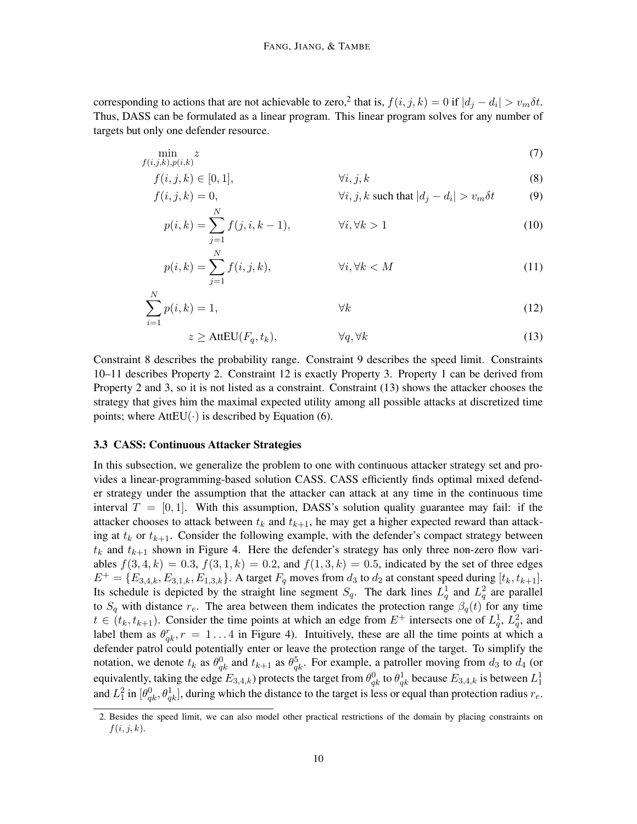corresponding to actions that are not achievable to zero,<sup>2</sup> that is,  $f(i, j, k) = 0$  if  $|d_j - d_i| > v_m \delta t$ . Thus, DASS can be formulated as a linear program. This linear program solves for any number of targets but only one defender resource.

$$
\min_{f(i,j,k),p(i,k)} z \tag{7}
$$

$$
f(i, j, k) \in [0, 1], \qquad \forall i, j, k
$$
\n
$$
f(i, j, k) = 0, \qquad \forall i, j, k \text{ such that } |d_j - d_i| > v_m \delta t
$$
\n(8)

$$
v(t, j, k) = 0,
$$
  
\n
$$
v(t, j, k \text{ such that } |a_j - a_i| > v_m \text{ on } (9)
$$
  
\n
$$
v(t, k) = \sum_{k=0}^{N} f(i, j, k - 1)
$$

$$
p(i,k) = \sum_{\substack{j=1 \ N}} f(j,i,k-1), \qquad \forall i, \forall k > 1
$$
\n(10)

$$
p(i,k) = \sum_{j=1}^{N} f(i,j,k), \qquad \forall i, \forall k < M
$$
 (11)

$$
\sum_{i=1}^{N} p(i,k) = 1,\tag{12}
$$

$$
z \geq \text{AttEU}(F_q, t_k), \qquad \forall q, \forall k \tag{13}
$$

Constraint 8 describes the probability range. Constraint 9 describes the speed limit. Constraints 10–11 describes Property 2. Constraint 12 is exactly Property 3. Property 1 can be derived from Property 2 and 3, so it is not listed as a constraint. Constraint (13) shows the attacker chooses the strategy that gives him the maximal expected utility among all possible attacks at discretized time points; where  $AttEU(\cdot)$  is described by Equation (6).

#### 3.3 CASS: Continuous Attacker Strategies

In this subsection, we generalize the problem to one with continuous attacker strategy set and provides a linear-programming-based solution CASS. CASS efficiently finds optimal mixed defender strategy under the assumption that the attacker can attack at any time in the continuous time interval  $T = [0, 1]$ . With this assumption, DASS's solution quality guarantee may fail: if the attacker chooses to attack between  $t_k$  and  $t_{k+1}$ , he may get a higher expected reward than attacking at  $t_k$  or  $t_{k+1}$ . Consider the following example, with the defender's compact strategy between  $t_k$  and  $t_{k+1}$  shown in Figure 4. Here the defender's strategy has only three non-zero flow variables  $f(3, 4, k) = 0.3$ ,  $f(3, 1, k) = 0.2$ , and  $f(1, 3, k) = 0.5$ , indicated by the set of three edges  $E^+ = \{E_{3,4,k}, E_{3,1,k}, E_{1,3,k}\}.$  A target  $F_q$  moves from  $d_3$  to  $d_2$  at constant speed during  $[t_k, t_{k+1}].$ Its schedule is depicted by the straight line segment  $S_q$ . The dark lines  $L_q^1$  and  $L_q^2$  are parallel to  $S_q$  with distance  $r_e$ . The area between them indicates the protection range  $\beta_q(t)$  for any time  $t \in (t_k, t_{k+1})$ . Consider the time points at which an edge from  $E^+$  intersects one of  $L_q^1$ ,  $L_q^2$ , and label them as  $\theta_{qk}^r$ ,  $r = 1...4$  in Figure 4). Intuitively, these are all the time points at which a defender patrol could potentially enter or leave the protection range of the target. To simplify the notation, we denote  $t_k$  as  $\theta_{qk}^0$  and  $t_{k+1}$  as  $\theta_{qk}^5$ . For example, a patroller moving from  $d_3$  to  $d_4$  (or equivalently, taking the edge  $E_{3,4,k}$ ) protects the target from  $\theta_{qk}^0$  to  $\theta_{qk}^1$  because  $E_{3,4,k}$  is between  $L_1^1$ and  $L_1^2$  in  $[\theta_{qk}^0, \theta_{qk}^1]$ , during which the distance to the target is less or equal than protection radius  $r_e$ .

<sup>2.</sup> Besides the speed limit, we can also model other practical restrictions of the domain by placing constraints on  $f(i, j, k)$ .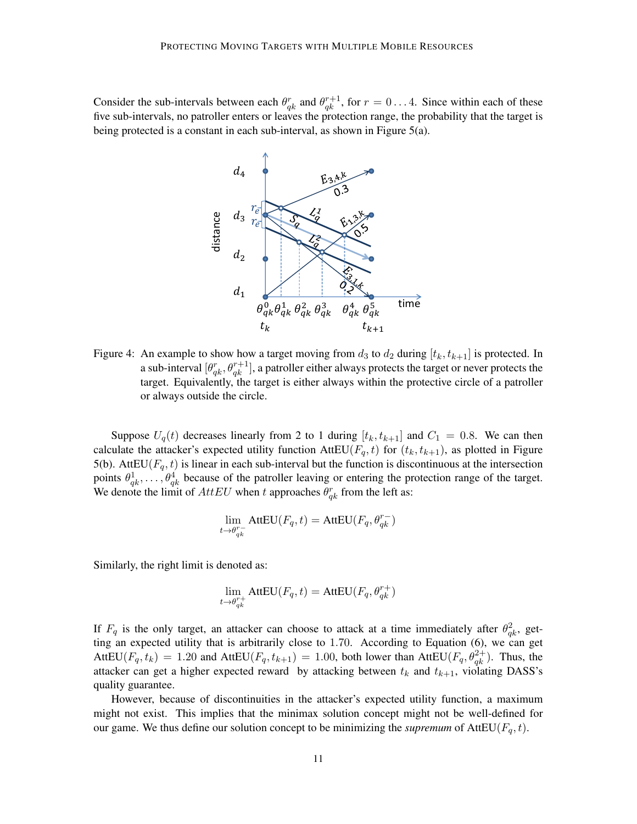Consider the sub-intervals between each  $\theta_{qk}^r$  and  $\theta_{qk}^{r+1}$ , for  $r = 0...4$ . Since within each of these five sub-intervals, no patroller enters or leaves the protection range, the probability that the target is being protected is a constant in each sub-interval, as shown in Figure 5(a).



Figure 4: An example to show how a target moving from  $d_3$  to  $d_2$  during  $[t_k, t_{k+1}]$  is protected. In a sub-interval  $[\theta_{qk}^r, \theta_{qk}^{r+1}]$ , a patroller either always protects the target or never protects the target. Equivalently, the target is either always within the protective circle of a patroller or always outside the circle.

Suppose  $U_q(t)$  decreases linearly from 2 to 1 during  $[t_k, t_{k+1}]$  and  $C_1 = 0.8$ . We can then calculate the attacker's expected utility function AttEU( $F_q$ , t) for ( $t_k$ ,  $t_{k+1}$ ), as plotted in Figure 5(b). AttEU( $F_q$ , t) is linear in each sub-interval but the function is discontinuous at the intersection points  $\theta_{qk}^1, \ldots, \theta_{qk}^4$  because of the patroller leaving or entering the protection range of the target. We denote the limit of  $AttEU$  when t approaches  $\theta_{qk}^r$  from the left as:

$$
\lim_{t\to \theta_{qk}^{r-}} \mathrm{AttEU}(F_q,t) = \mathrm{AttEU}(F_q,\theta_{qk}^{r-})
$$

Similarly, the right limit is denoted as:

$$
\lim_{t \to \theta_{qk}^{r+}} \text{AttEU}(F_q, t) = \text{AttEU}(F_q, \theta_{qk}^{r+})
$$

If  $F_q$  is the only target, an attacker can choose to attack at a time immediately after  $\theta_{qk}^2$ , getting an expected utility that is arbitrarily close to 1.70. According to Equation (6), we can get AttEU( $F_q$ ,  $t_k$ ) = 1.20 and AttEU( $F_q$ ,  $t_{k+1}$ ) = 1.00, both lower than AttEU( $F_q$ ,  $\theta_{qk}^{2+}$ ). Thus, the attacker can get a higher expected reward by attacking between  $t_k$  and  $t_{k+1}$ , violating DASS's quality guarantee.

However, because of discontinuities in the attacker's expected utility function, a maximum might not exist. This implies that the minimax solution concept might not be well-defined for our game. We thus define our solution concept to be minimizing the *supremum* of  $AttEU(F_q, t)$ .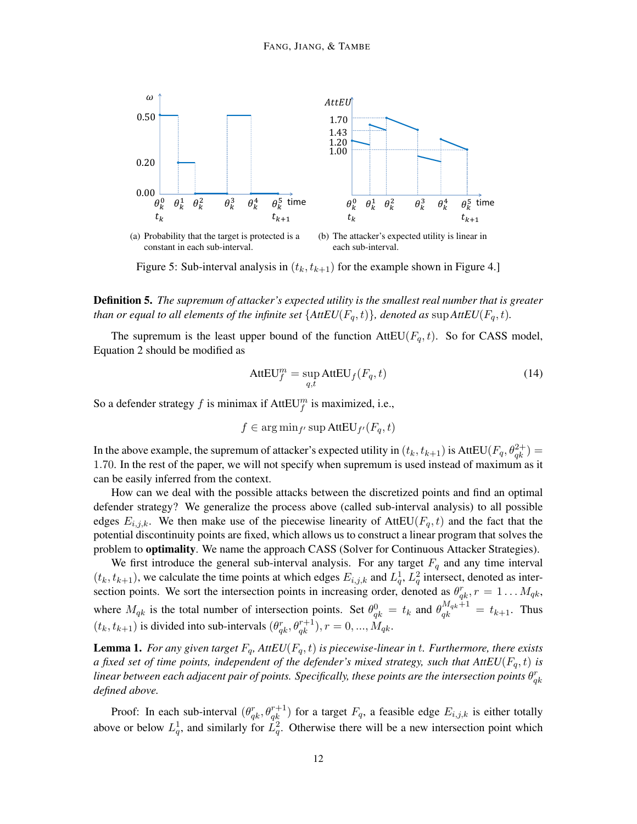

Figure 5: Sub-interval analysis in  $(t_k, t_{k+1})$  for the example shown in Figure 4.]

Definition 5. *The supremum of attacker's expected utility is the smallest real number that is greater than or equal to all elements of the infinite set*  $\{AttU(F_q,t)\}$ *, denoted as* sup  $AttU(F_q,t)$ *.* 

The supremum is the least upper bound of the function  $AttEU(F_q, t)$ . So for CASS model, Equation 2 should be modified as

$$
AttEU_f^m = \sup_{q,t} AttEU_f(F_q, t)
$$
\n(14)

So a defender strategy f is minimax if  $AttEU_f^m$  is maximized, i.e.,

$$
f \in \arg\min_{f'} \sup \text{AttEU}_{f'}(F_q, t)
$$

In the above example, the supremum of attacker's expected utility in  $(t_k, t_{k+1})$  is  $AttEU(F_q, \theta_{qk}^{2+}) =$ 1.70. In the rest of the paper, we will not specify when supremum is used instead of maximum as it can be easily inferred from the context.

How can we deal with the possible attacks between the discretized points and find an optimal defender strategy? We generalize the process above (called sub-interval analysis) to all possible edges  $E_{i,j,k}$ . We then make use of the piecewise linearity of AttEU( $F_q$ , t) and the fact that the potential discontinuity points are fixed, which allows us to construct a linear program that solves the problem to **optimality**. We name the approach CASS (Solver for Continuous Attacker Strategies).

We first introduce the general sub-interval analysis. For any target  $F_q$  and any time interval  $(t_k, t_{k+1})$ , we calculate the time points at which edges  $E_{i,j,k}$  and  $L_q^1, L_q^2$  intersect, denoted as intersection points. We sort the intersection points in increasing order, denoted as  $\theta_{qk}^r$ ,  $r = 1...M_{qk}$ , where  $M_{qk}$  is the total number of intersection points. Set  $\theta_{qk}^0 = t_k$  and  $\theta_{qk}^{M_{qk}+1} = t_{k+1}$ . Thus  $(t_k, t_{k+1})$  is divided into sub-intervals  $(\theta_{qk}^r, \theta_{qk}^{r+1}), r = 0, ..., M_{qk}$ .

**Lemma 1.** For any given target  $F_q$ , AttEU( $F_q$ , t) is piecewise-linear in t. Furthermore, there exists *a fixed set of time points, independent of the defender's mixed strategy, such that*  $AttEU(F_q, t)$  *is* linear between each adjacent pair of points. Specifically, these points are the intersection points  $\theta_{qk}^r$ *defined above.*

Proof: In each sub-interval  $(\theta_{qk}^r, \theta_{qk}^{r+1})$  for a target  $F_q$ , a feasible edge  $E_{i,j,k}$  is either totally above or below  $L_q^1$ , and similarly for  $L_q^2$ . Otherwise there will be a new intersection point which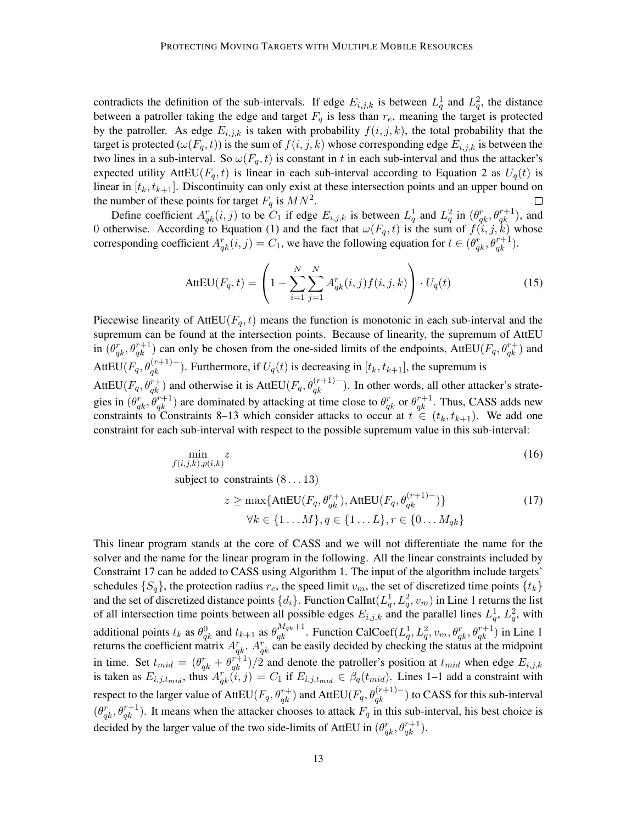contradicts the definition of the sub-intervals. If edge  $E_{i,j,k}$  is between  $L_q^1$  and  $L_q^2$ , the distance between a patroller taking the edge and target  $F_q$  is less than  $r_e$ , meaning the target is protected by the patroller. As edge  $E_{i,j,k}$  is taken with probability  $f(i, j, k)$ , the total probability that the target is protected  $(\omega(F_q, t))$  is the sum of  $f(i, j, k)$  whose corresponding edge  $E_{i,j,k}$  is between the two lines in a sub-interval. So  $\omega(F_q, t)$  is constant in t in each sub-interval and thus the attacker's expected utility AttEU( $F_q$ , t) is linear in each sub-interval according to Equation 2 as  $U_q(t)$  is linear in  $[t_k, t_{k+1}]$ . Discontinuity can only exist at these intersection points and an upper bound on the number of these points for target  $F_q$  is  $MN^2$ .

Define coefficient  $A_{qk}^r(i, j)$  to be  $C_1$  if edge  $E_{i,j,k}$  is between  $L_q^1$  and  $L_q^2$  in  $(\theta_{qk}^r, \theta_{qk}^{r+1})$ , and 0 otherwise. According to Equation (1) and the fact that  $\omega(F_q, t)$  is the sum of  $f(i, j, k)$  whose corresponding coefficient  $A_{qk}^r(i,j) = C_1$ , we have the following equation for  $t \in (\theta_{qk}^r, \theta_{qk}^{r+1})$ .

$$
AttEU(F_q, t) = \left(1 - \sum_{i=1}^{N} \sum_{j=1}^{N} A_{qk}^r(i, j) f(i, j, k)\right) \cdot U_q(t)
$$
\n(15)

Piecewise linearity of AttEU( $F_q$ , t) means the function is monotonic in each sub-interval and the supremum can be found at the intersection points. Because of linearity, the supremum of AttEU in  $(\theta_{qk}^r, \theta_{qk}^{r+1})$  can only be chosen from the one-sided limits of the endpoints, AttEU( $F_q, \theta_{qk}^{r+1}$ ) and AttEU( $F_q$ ,  $\theta_{qk}^{(r+1)-}$ ). Furthermore, if  $U_q(t)$  is decreasing in  $[t_k, t_{k+1}]$ , the supremum is AttEU( $F_q$ ,  $\theta_{qk}^{r+}$ ) and otherwise it is AttEU( $F_q$ ,  $\theta_{qk}^{(r+1)-}$ ). In other words, all other attacker's strategies in  $(\theta_{qk}^r, \theta_{qk}^{r+1})$  are dominated by attacking at time close to  $\theta_{qk}^r$  or  $\theta_{qk}^{r+1}$ . Thus, CASS adds new constraints to Constraints 8–13 which consider attacks to occur at  $t \in (t_k, t_{k+1})$ . We add one constraint for each sub-interval with respect to the possible supremum value in this sub-interval:

$$
\min_{f(i,j,k),p(i,k)} z
$$
 (16)

subject to constraints  $(8...13)$ 

$$
z \ge \max\{\text{AttEU}(F_q, \theta_{qk}^{r+}), \text{AttEU}(F_q, \theta_{qk}^{(r+1)-})\}\
$$
  

$$
\forall k \in \{1 \dots M\}, q \in \{1 \dots L\}, r \in \{0 \dots M_{qk}\}\
$$
 (17)

This linear program stands at the core of CASS and we will not differentiate the name for the solver and the name for the linear program in the following. All the linear constraints included by Constraint 17 can be added to CASS using Algorithm 1. The input of the algorithm include targets' schedules  $\{S_q\}$ , the protection radius  $r_e$ , the speed limit  $v_m$ , the set of discretized time points  $\{t_k\}$ and the set of discretized distance points  $\{d_i\}$ . Function CalInt $(L_q^1, L_q^2, v_m)$  in Line 1 returns the list of all intersection time points between all possible edges  $E_{i,j,k}$  and the parallel lines  $L_q^1$ ,  $L_q^2$ , with additional points  $t_k$  as  $\theta_{qk}^0$  and  $t_{k+1}$  as  $\theta_{qk}^{M_q k+1}$ . Function CalCoef $(L_q^1, L_q^2, v_m, \theta_{qk}^r, \theta_{qk}^{r+1})$  in Line 1 returns the coefficient matrix  $A_{qk}^r$ .  $A_{qk}^r$  can be easily decided by checking the status at the midpoint in time. Set  $t_{mid} = (\theta_{qk}^r + \theta_{qk}^{r+1})/2$  and denote the patroller's position at  $t_{mid}$  when edge  $E_{i,j,k}$ is taken as  $E_{i,j,t_{mid}}$ , thus  $A_{qk}^r(i, j) = C_1$  if  $E_{i,j,t_{mid}} \in \beta_q(t_{mid})$ . Lines 1–1 add a constraint with respect to the larger value of AttEU $(F_q, \theta_{qk}^{r+1})$  and AttEU $(F_q, \theta_{qk}^{(r+1)-})$  to CASS for this sub-interval  $(\theta_{qk}^r, \theta_{qk}^{r+1})$ . It means when the attacker chooses to attack  $F_q$  in this sub-interval, his best choice is decided by the larger value of the two side-limits of AttEU in  $(\theta_{qk}^r, \theta_{qk}^{r+1})$ .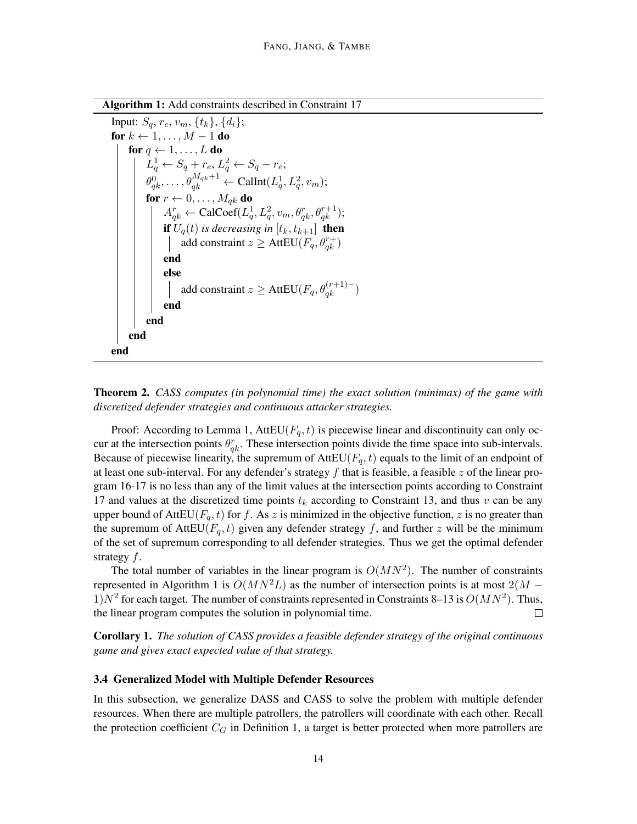Algorithm 1: Add constraints described in Constraint 17

```
Input: S_q, r_e, v_m, \{t_k\}, \{d_i\};
for k \leftarrow 1, \ldots, M - 1 do
      for q \leftarrow 1, \ldots, L do
            L_q^1 \leftarrow S_q + r_e, L_q^2 \leftarrow S_q - r_e;\theta_{qk}^0, \ldots, \theta_{qk}^{M_{qk}+1} \leftarrow \textnormal{Callnt}(L^1_q, L^2_q, v_m);for r \leftarrow 0, \ldots, M_{qk} do
                   A_{qk}^r \leftarrow \text{CalCoef}(L_q^1, L_q^2, v_m, \theta_{qk}^r, \theta_{qk}^{r+1});if U_q(t) is decreasing in [t_k, t_{k+1}] then
                         add constraint z \geq AttEU(F_q, \theta_{qk}^{r+})
                  end
                  else
                         add constraint z \geq AttEU(F_q, \theta_{qk}^{(r+1)-})end
            end
      end
end
```
# Theorem 2. *CASS computes (in polynomial time) the exact solution (minimax) of the game with discretized defender strategies and continuous attacker strategies.*

Proof: According to Lemma 1, AttEU( $F_q$ , t) is piecewise linear and discontinuity can only occur at the intersection points  $\theta_{qk}^r$ . These intersection points divide the time space into sub-intervals. Because of piecewise linearity, the supremum of  $AttEU(F_q, t)$  equals to the limit of an endpoint of at least one sub-interval. For any defender's strategy  $f$  that is feasible, a feasible  $z$  of the linear program 16-17 is no less than any of the limit values at the intersection points according to Constraint 17 and values at the discretized time points  $t_k$  according to Constraint 13, and thus v can be any upper bound of AttEU( $F_q$ , t) for f. As z is minimized in the objective function, z is no greater than the supremum of AttEU( $F_a$ , t) given any defender strategy f, and further z will be the minimum of the set of supremum corresponding to all defender strategies. Thus we get the optimal defender strategy f.

The total number of variables in the linear program is  $O(MN^2)$ . The number of constraints represented in Algorithm 1 is  $O(MN^2L)$  as the number of intersection points is at most  $2(M -$ 1) $N^2$  for each target. The number of constraints represented in Constraints 8–13 is  $O(MN^2)$ . Thus, the linear program computes the solution in polynomial time.  $\Box$ 

Corollary 1. *The solution of CASS provides a feasible defender strategy of the original continuous game and gives exact expected value of that strategy.*

#### 3.4 Generalized Model with Multiple Defender Resources

In this subsection, we generalize DASS and CASS to solve the problem with multiple defender resources. When there are multiple patrollers, the patrollers will coordinate with each other. Recall the protection coefficient  $C_G$  in Definition 1, a target is better protected when more patrollers are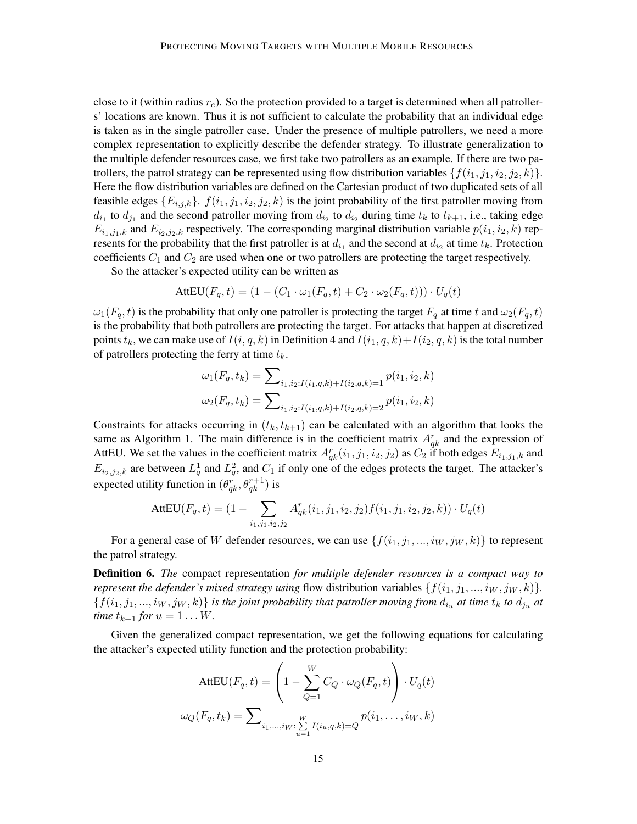close to it (within radius  $r_e$ ). So the protection provided to a target is determined when all patrollers' locations are known. Thus it is not sufficient to calculate the probability that an individual edge is taken as in the single patroller case. Under the presence of multiple patrollers, we need a more complex representation to explicitly describe the defender strategy. To illustrate generalization to the multiple defender resources case, we first take two patrollers as an example. If there are two patrollers, the patrol strategy can be represented using flow distribution variables  $\{f(i_1, j_1, i_2, j_2, k)\}.$ Here the flow distribution variables are defined on the Cartesian product of two duplicated sets of all feasible edges  $\{E_{i,j,k}\}\text{. } f(i_1, j_1, i_2, j_2, k)$  is the joint probability of the first patroller moving from  $d_{i_1}$  to  $d_{j_1}$  and the second patroller moving from  $d_{i_2}$  to  $d_{i_2}$  during time  $t_k$  to  $t_{k+1}$ , i.e., taking edge  $E_{i_1,j_1,k}$  and  $E_{i_2,j_2,k}$  respectively. The corresponding marginal distribution variable  $p(i_1,i_2,k)$  represents for the probability that the first patroller is at  $d_{i_1}$  and the second at  $d_{i_2}$  at time  $t_k$ . Protection coefficients  $C_1$  and  $C_2$  are used when one or two patrollers are protecting the target respectively.

So the attacker's expected utility can be written as

$$
AttEU(F_q, t) = (1 - (C_1 \cdot \omega_1(F_q, t) + C_2 \cdot \omega_2(F_q, t))) \cdot U_q(t)
$$

 $\omega_1(F_q, t)$  is the probability that only one patroller is protecting the target  $F_q$  at time t and  $\omega_2(F_q, t)$ is the probability that both patrollers are protecting the target. For attacks that happen at discretized points  $t_k$ , we can make use of  $I(i, q, k)$  in Definition 4 and  $I(i_1, q, k)+I(i_2, q, k)$  is the total number of patrollers protecting the ferry at time  $t_k$ .

$$
\omega_1(F_q, t_k) = \sum_{i_1, i_2: I(i_1, q, k) + I(i_2, q, k) = 1} p(i_1, i_2, k)
$$

$$
\omega_2(F_q, t_k) = \sum_{i_1, i_2: I(i_1, q, k) + I(i_2, q, k) = 2} p(i_1, i_2, k)
$$

Constraints for attacks occurring in  $(t_k, t_{k+1})$  can be calculated with an algorithm that looks the same as Algorithm 1. The main difference is in the coefficient matrix  $A_{qk}^r$  and the expression of AttEU. We set the values in the coefficient matrix  $A_{qk}^r(i_1, j_1, i_2, j_2)$  as  $C_2$  if both edges  $E_{i_1,j_1,k}$  and  $E_{i_2,j_2,k}$  are between  $L_q^1$  and  $L_q^2$ , and  $C_1$  if only one of the edges protects the target. The attacker's expected utility function in  $(\theta_{qk}^r, \theta_{qk}^{r+1})$  is

$$
AttEU(F_q, t) = (1 - \sum_{i_1, j_1, i_2, j_2} A_{qk}^r(i_1, j_1, i_2, j_2) f(i_1, j_1, i_2, j_2, k)) \cdot U_q(t)
$$

For a general case of W defender resources, we can use  $\{f(i_1, j_1, ..., i_W, j_W, k)\}\$  to represent the patrol strategy.

Definition 6. *The* compact representation *for multiple defender resources is a compact way to represent the defender's mixed strategy using* flow distribution variables  $\{f(i_1, j_1, ..., i_W, j_W, k)\}.$  $\{f(i_1, j_1, ..., i_W, j_W, k)\}\$ is the joint probability that patroller moving from  $d_{i_u}$  at time  $t_k$  to  $d_{j_u}$  at *time*  $t_{k+1}$  *for*  $u = 1...W$ .

Given the generalized compact representation, we get the following equations for calculating the attacker's expected utility function and the protection probability:

$$
AttEU(F_q, t) = \left(1 - \sum_{Q=1}^W C_Q \cdot \omega_Q(F_q, t)\right) \cdot U_q(t)
$$

$$
\omega_Q(F_q, t_k) = \sum_{i_1, \dots, i_W: \sum_{u=1}^W I(i_u, q, k) = Q} p(i_1, \dots, i_W, k)
$$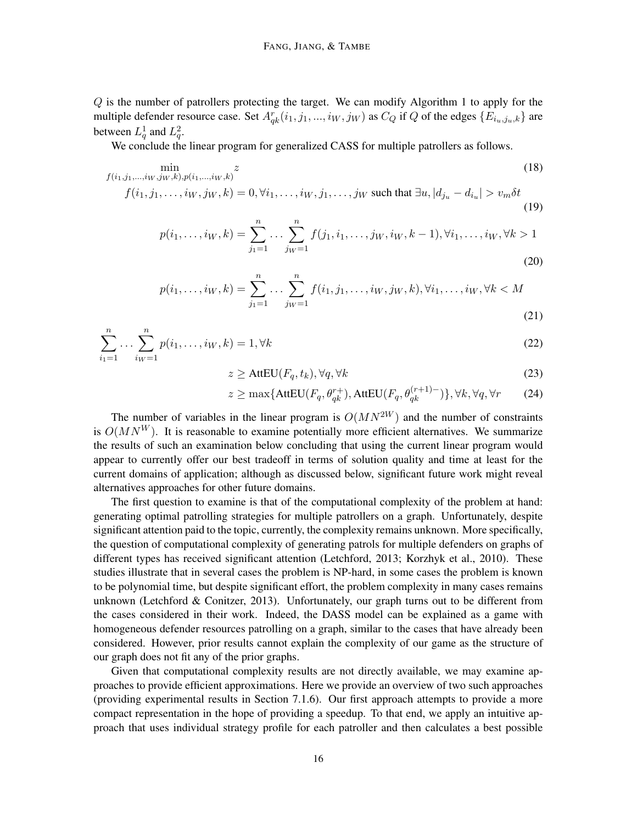Q is the number of patrollers protecting the target. We can modify Algorithm 1 to apply for the multiple defender resource case. Set  $A_{qk}^r(i_1, j_1, ..., i_W, j_W)$  as  $C_Q$  if Q of the edges  $\{E_{i_u,j_u,k}\}$  are between  $L_q^1$  and  $L_q^2$ .

We conclude the linear program for generalized CASS for multiple patrollers as follows.

$$
\min_{\substack{f(i_1, j_1, \dots, i_W, j_W, k), p(i_1, \dots, i_W, k)}} z
$$
\n
$$
\min_{\substack{f(j_1, j_1, \dots, j_W, j_W, k) = 0 \ \forall j_1, \dots, j_W, j_1, \dots, j_W, \text{ such that } \exists u \ | d_i = d_i \ | \leq v \ \delta t}} (18)
$$

$$
f(i_1, j_1, \dots, i_W, j_W, k) = 0, \forall i_1, \dots, i_W, j_1, \dots, j_W \text{ such that } \exists u, |d_{j_u} - d_{i_u}| > v_m \delta t
$$
\n
$$
(19)
$$

$$
p(i_1, \ldots, i_W, k) = \sum_{j_1=1}^n \ldots \sum_{j_W=1}^n f(j_1, i_1, \ldots, j_W, i_W, k-1), \forall i_1, \ldots, i_W, \forall k > 1
$$
\n(20)

$$
p(i_1, ..., i_W, k) = \sum_{j_1=1}^n ... \sum_{j_W=1}^n f(i_1, j_1, ..., i_W, j_W, k), \forall i_1, ..., i_W, \forall k < M
$$
\n(21)

$$
\sum_{i_1=1}^n \dots \sum_{i_W=1}^n p(i_1, \dots, i_W, k) = 1, \forall k
$$
\n(22)

$$
z \ge \text{AttEU}(F_q, t_k), \forall q, \forall k \tag{23}
$$

$$
z \ge \max\{\text{AttEU}(F_q, \theta_{qk}^{r+}), \text{AttEU}(F_q, \theta_{qk}^{(r+1)-})\}, \forall k, \forall q, \forall r \tag{24}
$$

The number of variables in the linear program is  $O(MN^{2W})$  and the number of constraints is  $O(MN^W)$ . It is reasonable to examine potentially more efficient alternatives. We summarize the results of such an examination below concluding that using the current linear program would appear to currently offer our best tradeoff in terms of solution quality and time at least for the current domains of application; although as discussed below, significant future work might reveal alternatives approaches for other future domains.

The first question to examine is that of the computational complexity of the problem at hand: generating optimal patrolling strategies for multiple patrollers on a graph. Unfortunately, despite significant attention paid to the topic, currently, the complexity remains unknown. More specifically, the question of computational complexity of generating patrols for multiple defenders on graphs of different types has received significant attention (Letchford, 2013; Korzhyk et al., 2010). These studies illustrate that in several cases the problem is NP-hard, in some cases the problem is known to be polynomial time, but despite significant effort, the problem complexity in many cases remains unknown (Letchford  $&$  Conitzer, 2013). Unfortunately, our graph turns out to be different from the cases considered in their work. Indeed, the DASS model can be explained as a game with homogeneous defender resources patrolling on a graph, similar to the cases that have already been considered. However, prior results cannot explain the complexity of our game as the structure of our graph does not fit any of the prior graphs.

Given that computational complexity results are not directly available, we may examine approaches to provide efficient approximations. Here we provide an overview of two such approaches (providing experimental results in Section 7.1.6). Our first approach attempts to provide a more compact representation in the hope of providing a speedup. To that end, we apply an intuitive approach that uses individual strategy profile for each patroller and then calculates a best possible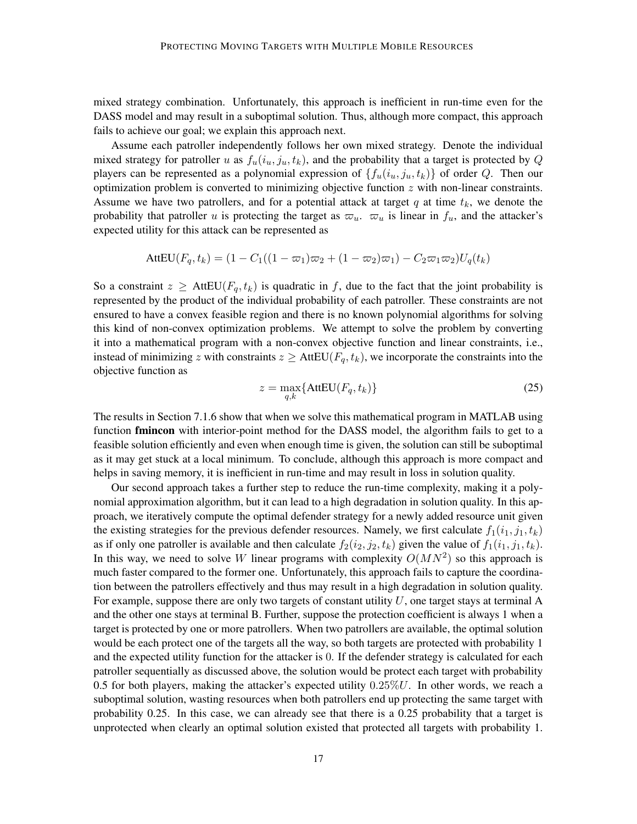mixed strategy combination. Unfortunately, this approach is inefficient in run-time even for the DASS model and may result in a suboptimal solution. Thus, although more compact, this approach fails to achieve our goal; we explain this approach next.

Assume each patroller independently follows her own mixed strategy. Denote the individual mixed strategy for patroller u as  $f_u(i_u, j_u, t_k)$ , and the probability that a target is protected by Q players can be represented as a polynomial expression of  $\{f_u(i_u, j_u, t_k)\}\$  of order Q. Then our optimization problem is converted to minimizing objective function  $z$  with non-linear constraints. Assume we have two patrollers, and for a potential attack at target q at time  $t_k$ , we denote the probability that patroller u is protecting the target as  $\varpi_u$ .  $\varpi_u$  is linear in  $f_u$ , and the attacker's expected utility for this attack can be represented as

$$
AttEU(F_q, t_k) = (1 - C_1((1 - \varpi_1)\varpi_2 + (1 - \varpi_2)\varpi_1) - C_2\varpi_1\varpi_2)U_q(t_k)
$$

So a constraint  $z \geq$  AttEU( $F_q$ ,  $t_k$ ) is quadratic in f, due to the fact that the joint probability is represented by the product of the individual probability of each patroller. These constraints are not ensured to have a convex feasible region and there is no known polynomial algorithms for solving this kind of non-convex optimization problems. We attempt to solve the problem by converting it into a mathematical program with a non-convex objective function and linear constraints, i.e., instead of minimizing z with constraints  $z \geq$  AttEU( $F_q$ ,  $t_k$ ), we incorporate the constraints into the objective function as

$$
z = \max_{q,k} \{ \text{AttEU}(F_q, t_k) \} \tag{25}
$$

The results in Section 7.1.6 show that when we solve this mathematical program in MATLAB using function **fmincon** with interior-point method for the DASS model, the algorithm fails to get to a feasible solution efficiently and even when enough time is given, the solution can still be suboptimal as it may get stuck at a local minimum. To conclude, although this approach is more compact and helps in saving memory, it is inefficient in run-time and may result in loss in solution quality.

Our second approach takes a further step to reduce the run-time complexity, making it a polynomial approximation algorithm, but it can lead to a high degradation in solution quality. In this approach, we iteratively compute the optimal defender strategy for a newly added resource unit given the existing strategies for the previous defender resources. Namely, we first calculate  $f_1(i_1, j_1, t_k)$ as if only one patroller is available and then calculate  $f_2(i_2, j_2, t_k)$  given the value of  $f_1(i_1, j_1, t_k)$ . In this way, we need to solve W linear programs with complexity  $O(MN^2)$  so this approach is much faster compared to the former one. Unfortunately, this approach fails to capture the coordination between the patrollers effectively and thus may result in a high degradation in solution quality. For example, suppose there are only two targets of constant utility  $U$ , one target stays at terminal A and the other one stays at terminal B. Further, suppose the protection coefficient is always 1 when a target is protected by one or more patrollers. When two patrollers are available, the optimal solution would be each protect one of the targets all the way, so both targets are protected with probability 1 and the expected utility function for the attacker is 0. If the defender strategy is calculated for each patroller sequentially as discussed above, the solution would be protect each target with probability 0.5 for both players, making the attacker's expected utility  $0.25\%U$ . In other words, we reach a suboptimal solution, wasting resources when both patrollers end up protecting the same target with probability 0.25. In this case, we can already see that there is a 0.25 probability that a target is unprotected when clearly an optimal solution existed that protected all targets with probability 1.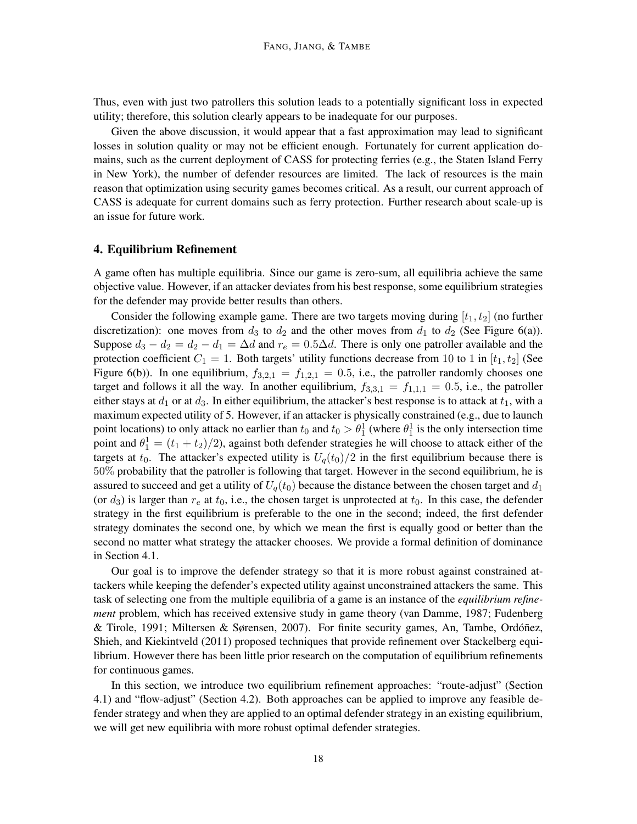Thus, even with just two patrollers this solution leads to a potentially significant loss in expected utility; therefore, this solution clearly appears to be inadequate for our purposes.

Given the above discussion, it would appear that a fast approximation may lead to significant losses in solution quality or may not be efficient enough. Fortunately for current application domains, such as the current deployment of CASS for protecting ferries (e.g., the Staten Island Ferry in New York), the number of defender resources are limited. The lack of resources is the main reason that optimization using security games becomes critical. As a result, our current approach of CASS is adequate for current domains such as ferry protection. Further research about scale-up is an issue for future work.

#### 4. Equilibrium Refinement

A game often has multiple equilibria. Since our game is zero-sum, all equilibria achieve the same objective value. However, if an attacker deviates from his best response, some equilibrium strategies for the defender may provide better results than others.

Consider the following example game. There are two targets moving during  $[t_1, t_2]$  (no further discretization): one moves from  $d_3$  to  $d_2$  and the other moves from  $d_1$  to  $d_2$  (See Figure 6(a)). Suppose  $d_3 - d_2 = d_2 - d_1 = \Delta d$  and  $r_e = 0.5\Delta d$ . There is only one patroller available and the protection coefficient  $C_1 = 1$ . Both targets' utility functions decrease from 10 to 1 in  $[t_1, t_2]$  (See Figure 6(b)). In one equilibrium,  $f_{3,2,1} = f_{1,2,1} = 0.5$ , i.e., the patroller randomly chooses one target and follows it all the way. In another equilibrium,  $f_{3,3,1} = f_{1,1,1} = 0.5$ , i.e., the patroller either stays at  $d_1$  or at  $d_3$ . In either equilibrium, the attacker's best response is to attack at  $t_1$ , with a maximum expected utility of 5. However, if an attacker is physically constrained (e.g., due to launch point locations) to only attack no earlier than  $t_0$  and  $t_0 > \theta_1^1$  (where  $\theta_1^1$  is the only intersection time point and  $\theta_1^1 = (t_1 + t_2)/2$ , against both defender strategies he will choose to attack either of the targets at  $t_0$ . The attacker's expected utility is  $U_q(t_0)/2$  in the first equilibrium because there is 50% probability that the patroller is following that target. However in the second equilibrium, he is assured to succeed and get a utility of  $U_q(t_0)$  because the distance between the chosen target and  $d_1$ (or  $d_3$ ) is larger than  $r_e$  at  $t_0$ , i.e., the chosen target is unprotected at  $t_0$ . In this case, the defender strategy in the first equilibrium is preferable to the one in the second; indeed, the first defender strategy dominates the second one, by which we mean the first is equally good or better than the second no matter what strategy the attacker chooses. We provide a formal definition of dominance in Section 4.1.

Our goal is to improve the defender strategy so that it is more robust against constrained attackers while keeping the defender's expected utility against unconstrained attackers the same. This task of selecting one from the multiple equilibria of a game is an instance of the *equilibrium refinement* problem, which has received extensive study in game theory (van Damme, 1987; Fudenberg & Tirole, 1991; Miltersen & Sørensen, 2007). For finite security games, An, Tambe, Ordóñez, Shieh, and Kiekintveld (2011) proposed techniques that provide refinement over Stackelberg equilibrium. However there has been little prior research on the computation of equilibrium refinements for continuous games.

In this section, we introduce two equilibrium refinement approaches: "route-adjust" (Section 4.1) and "flow-adjust" (Section 4.2). Both approaches can be applied to improve any feasible defender strategy and when they are applied to an optimal defender strategy in an existing equilibrium, we will get new equilibria with more robust optimal defender strategies.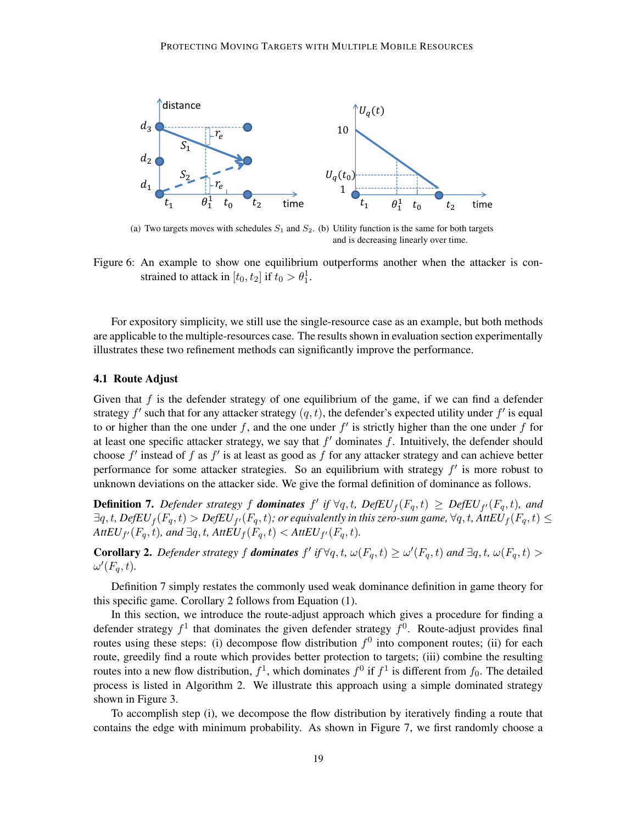

(a) Two targets moves with schedules  $S_1$  and  $S_2$ . (b) Utility function is the same for both targets and is decreasing linearly over time.

Figure 6: An example to show one equilibrium outperforms another when the attacker is constrained to attack in  $[t_0, t_2]$  if  $t_0 > \theta_1^1$ .

For expository simplicity, we still use the single-resource case as an example, but both methods are applicable to the multiple-resources case. The results shown in evaluation section experimentally illustrates these two refinement methods can significantly improve the performance.

#### 4.1 Route Adjust

Given that  $f$  is the defender strategy of one equilibrium of the game, if we can find a defender strategy  $f'$  such that for any attacker strategy  $(q, t)$ , the defender's expected utility under  $f'$  is equal to or higher than the one under f, and the one under  $f'$  is strictly higher than the one under f for at least one specific attacker strategy, we say that  $f'$  dominates  $f$ . Intuitively, the defender should choose  $f'$  instead of f as  $f'$  is at least as good as f for any attacker strategy and can achieve better performance for some attacker strategies. So an equilibrium with strategy  $f'$  is more robust to unknown deviations on the attacker side. We give the formal definition of dominance as follows.

**Definition 7.** Defender strategy f **dominates**  $f'$  if  $\forall q, t$ , DefEU<sub>f</sub>( $F_q, t$ )  $\geq$  DefEU<sub>f</sub>( $F_q, t$ ), and  $\exists q,t$ ,  $DefEU_{f}(F_{q},t)>DefEU_{f'}(F_{q},t);$  or equivalently in this zero-sum game,  $\forall q,t$ ,  $AttEU_{f}(F_{q},t)\leq$  $AttEU_{f'}(F_q, t)$ , and  $\exists q, t$ ,  $AttEU_f(F_q, t) < AttEU_{f'}(F_q, t)$ .

**Corollary 2.** Defender strategy f **dominates**  $f'$  if  $\forall q, t, \omega(F_q, t) \geq \omega'(F_q, t)$  and  $\exists q, t, \omega(F_q, t) >$  $\omega'(F_q,t)$ .

Definition 7 simply restates the commonly used weak dominance definition in game theory for this specific game. Corollary 2 follows from Equation (1).

In this section, we introduce the route-adjust approach which gives a procedure for finding a defender strategy  $f^1$  that dominates the given defender strategy  $f^0$ . Route-adjust provides final routes using these steps: (i) decompose flow distribution  $f^0$  into component routes; (ii) for each route, greedily find a route which provides better protection to targets; (iii) combine the resulting routes into a new flow distribution,  $f^1$ , which dominates  $f^0$  if  $f^1$  is different from  $f_0$ . The detailed process is listed in Algorithm 2. We illustrate this approach using a simple dominated strategy shown in Figure 3.

To accomplish step (i), we decompose the flow distribution by iteratively finding a route that contains the edge with minimum probability. As shown in Figure 7, we first randomly choose a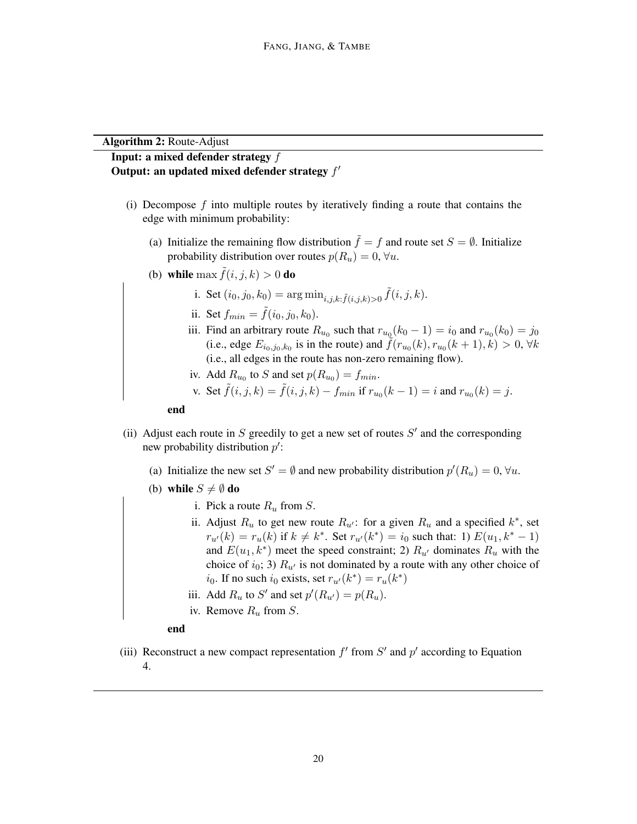#### Algorithm 2: Route-Adjust

# Input: a mixed defender strategy f Output: an updated mixed defender strategy  $f'$

- (i) Decompose  $f$  into multiple routes by iteratively finding a route that contains the edge with minimum probability:
	- (a) Initialize the remaining flow distribution  $\tilde{f} = f$  and route set  $S = \emptyset$ . Initialize probability distribution over routes  $p(R_u) = 0$ ,  $\forall u$ .
	- (b) while max  $\tilde{f}(i, j, k) > 0$  do
		- i. Set  $(i_0, j_0, k_0) = \arg \min_{i, j, k: \tilde{f}(i, j, k) > 0} \tilde{f}(i, j, k).$
		- ii. Set  $f_{min} = \tilde{f}(i_0, j_0, k_0)$ .
		- iii. Find an arbitrary route  $R_{u_0}$  such that  $r_{u_0}(k_0 1) = i_0$  and  $r_{u_0}(k_0) = j_0$ (i.e., edge  $E_{i_0,j_0,k_0}$  is in the route) and  $\tilde{f}(r_{u_0}(k), r_{u_0}(k+1), k) > 0$ ,  $\forall k$ (i.e., all edges in the route has non-zero remaining flow).
		- iv. Add  $R_{u_0}$  to S and set  $p(R_{u_0}) = f_{min}$ .
		- v. Set  $\tilde{f}(i, j, k) = \tilde{f}(i, j, k) f_{min}$  if  $r_{u_0}(k 1) = i$  and  $r_{u_0}(k) = j$ .

end

- (ii) Adjust each route in  $S$  greedily to get a new set of routes  $S'$  and the corresponding new probability distribution  $p'$ :
	- (a) Initialize the new set  $S' = \emptyset$  and new probability distribution  $p'(R_u) = 0, \forall u$ .
	- (b) while  $S \neq \emptyset$  do
		- i. Pick a route  $R_u$  from S.
		- ii. Adjust  $R_u$  to get new route  $R_{u'}$ : for a given  $R_u$  and a specified  $k^*$ , set  $r_{u'}(k) = r_u(k)$  if  $k \neq k^*$ . Set  $r_{u'}(k^*) = i_0$  such that: 1)  $E(u_1, k^* - 1)$ and  $E(u_1, k^*)$  meet the speed constraint; 2)  $R_{u'}$  dominates  $R_u$  with the choice of  $i_0$ ; 3)  $R_{u'}$  is not dominated by a route with any other choice of  $i_0$ . If no such  $i_0$  exists, set  $r_{u'}(k^*) = r_u(k^*)$
		- iii. Add  $R_u$  to S' and set  $p'(R_{u'}) = p(R_u)$ .
		- iv. Remove  $R_u$  from  $S$ .
		- end
- (iii) Reconstruct a new compact representation  $f'$  from  $S'$  and  $p'$  according to Equation 4.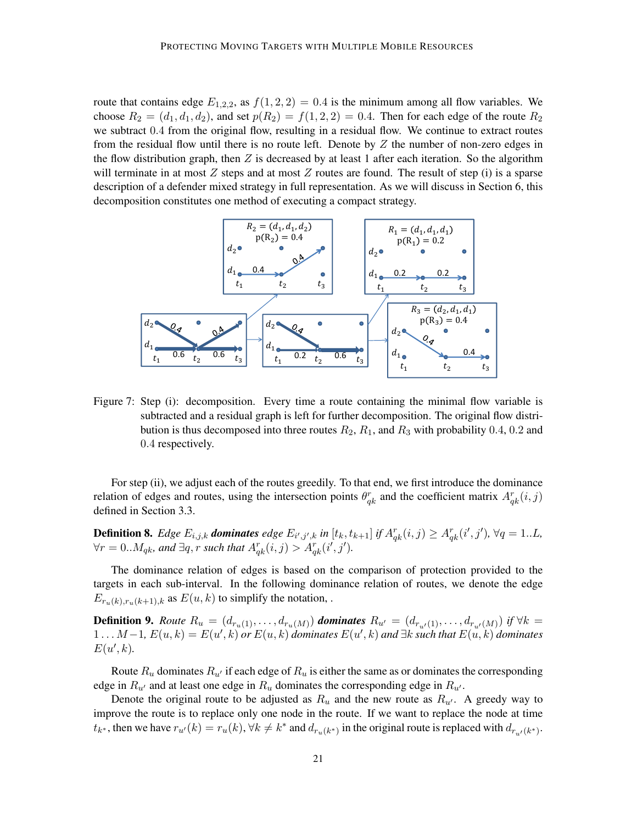route that contains edge  $E_{1,2,2}$ , as  $f(1, 2, 2) = 0.4$  is the minimum among all flow variables. We choose  $R_2 = (d_1, d_1, d_2)$ , and set  $p(R_2) = f(1, 2, 2) = 0.4$ . Then for each edge of the route  $R_2$ we subtract 0.4 from the original flow, resulting in a residual flow. We continue to extract routes from the residual flow until there is no route left. Denote by  $Z$  the number of non-zero edges in the flow distribution graph, then  $Z$  is decreased by at least 1 after each iteration. So the algorithm will terminate in at most  $Z$  steps and at most  $Z$  routes are found. The result of step (i) is a sparse description of a defender mixed strategy in full representation. As we will discuss in Section 6, this decomposition constitutes one method of executing a compact strategy.



Figure 7: Step (i): decomposition. Every time a route containing the minimal flow variable is subtracted and a residual graph is left for further decomposition. The original flow distribution is thus decomposed into three routes  $R_2$ ,  $R_1$ , and  $R_3$  with probability 0.4, 0.2 and 0.4 respectively.

For step (ii), we adjust each of the routes greedily. To that end, we first introduce the dominance relation of edges and routes, using the intersection points  $\theta_{qk}^r$  and the coefficient matrix  $A_{qk}^r(i, j)$ defined in Section 3.3.

**Definition 8.** Edge  $E_{i,j,k}$  **dominates** edge  $E_{i',j',k}$  in  $[t_k, t_{k+1}]$  if  $A_{qk}^r(i,j) \geq A_{qk}^r(i',j')$ ,  $\forall q = 1...L$ ,  $\forall r = 0..M_{qk}$ , and  $\exists q, r$  such that  $A_{qk}^r(i,j) > A_{qk}^r(i',j').$ 

The dominance relation of edges is based on the comparison of protection provided to the targets in each sub-interval. In the following dominance relation of routes, we denote the edge  $E_{r_u(k),r_u(k+1),k}$  as  $E(u, k)$  to simplify the notation,.

**Definition 9.** *Route*  $R_u = (d_{r_u(1)}, \ldots, d_{r_u(M)})$  **dominates**  $R_{u'} = (d_{r_{u'}(1)}, \ldots, d_{r_{u'}(M)})$  if  $\forall k =$  $1...M-1$ ,  $E(u,k) = E(u',k)$  or  $E(u,k)$  dominates  $E(u',k)$  and  $∃k$  *such that*  $E(u,k)$  dominates  $E(u',k)$ .

Route  $R_u$  dominates  $R_{u'}$  if each edge of  $R_u$  is either the same as or dominates the corresponding edge in  $R_{u'}$  and at least one edge in  $R_u$  dominates the corresponding edge in  $R_{u'}$ .

Denote the original route to be adjusted as  $R_u$  and the new route as  $R_{u'}$ . A greedy way to improve the route is to replace only one node in the route. If we want to replace the node at time  $t_{k^*}$ , then we have  $r_{u'}(k) = r_u(k)$ ,  $\forall k \neq k^*$  and  $d_{r_u(k^*)}$  in the original route is replaced with  $d_{r_{u'}(k^*)}$ .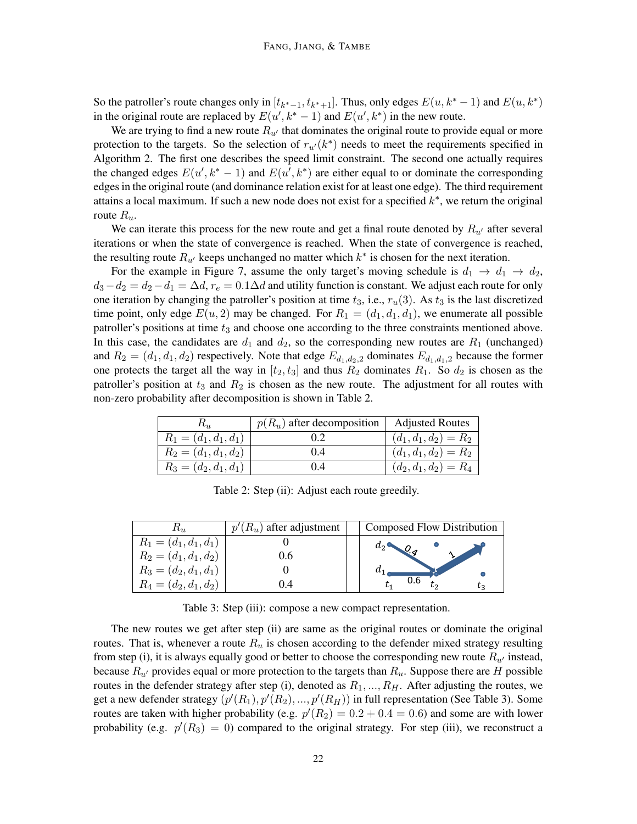So the patroller's route changes only in  $[t_{k^*-1}, t_{k^*+1}]$ . Thus, only edges  $E(u, k^* - 1)$  and  $E(u, k^*)$ in the original route are replaced by  $E(u', k^* - 1)$  and  $E(u', k^*)$  in the new route.

We are trying to find a new route  $R_{u'}$  that dominates the original route to provide equal or more protection to the targets. So the selection of  $r_{u'}(k^*)$  needs to meet the requirements specified in Algorithm 2. The first one describes the speed limit constraint. The second one actually requires the changed edges  $E(u', k^* - 1)$  and  $E(u', k^*)$  are either equal to or dominate the corresponding edges in the original route (and dominance relation exist for at least one edge). The third requirement attains a local maximum. If such a new node does not exist for a specified  $k^*$ , we return the original route  $R_u$ .

We can iterate this process for the new route and get a final route denoted by  $R_{\mu\mu}$  after several iterations or when the state of convergence is reached. When the state of convergence is reached, the resulting route  $R_{u'}$  keeps unchanged no matter which  $k^*$  is chosen for the next iteration.

For the example in Figure 7, assume the only target's moving schedule is  $d_1 \rightarrow d_1 \rightarrow d_2$ ,  $d_3 - d_2 = d_2 - d_1 = \Delta d$ ,  $r_e = 0.1 \Delta d$  and utility function is constant. We adjust each route for only one iteration by changing the patroller's position at time  $t_3$ , i.e.,  $r_u(3)$ . As  $t_3$  is the last discretized time point, only edge  $E(u, 2)$  may be changed. For  $R_1 = (d_1, d_1, d_1)$ , we enumerate all possible patroller's positions at time  $t_3$  and choose one according to the three constraints mentioned above. In this case, the candidates are  $d_1$  and  $d_2$ , so the corresponding new routes are  $R_1$  (unchanged) and  $R_2 = (d_1, d_1, d_2)$  respectively. Note that edge  $E_{d_1, d_2, 2}$  dominates  $E_{d_1, d_1, 2}$  because the former one protects the target all the way in  $[t_2, t_3]$  and thus  $R_2$  dominates  $R_1$ . So  $d_2$  is chosen as the patroller's position at  $t_3$  and  $R_2$  is chosen as the new route. The adjustment for all routes with non-zero probability after decomposition is shown in Table 2.

|                         | $p(R_u)$ after decomposition | <b>Adjusted Routes</b>  |
|-------------------------|------------------------------|-------------------------|
| $R_1 = (d_1, d_1, d_1)$ |                              | $(d_1, d_1, d_2) = R_2$ |
| $R_2 = (d_1, d_1, d_2)$ | (0.4)                        | $(d_1, d_1, d_2) = R_2$ |
| $R_3 = (d_2, d_1, d_1)$ | (0.4)                        | $(d_2, d_1, d_2) = R_4$ |

Table 2: Step (ii): Adjust each route greedily.

| $\mathbf{r}_u$          | $(R_u)$ after adjustment | Composed Flow Distribution |
|-------------------------|--------------------------|----------------------------|
| $R_1 = (d_1, d_1, d_1)$ |                          | $a_2$                      |
| $R_2 = (d_1, d_1, d_2)$ |                          |                            |
| $R_3 = (d_2, d_1, d_1)$ |                          |                            |
| $R_4 = (d_2, d_1, d_2)$ |                          | 0.6<br>łг                  |

Table 3: Step (iii): compose a new compact representation.

The new routes we get after step (ii) are same as the original routes or dominate the original routes. That is, whenever a route  $R_u$  is chosen according to the defender mixed strategy resulting from step (i), it is always equally good or better to choose the corresponding new route  $R_{u'}$  instead, because  $R_{u'}$  provides equal or more protection to the targets than  $R_u$ . Suppose there are H possible routes in the defender strategy after step (i), denoted as  $R_1, ..., R_H$ . After adjusting the routes, we get a new defender strategy  $(p'(R_1), p'(R_2), ..., p'(R_H))$  in full representation (See Table 3). Some routes are taken with higher probability (e.g.  $p'(R_2) = 0.2 + 0.4 = 0.6$ ) and some are with lower probability (e.g.  $p'(R_3) = 0$ ) compared to the original strategy. For step (iii), we reconstruct a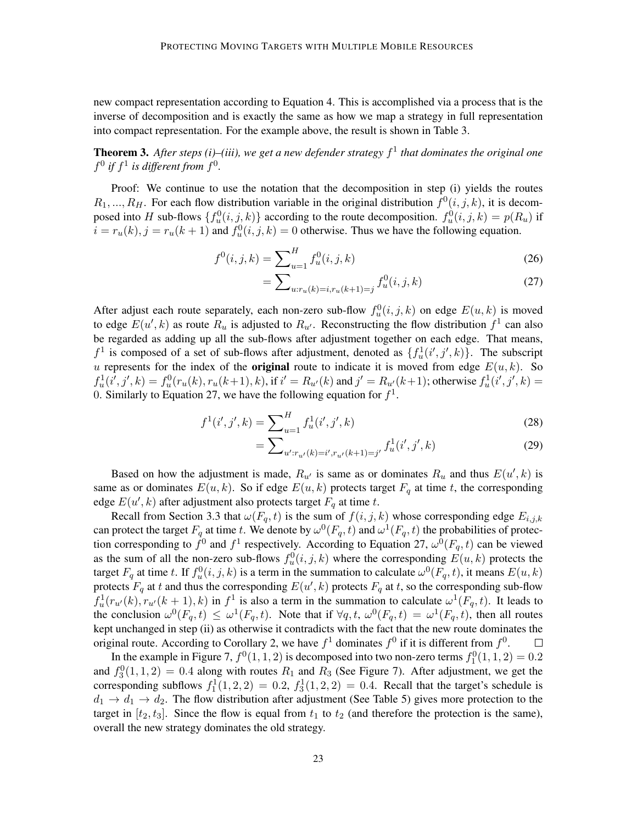new compact representation according to Equation 4. This is accomplished via a process that is the inverse of decomposition and is exactly the same as how we map a strategy in full representation into compact representation. For the example above, the result is shown in Table 3.

Theorem 3. *After steps (i)–(iii), we get a new defender strategy* f 1 *that dominates the original one*  $f^0$  if  $f^1$  is different from  $f^0$ .

Proof: We continue to use the notation that the decomposition in step (i) yields the routes  $R_1, ..., R_H$ . For each flow distribution variable in the original distribution  $f^0(i, j, k)$ , it is decomposed into H sub-flows  $\{f_u^0(i,j,k)\}$  according to the route decomposition.  $f_u^0(i,j,k) = p(R_u)$  if  $i = r_u(k)$ ,  $j = r_u(k+1)$  and  $f_u^0(i, j, k) = 0$  otherwise. Thus we have the following equation.

$$
f^{0}(i,j,k) = \sum_{u=1}^{H} f_{u}^{0}(i,j,k)
$$
\n(26)

$$
=\sum_{u:r_u(k)=i,r_u(k+1)=j} f_u^0(i,j,k)
$$
\n(27)

After adjust each route separately, each non-zero sub-flow  $f_u^0(i, j, k)$  on edge  $E(u, k)$  is moved to edge  $E(u',k)$  as route  $R_u$  is adjusted to  $R_{u'}$ . Reconstructing the flow distribution  $f^1$  can also be regarded as adding up all the sub-flows after adjustment together on each edge. That means,  $f^1$  is composed of a set of sub-flows after adjustment, denoted as  $\{f^1_u(i',j',k)\}$ . The subscript u represents for the index of the **original** route to indicate it is moved from edge  $E(u, k)$ . So  $f_u^1(i',j',k) = f_u^0(r_u(k),r_u(k+1),k)$ , if  $i' = R_{u'}(k)$  and  $j' = R_{u'}(k+1)$ ; otherwise  $f_u^1(i',j',k) =$ 0. Similarly to Equation 27, we have the following equation for  $f<sup>1</sup>$ .

$$
f^{1}(i',j',k) = \sum_{u=1}^{H} f_{u}^{1}(i',j',k)
$$
\n(28)

$$
=\sum_{u':r_{u'}(k)=i',r_{u'}(k+1)=j'}f_u^1(i',j',k)
$$
\n(29)

Based on how the adjustment is made,  $R_{u'}$  is same as or dominates  $R_u$  and thus  $E(u',k)$  is same as or dominates  $E(u, k)$ . So if edge  $E(u, k)$  protects target  $F_q$  at time t, the corresponding edge  $E(u',k)$  after adjustment also protects target  $F_q$  at time t.

Recall from Section 3.3 that  $\omega(F_q, t)$  is the sum of  $f(i, j, k)$  whose corresponding edge  $E_{i,j,k}$ can protect the target  $F_q$  at time t. We denote by  $\omega^0(F_q, t)$  and  $\omega^1(F_q, t)$  the probabilities of protection corresponding to  $f^0$  and  $f^1$  respectively. According to Equation 27,  $\omega^0(F_q, t)$  can be viewed as the sum of all the non-zero sub-flows  $f_u^0(i, j, k)$  where the corresponding  $E(u, k)$  protects the target  $F_q$  at time t. If  $f_u^0(i, j, k)$  is a term in the summation to calculate  $\omega^0(F_q, t)$ , it means  $E(u, k)$ protects  $F_q$  at t and thus the corresponding  $E(u', k)$  protects  $F_q$  at t, so the corresponding sub-flow  $f_u^1(r_{u'}(k), r_{u'}(k+1), k)$  in  $f^1$  is also a term in the summation to calculate  $\omega^1(F_q, t)$ . It leads to the conclusion  $\omega^0(F_q, t) \leq \omega^1(F_q, t)$ . Note that if  $\forall q, t, \omega^0(F_q, t) = \omega^1(F_q, t)$ , then all routes kept unchanged in step (ii) as otherwise it contradicts with the fact that the new route dominates the original route. According to Corollary 2, we have  $f^1$  dominates  $f^0$  if it is different from  $f^0$ .  $\Box$ 

In the example in Figure 7,  $f^0(1,1,2)$  is decomposed into two non-zero terms  $f_1^0(1,1,2) = 0.2$ and  $f_3^0(1,1,2) = 0.4$  along with routes  $R_1$  and  $R_3$  (See Figure 7). After adjustment, we get the corresponding subflows  $f_1^1(1,2,2) = 0.2$ ,  $f_3^1(1,2,2) = 0.4$ . Recall that the target's schedule is  $d_1 \rightarrow d_1 \rightarrow d_2$ . The flow distribution after adjustment (See Table 5) gives more protection to the target in  $[t_2, t_3]$ . Since the flow is equal from  $t_1$  to  $t_2$  (and therefore the protection is the same), overall the new strategy dominates the old strategy.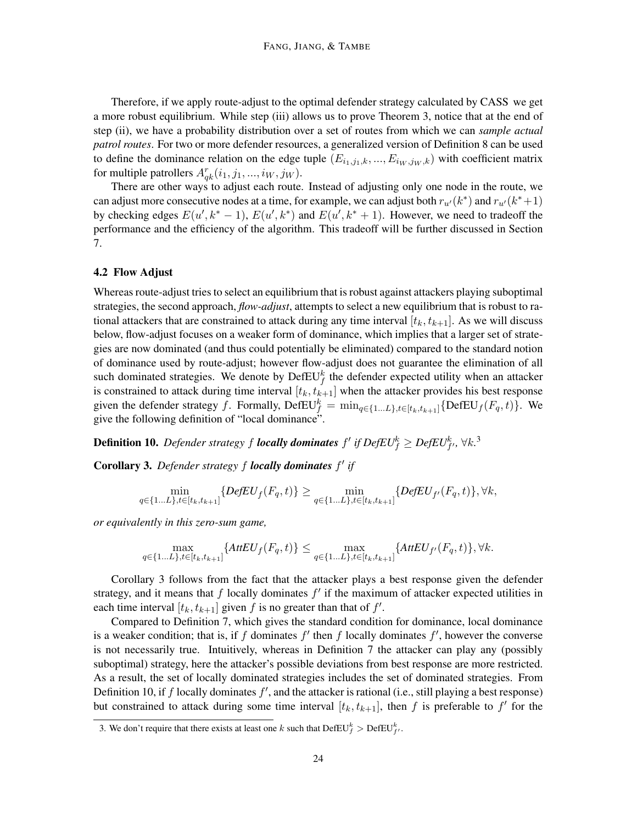Therefore, if we apply route-adjust to the optimal defender strategy calculated by CASS we get a more robust equilibrium. While step (iii) allows us to prove Theorem 3, notice that at the end of step (ii), we have a probability distribution over a set of routes from which we can *sample actual patrol routes*. For two or more defender resources, a generalized version of Definition 8 can be used to define the dominance relation on the edge tuple  $(E_{i_1,j_1,k},...,E_{i_W,j_W,k})$  with coefficient matrix for multiple patrollers  $A_{qk}^r(i_1, j_1, ..., i_W, j_W)$ .

There are other ways to adjust each route. Instead of adjusting only one node in the route, we can adjust more consecutive nodes at a time, for example, we can adjust both  $r_{u'}(k^*)$  and  $r_{u'}(k^*+1)$ by checking edges  $E(u', k^* - 1)$ ,  $E(u', k^*)$  and  $E(u', k^* + 1)$ . However, we need to tradeoff the performance and the efficiency of the algorithm. This tradeoff will be further discussed in Section 7.

#### 4.2 Flow Adjust

Whereas route-adjust tries to select an equilibrium that is robust against attackers playing suboptimal strategies, the second approach, *flow-adjust*, attempts to select a new equilibrium that is robust to rational attackers that are constrained to attack during any time interval  $[t_k, t_{k+1}]$ . As we will discuss below, flow-adjust focuses on a weaker form of dominance, which implies that a larger set of strategies are now dominated (and thus could potentially be eliminated) compared to the standard notion of dominance used by route-adjust; however flow-adjust does not guarantee the elimination of all such dominated strategies. We denote by  $\mathrm{DefEU}_f^k$  the defender expected utility when an attacker is constrained to attack during time interval  $[t_k, t_{k+1}]$  when the attacker provides his best response given the defender strategy f. Formally,  $\text{DefEU}_{f}^{k} = \min_{q \in \{1...L\}, t \in [t_k, t_{k+1}]} {\text{DefEU}_{f}(F_q, t)}$ . We give the following definition of "local dominance".

**Definition 10.** Defender strategy  $f$  **locally dominates**  $f'$  if  $DefEU_f^k \geq DefEU_{f'}^k$ ,  $\forall k$ .<sup>3</sup>

Corollary 3. Defender strategy f locally dominates f' if

$$
\min_{q \in \{1...L\}, t \in [t_k, t_{k+1}]} \{DefEU_f(F_q, t)\} \ge \min_{q \in \{1...L\}, t \in [t_k, t_{k+1}]} \{DefEU_{f'}(F_q, t)\}, \forall k,
$$

*or equivalently in this zero-sum game,*

$$
\max_{q \in \{1...L\}, t \in [t_k, t_{k+1}]} \{ AttEU_f(F_q, t) \} \le \max_{q \in \{1...L\}, t \in [t_k, t_{k+1}]} \{ AttEU_{f'}(F_q, t) \}, \forall k.
$$

Corollary 3 follows from the fact that the attacker plays a best response given the defender strategy, and it means that  $f$  locally dominates  $f'$  if the maximum of attacker expected utilities in each time interval  $[t_k, t_{k+1}]$  given f is no greater than that of f'.

Compared to Definition 7, which gives the standard condition for dominance, local dominance is a weaker condition; that is, if f dominates  $f'$  then f locally dominates  $f'$ , however the converse is not necessarily true. Intuitively, whereas in Definition 7 the attacker can play any (possibly suboptimal) strategy, here the attacker's possible deviations from best response are more restricted. As a result, the set of locally dominated strategies includes the set of dominated strategies. From Definition 10, if  $f$  locally dominates  $f'$ , and the attacker is rational (i.e., still playing a best response) but constrained to attack during some time interval  $[t_k, t_{k+1}]$ , then f is preferable to f' for the

<sup>3.</sup> We don't require that there exists at least one k such that  $\mathrm{DefEU}_{f}^k > \mathrm{DefEU}_{f'}^k$ .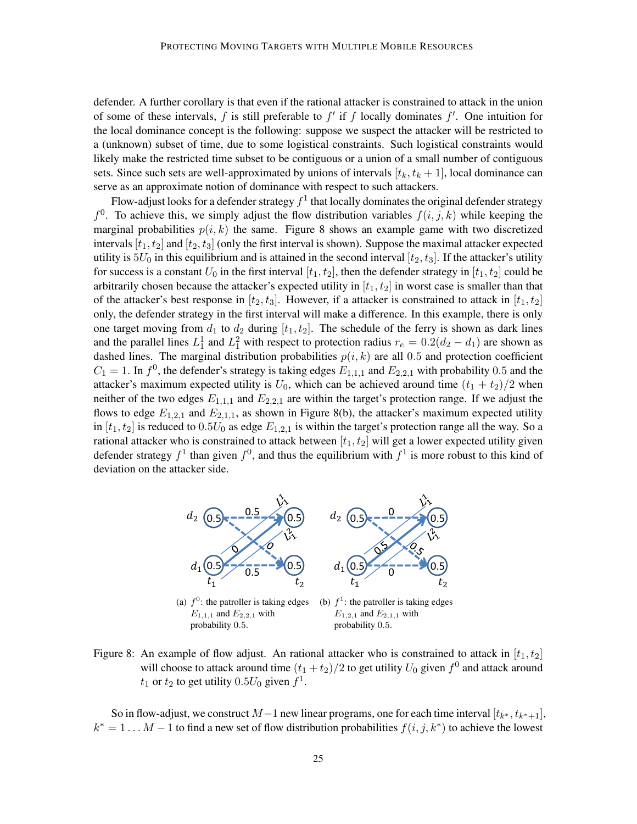defender. A further corollary is that even if the rational attacker is constrained to attack in the union of some of these intervals, f is still preferable to  $f'$  if f locally dominates  $f'$ . One intuition for the local dominance concept is the following: suppose we suspect the attacker will be restricted to a (unknown) subset of time, due to some logistical constraints. Such logistical constraints would likely make the restricted time subset to be contiguous or a union of a small number of contiguous sets. Since such sets are well-approximated by unions of intervals  $[t_k, t_k + 1]$ , local dominance can serve as an approximate notion of dominance with respect to such attackers.

Flow-adjust looks for a defender strategy  $f^1$  that locally dominates the original defender strategy  $f^0$ . To achieve this, we simply adjust the flow distribution variables  $f(i, j, k)$  while keeping the marginal probabilities  $p(i, k)$  the same. Figure 8 shows an example game with two discretized intervals  $[t_1, t_2]$  and  $[t_2, t_3]$  (only the first interval is shown). Suppose the maximal attacker expected utility is  $5U_0$  in this equilibrium and is attained in the second interval  $[t_2, t_3]$ . If the attacker's utility for success is a constant  $U_0$  in the first interval  $[t_1, t_2]$ , then the defender strategy in  $[t_1, t_2]$  could be arbitrarily chosen because the attacker's expected utility in  $[t_1, t_2]$  in worst case is smaller than that of the attacker's best response in  $[t_2, t_3]$ . However, if a attacker is constrained to attack in  $[t_1, t_2]$ only, the defender strategy in the first interval will make a difference. In this example, there is only one target moving from  $d_1$  to  $d_2$  during  $[t_1, t_2]$ . The schedule of the ferry is shown as dark lines and the parallel lines  $L_1^1$  and  $L_1^2$  with respect to protection radius  $r_e = 0.2(d_2 - d_1)$  are shown as dashed lines. The marginal distribution probabilities  $p(i, k)$  are all 0.5 and protection coefficient  $C_1 = 1$ . In  $f^0$ , the defender's strategy is taking edges  $E_{1,1,1}$  and  $E_{2,2,1}$  with probability 0.5 and the attacker's maximum expected utility is  $U_0$ , which can be achieved around time  $(t_1 + t_2)/2$  when neither of the two edges  $E_{1,1,1}$  and  $E_{2,2,1}$  are within the target's protection range. If we adjust the flows to edge  $E_{1,2,1}$  and  $E_{2,1,1}$ , as shown in Figure 8(b), the attacker's maximum expected utility in  $[t_1, t_2]$  is reduced to  $0.5U_0$  as edge  $E_{1,2,1}$  is within the target's protection range all the way. So a rational attacker who is constrained to attack between  $[t_1, t_2]$  will get a lower expected utility given defender strategy  $f^1$  than given  $f^0$ , and thus the equilibrium with  $f^1$  is more robust to this kind of deviation on the attacker side.



Figure 8: An example of flow adjust. An rational attacker who is constrained to attack in  $[t_1, t_2]$ will choose to attack around time  $(t_1 + t_2)/2$  to get utility  $U_0$  given  $f^0$  and attack around  $t_1$  or  $t_2$  to get utility  $0.5U_0$  given  $f^1$ .

So in flow-adjust, we construct  $M-1$  new linear programs, one for each time interval  $[t_{k^*}, t_{k^*+1}]$ ,  $k^* = 1 \dots M - 1$  to find a new set of flow distribution probabilities  $f(i, j, k^*)$  to achieve the lowest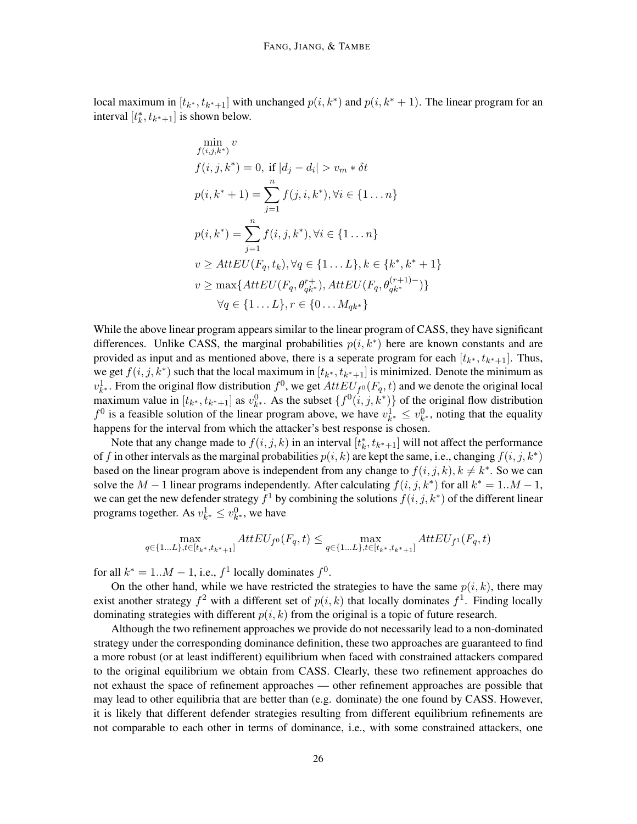local maximum in  $[t_{k^*}, t_{k^*+1}]$  with unchanged  $p(i, k^*)$  and  $p(i, k^* + 1)$ . The linear program for an interval  $[t_k^*, t_{k^*+1}]$  is shown below.

$$
\min_{f(i,j,k^*)} v
$$
\n
$$
f(i,j,k^*) = 0, \text{ if } |d_j - d_i| > v_m * \delta t
$$
\n
$$
p(i,k^*+1) = \sum_{j=1}^n f(j,i,k^*), \forall i \in \{1...n\}
$$
\n
$$
p(i,k^*) = \sum_{j=1}^n f(i,j,k^*), \forall i \in \{1...n\}
$$
\n
$$
v \geq AttEU(F_q, t_k), \forall q \in \{1...L\}, k \in \{k^*, k^*+1\}
$$
\n
$$
v \geq \max\{AttEU(F_q, \theta_{qk^*}^{r+}), AttEU(F_q, \theta_{qk^*}^{(r+1)-})\}
$$
\n
$$
\forall q \in \{1...L\}, r \in \{0...M_{qk^*}\}
$$

While the above linear program appears similar to the linear program of CASS, they have significant differences. Unlike CASS, the marginal probabilities  $p(i, k^*)$  here are known constants and are provided as input and as mentioned above, there is a seperate program for each  $[t_{k^*}, t_{k^*+1}]$ . Thus, we get  $f(i, j, k^*)$  such that the local maximum in  $[t_{k^*}, t_{k^*+1}]$  is minimized. Denote the minimum as  $v_{k^*}^1$ . From the original flow distribution  $f^0$ , we get  $AttEU_{f^0}(F_q, t)$  and we denote the original local maximum value in  $[t_{k^*}, t_{k^*+1}]$  as  $v_{k^*}^0$ . As the subset  $\{f^0(i, j, k^*)\}$  of the original flow distribution  $f^0$  is a feasible solution of the linear program above, we have  $v_{k^*}^1 \leq v_{k^*}^0$ , noting that the equality happens for the interval from which the attacker's best response is chosen.

Note that any change made to  $f(i, j, k)$  in an interval  $[t_k^*, t_{k^*+1}]$  will not affect the performance of f in other intervals as the marginal probabilities  $p(i, k)$  are kept the same, i.e., changing  $f(i, j, k^*)$ based on the linear program above is independent from any change to  $f(i, j, k)$ ,  $k \neq k^*$ . So we can solve the  $M-1$  linear programs independently. After calculating  $f(i, j, k^*)$  for all  $k^* = 1...M - 1$ , we can get the new defender strategy  $f^1$  by combining the solutions  $f(i, j, k^*)$  of the different linear programs together. As  $v_{k^*}^1 \leq v_{k^*}^0$ , we have

$$
\max_{q \in \{1...L\}, t \in [t_{k^*}, t_{k^*+1}]} AttEU_{f^0}(F_q, t) \le \max_{q \in \{1...L\}, t \in [t_{k^*}, t_{k^*+1}]} AttEU_{f^1}(F_q, t)
$$

for all  $k^* = 1...M - 1$ , i.e.,  $f^1$  locally dominates  $f^0$ .

On the other hand, while we have restricted the strategies to have the same  $p(i, k)$ , there may exist another strategy  $f^2$  with a different set of  $p(i,k)$  that locally dominates  $f^1$ . Finding locally dominating strategies with different  $p(i, k)$  from the original is a topic of future research.

Although the two refinement approaches we provide do not necessarily lead to a non-dominated strategy under the corresponding dominance definition, these two approaches are guaranteed to find a more robust (or at least indifferent) equilibrium when faced with constrained attackers compared to the original equilibrium we obtain from CASS. Clearly, these two refinement approaches do not exhaust the space of refinement approaches — other refinement approaches are possible that may lead to other equilibria that are better than (e.g. dominate) the one found by CASS. However, it is likely that different defender strategies resulting from different equilibrium refinements are not comparable to each other in terms of dominance, i.e., with some constrained attackers, one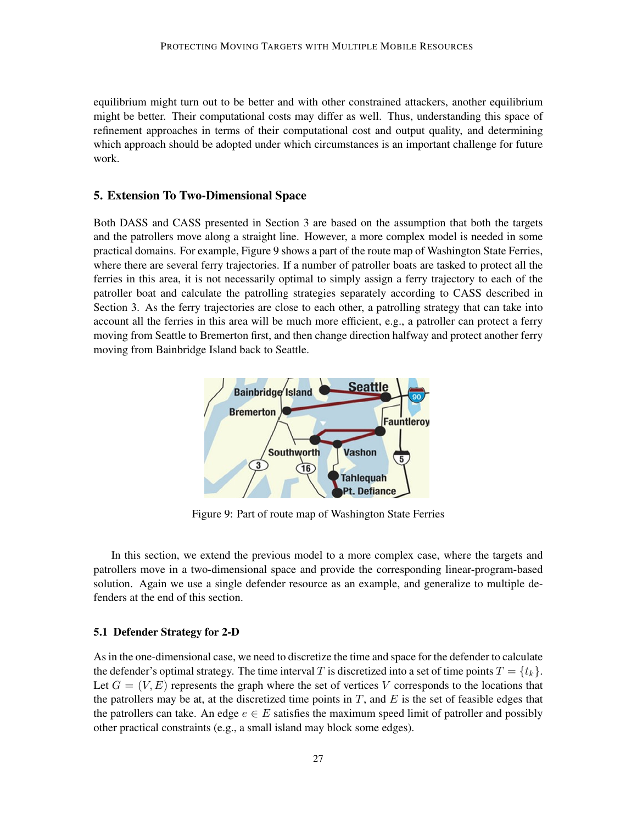equilibrium might turn out to be better and with other constrained attackers, another equilibrium might be better. Their computational costs may differ as well. Thus, understanding this space of refinement approaches in terms of their computational cost and output quality, and determining which approach should be adopted under which circumstances is an important challenge for future work.

#### 5. Extension To Two-Dimensional Space

Both DASS and CASS presented in Section 3 are based on the assumption that both the targets and the patrollers move along a straight line. However, a more complex model is needed in some practical domains. For example, Figure 9 shows a part of the route map of Washington State Ferries, where there are several ferry trajectories. If a number of patroller boats are tasked to protect all the ferries in this area, it is not necessarily optimal to simply assign a ferry trajectory to each of the patroller boat and calculate the patrolling strategies separately according to CASS described in Section 3. As the ferry trajectories are close to each other, a patrolling strategy that can take into account all the ferries in this area will be much more efficient, e.g., a patroller can protect a ferry moving from Seattle to Bremerton first, and then change direction halfway and protect another ferry moving from Bainbridge Island back to Seattle.



Figure 9: Part of route map of Washington State Ferries

In this section, we extend the previous model to a more complex case, where the targets and patrollers move in a two-dimensional space and provide the corresponding linear-program-based solution. Again we use a single defender resource as an example, and generalize to multiple defenders at the end of this section.

### 5.1 Defender Strategy for 2-D

As in the one-dimensional case, we need to discretize the time and space for the defender to calculate the defender's optimal strategy. The time interval T is discretized into a set of time points  $T = \{t_k\}$ . Let  $G = (V, E)$  represents the graph where the set of vertices V corresponds to the locations that the patrollers may be at, at the discretized time points in  $T$ , and  $E$  is the set of feasible edges that the patrollers can take. An edge  $e \in E$  satisfies the maximum speed limit of patroller and possibly other practical constraints (e.g., a small island may block some edges).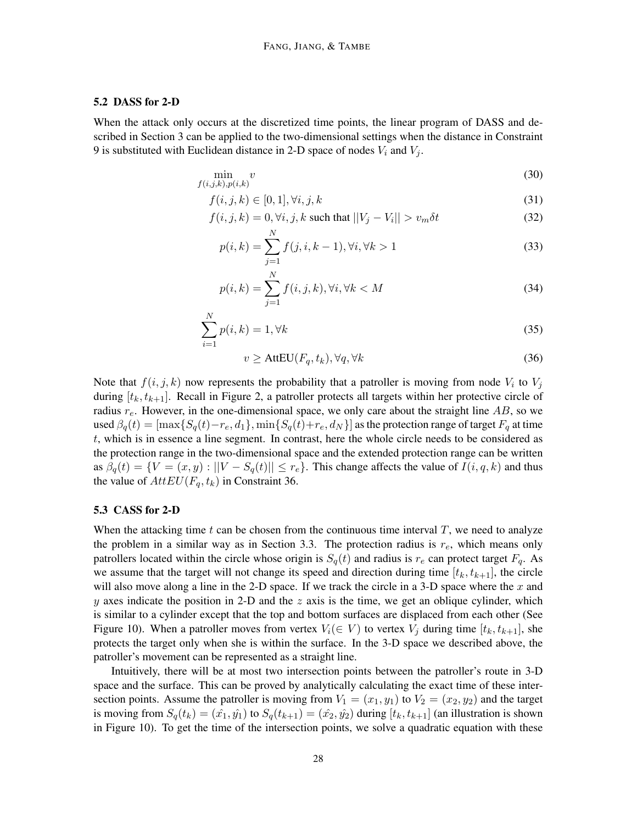#### 5.2 DASS for 2-D

When the attack only occurs at the discretized time points, the linear program of DASS and described in Section 3 can be applied to the two-dimensional settings when the distance in Constraint 9 is substituted with Euclidean distance in 2-D space of nodes  $V_i$  and  $V_j$ .

$$
\min_{f(i,j,k),p(i,k)} v \tag{30}
$$

$$
f(i,j,k) \in [0,1], \forall i, j, k \tag{31}
$$

$$
f(i, j, k) = 0, \forall i, j, k \text{ such that } ||V_j - V_i|| > v_m \delta t \tag{32}
$$

$$
p(i,k) = \sum_{j=1}^{N} f(j,i,k-1), \forall i, \forall k > 1
$$
\n(33)

$$
p(i,k) = \sum_{j=1}^{N} f(i,j,k), \forall i, \forall k < M
$$
\n(34)

$$
\sum_{i=1}^{N} p(i,k) = 1, \forall k
$$
\n(35)

$$
v \ge \text{AttEU}(F_q, t_k), \forall q, \forall k \tag{36}
$$

Note that  $f(i, j, k)$  now represents the probability that a patroller is moving from node  $V_i$  to  $V_j$ during  $[t_k, t_{k+1}]$ . Recall in Figure 2, a patroller protects all targets within her protective circle of radius  $r_e$ . However, in the one-dimensional space, we only care about the straight line AB, so we used  $\beta_q(t) = [\max\{S_q(t) - r_e, d_1\}, \min\{S_q(t) + r_e, d_N\}]$  as the protection range of target  $F_q$  at time t, which is in essence a line segment. In contrast, here the whole circle needs to be considered as the protection range in the two-dimensional space and the extended protection range can be written as  $\beta_q(t) = \{V = (x, y) : ||V - S_q(t)|| \leq r_e\}$ . This change affects the value of  $I(i, q, k)$  and thus the value of  $AttEU(F_a, t_k)$  in Constraint 36.

#### 5.3 CASS for 2-D

When the attacking time t can be chosen from the continuous time interval  $T$ , we need to analyze the problem in a similar way as in Section 3.3. The protection radius is  $r_e$ , which means only patrollers located within the circle whose origin is  $S_q(t)$  and radius is  $r_e$  can protect target  $F_q$ . As we assume that the target will not change its speed and direction during time  $[t_k, t_{k+1}]$ , the circle will also move along a line in the 2-D space. If we track the circle in a 3-D space where the  $x$  and y axes indicate the position in 2-D and the  $z$  axis is the time, we get an oblique cylinder, which is similar to a cylinder except that the top and bottom surfaces are displaced from each other (See Figure 10). When a patroller moves from vertex  $V_i(\in V)$  to vertex  $V_j$  during time  $[t_k, t_{k+1}]$ , she protects the target only when she is within the surface. In the 3-D space we described above, the patroller's movement can be represented as a straight line.

Intuitively, there will be at most two intersection points between the patroller's route in 3-D space and the surface. This can be proved by analytically calculating the exact time of these intersection points. Assume the patroller is moving from  $V_1 = (x_1, y_1)$  to  $V_2 = (x_2, y_2)$  and the target is moving from  $S_q(t_k) = (\hat{x}_1, \hat{y}_1)$  to  $S_q(t_{k+1}) = (\hat{x}_2, \hat{y}_2)$  during  $[t_k, t_{k+1}]$  (an illustration is shown in Figure 10). To get the time of the intersection points, we solve a quadratic equation with these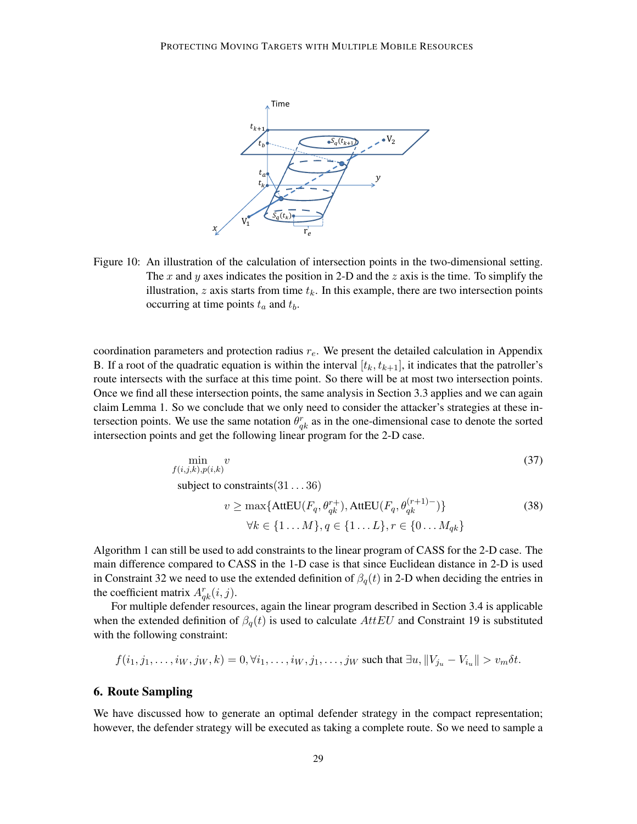

Figure 10: An illustration of the calculation of intersection points in the two-dimensional setting. The x and y axes indicates the position in 2-D and the z axis is the time. To simplify the illustration,  $z$  axis starts from time  $t_k$ . In this example, there are two intersection points occurring at time points  $t_a$  and  $t_b$ .

coordination parameters and protection radius  $r_e$ . We present the detailed calculation in Appendix B. If a root of the quadratic equation is within the interval  $[t_k, t_{k+1}]$ , it indicates that the patroller's route intersects with the surface at this time point. So there will be at most two intersection points. Once we find all these intersection points, the same analysis in Section 3.3 applies and we can again claim Lemma 1. So we conclude that we only need to consider the attacker's strategies at these intersection points. We use the same notation  $\theta_{qk}^r$  as in the one-dimensional case to denote the sorted intersection points and get the following linear program for the 2-D case.

$$
\min_{f(i,j,k),p(i,k)} v
$$
\nsubject to constraints (31...36)

\n
$$
v \ge \max\{\text{AttEU}(F_q, \theta_{qk}^{r+1}), \text{AttEU}(F_q, \theta_{qk}^{(r+1)-})\}
$$
\n
$$
\forall k \in \{1...M\}, q \in \{1...L\}, r \in \{0...M_{ak}\}
$$
\n(38)

Algorithm 1 can still be used to add constraints to the linear program of CASS for the 2-D case. The main difference compared to CASS in the 1-D case is that since Euclidean distance in 2-D is used in Constraint 32 we need to use the extended definition of  $\beta_q(t)$  in 2-D when deciding the entries in

the coefficient matrix  $A_{qk}^r(i, j)$ .

For multiple defender resources, again the linear program described in Section 3.4 is applicable when the extended definition of  $\beta_q(t)$  is used to calculate AttEU and Constraint 19 is substituted with the following constraint:

$$
f(i_1, j_1, \ldots, i_W, j_W, k) = 0, \forall i_1, \ldots, i_W, j_1, \ldots, j_W \text{ such that } \exists u, ||V_{j_u} - V_{i_u}|| > v_m \delta t.
$$

#### 6. Route Sampling

We have discussed how to generate an optimal defender strategy in the compact representation; however, the defender strategy will be executed as taking a complete route. So we need to sample a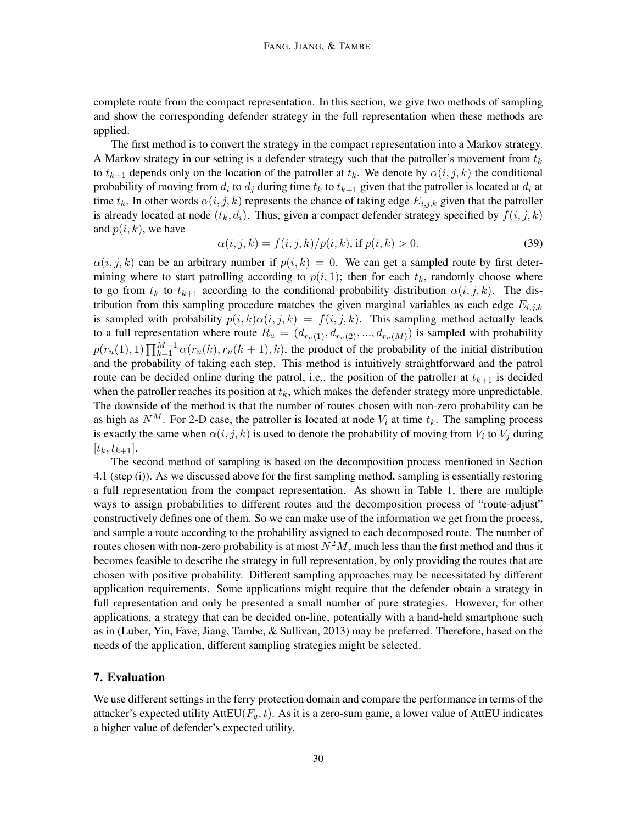complete route from the compact representation. In this section, we give two methods of sampling and show the corresponding defender strategy in the full representation when these methods are applied.

The first method is to convert the strategy in the compact representation into a Markov strategy. A Markov strategy in our setting is a defender strategy such that the patroller's movement from  $t_k$ to  $t_{k+1}$  depends only on the location of the patroller at  $t_k$ . We denote by  $\alpha(i, j, k)$  the conditional probability of moving from  $d_i$  to  $d_j$  during time  $t_k$  to  $t_{k+1}$  given that the patroller is located at  $d_i$  at time  $t_k$ . In other words  $\alpha(i, j, k)$  represents the chance of taking edge  $E_{i,j,k}$  given that the patroller is already located at node  $(t_k, d_i)$ . Thus, given a compact defender strategy specified by  $f(i, j, k)$ and  $p(i, k)$ , we have

$$
\alpha(i, j, k) = f(i, j, k) / p(i, k), \text{ if } p(i, k) > 0. \tag{39}
$$

 $\alpha(i, j, k)$  can be an arbitrary number if  $p(i, k) = 0$ . We can get a sampled route by first determining where to start patrolling according to  $p(i, 1)$ ; then for each  $t_k$ , randomly choose where to go from  $t_k$  to  $t_{k+1}$  according to the conditional probability distribution  $\alpha(i, j, k)$ . The distribution from this sampling procedure matches the given marginal variables as each edge  $E_{i,j,k}$ is sampled with probability  $p(i, k) \alpha(i, j, k) = f(i, j, k)$ . This sampling method actually leads to a full representation where route  $R_u = (d_{r_u(1)}, d_{r_u(2)}, ..., d_{r_u(M)})$  is sampled with probability  $p(r_u(1), 1) \prod_{k=1}^{M-1} \alpha(r_u(k), r_u(k+1), k)$ , the product of the probability of the initial distribution and the probability of taking each step. This method is intuitively straightforward and the patrol route can be decided online during the patrol, i.e., the position of the patroller at  $t_{k+1}$  is decided when the patroller reaches its position at  $t_k$ , which makes the defender strategy more unpredictable. The downside of the method is that the number of routes chosen with non-zero probability can be as high as  $N^M$ . For 2-D case, the patroller is located at node  $V_i$  at time  $t_k$ . The sampling process is exactly the same when  $\alpha(i, j, k)$  is used to denote the probability of moving from  $V_i$  to  $V_j$  during  $[t_k, t_{k+1}].$ 

The second method of sampling is based on the decomposition process mentioned in Section 4.1 (step (i)). As we discussed above for the first sampling method, sampling is essentially restoring a full representation from the compact representation. As shown in Table 1, there are multiple ways to assign probabilities to different routes and the decomposition process of "route-adjust" constructively defines one of them. So we can make use of the information we get from the process, and sample a route according to the probability assigned to each decomposed route. The number of routes chosen with non-zero probability is at most  $N^2M$ , much less than the first method and thus it becomes feasible to describe the strategy in full representation, by only providing the routes that are chosen with positive probability. Different sampling approaches may be necessitated by different application requirements. Some applications might require that the defender obtain a strategy in full representation and only be presented a small number of pure strategies. However, for other applications, a strategy that can be decided on-line, potentially with a hand-held smartphone such as in (Luber, Yin, Fave, Jiang, Tambe, & Sullivan, 2013) may be preferred. Therefore, based on the needs of the application, different sampling strategies might be selected.

# 7. Evaluation

We use different settings in the ferry protection domain and compare the performance in terms of the attacker's expected utility AttEU( $F_q$ , t). As it is a zero-sum game, a lower value of AttEU indicates a higher value of defender's expected utility.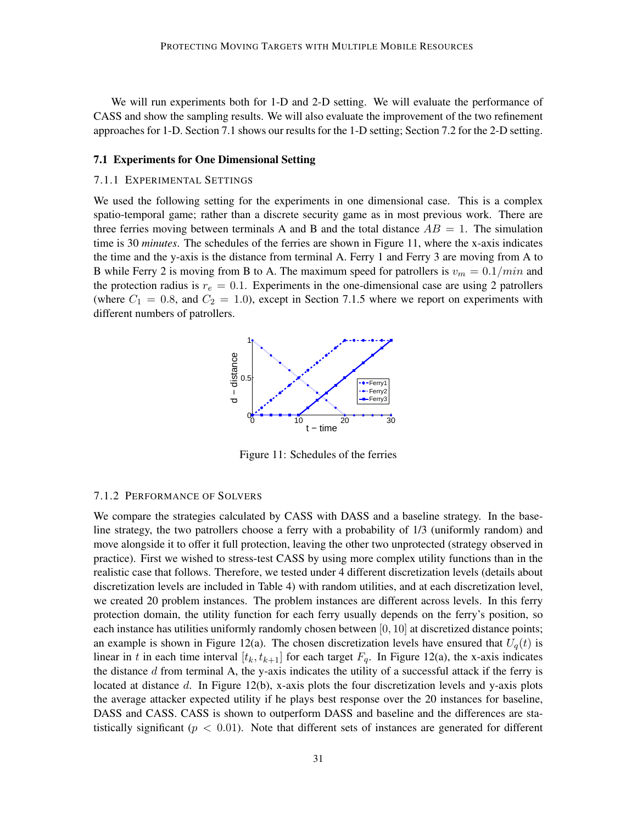We will run experiments both for 1-D and 2-D setting. We will evaluate the performance of CASS and show the sampling results. We will also evaluate the improvement of the two refinement approaches for 1-D. Section 7.1 shows our results for the 1-D setting; Section 7.2 for the 2-D setting.

#### 7.1 Experiments for One Dimensional Setting

#### 7.1.1 EXPERIMENTAL SETTINGS

We used the following setting for the experiments in one dimensional case. This is a complex spatio-temporal game; rather than a discrete security game as in most previous work. There are three ferries moving between terminals A and B and the total distance  $AB = 1$ . The simulation time is 30 *minutes*. The schedules of the ferries are shown in Figure 11, where the x-axis indicates the time and the y-axis is the distance from terminal A. Ferry 1 and Ferry 3 are moving from A to B while Ferry 2 is moving from B to A. The maximum speed for patrollers is  $v_m = 0.1/min$  and the protection radius is  $r_e = 0.1$ . Experiments in the one-dimensional case are using 2 patrollers (where  $C_1 = 0.8$ , and  $C_2 = 1.0$ ), except in Section 7.1.5 where we report on experiments with different numbers of patrollers.



Figure 11: Schedules of the ferries

#### 7.1.2 PERFORMANCE OF SOLVERS

We compare the strategies calculated by CASS with DASS and a baseline strategy. In the baseline strategy, the two patrollers choose a ferry with a probability of 1/3 (uniformly random) and move alongside it to offer it full protection, leaving the other two unprotected (strategy observed in practice). First we wished to stress-test CASS by using more complex utility functions than in the realistic case that follows. Therefore, we tested under 4 different discretization levels (details about discretization levels are included in Table 4) with random utilities, and at each discretization level, we created 20 problem instances. The problem instances are different across levels. In this ferry protection domain, the utility function for each ferry usually depends on the ferry's position, so each instance has utilities uniformly randomly chosen between  $[0, 10]$  at discretized distance points; an example is shown in Figure 12(a). The chosen discretization levels have ensured that  $U_q(t)$  is linear in t in each time interval  $[t_k, t_{k+1}]$  for each target  $F_q$ . In Figure 12(a), the x-axis indicates the distance  $d$  from terminal A, the y-axis indicates the utility of a successful attack if the ferry is located at distance  $d$ . In Figure 12(b), x-axis plots the four discretization levels and y-axis plots the average attacker expected utility if he plays best response over the 20 instances for baseline, DASS and CASS. CASS is shown to outperform DASS and baseline and the differences are statistically significant ( $p < 0.01$ ). Note that different sets of instances are generated for different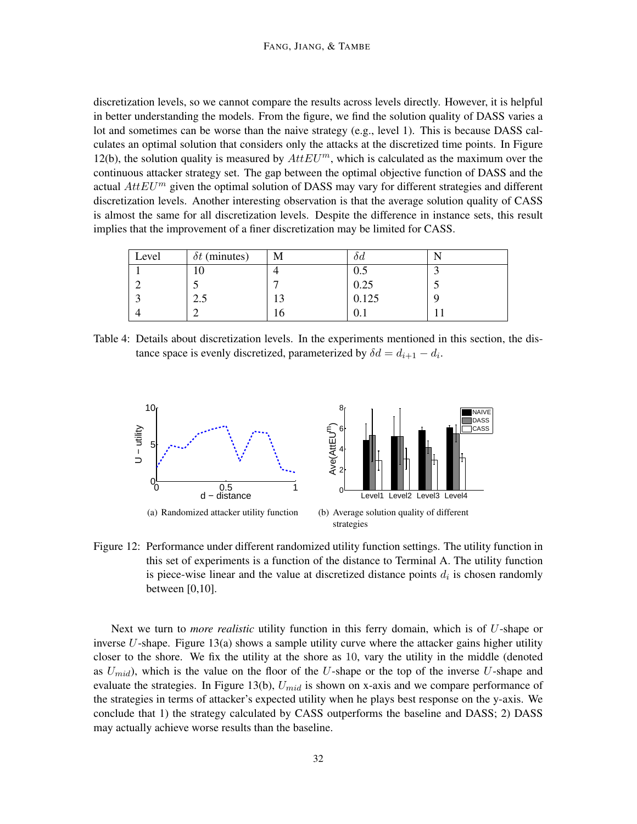discretization levels, so we cannot compare the results across levels directly. However, it is helpful in better understanding the models. From the figure, we find the solution quality of DASS varies a lot and sometimes can be worse than the naive strategy (e.g., level 1). This is because DASS calculates an optimal solution that considers only the attacks at the discretized time points. In Figure 12(b), the solution quality is measured by  $AttEU^m$ , which is calculated as the maximum over the continuous attacker strategy set. The gap between the optimal objective function of DASS and the actual  $AttEU^m$  given the optimal solution of DASS may vary for different strategies and different discretization levels. Another interesting observation is that the average solution quality of CASS is almost the same for all discretization levels. Despite the difference in instance sets, this result implies that the improvement of a finer discretization may be limited for CASS.

| Level | $\delta t$ (minutes) | M  | oа    |   |
|-------|----------------------|----|-------|---|
|       | ∡∪                   |    | 0.5   |   |
|       |                      |    | 0.25  | ب |
|       | 2.5                  | ιJ | 0.125 |   |
|       |                      | 10 | v. 1  |   |

Table 4: Details about discretization levels. In the experiments mentioned in this section, the distance space is evenly discretized, parameterized by  $\delta d = d_{i+1} - d_i$ .



Figure 12: Performance under different randomized utility function settings. The utility function in this set of experiments is a function of the distance to Terminal A. The utility function is piece-wise linear and the value at discretized distance points  $d_i$  is chosen randomly between [0,10].

Next we turn to *more realistic* utility function in this ferry domain, which is of U-shape or inverse U-shape. Figure  $13(a)$  shows a sample utility curve where the attacker gains higher utility closer to the shore. We fix the utility at the shore as 10, vary the utility in the middle (denoted as  $U_{mid}$ ), which is the value on the floor of the U-shape or the top of the inverse U-shape and evaluate the strategies. In Figure 13(b),  $U_{mid}$  is shown on x-axis and we compare performance of the strategies in terms of attacker's expected utility when he plays best response on the y-axis. We conclude that 1) the strategy calculated by CASS outperforms the baseline and DASS; 2) DASS may actually achieve worse results than the baseline.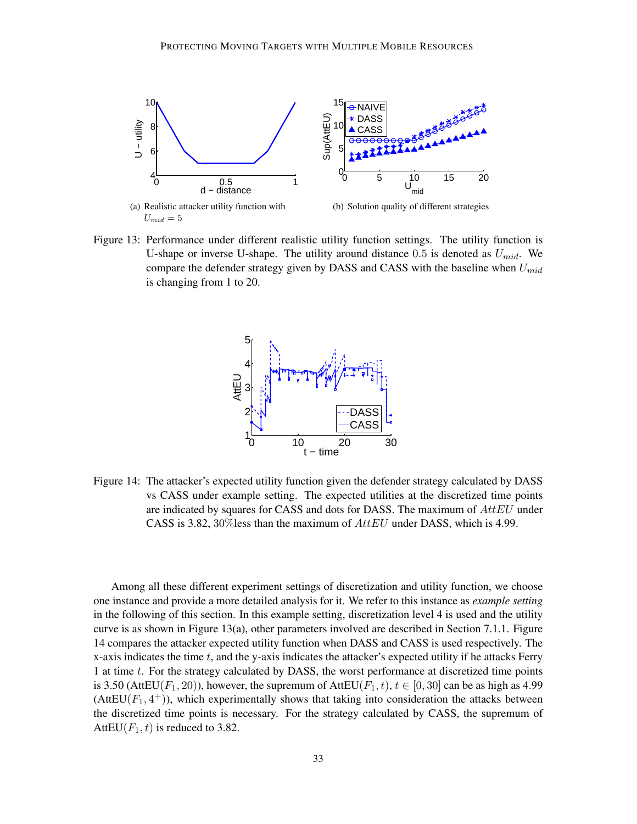

Figure 13: Performance under different realistic utility function settings. The utility function is U-shape or inverse U-shape. The utility around distance 0.5 is denoted as  $U_{mid}$ . We compare the defender strategy given by DASS and CASS with the baseline when  $U_{mid}$ is changing from 1 to 20.



Figure 14: The attacker's expected utility function given the defender strategy calculated by DASS vs CASS under example setting. The expected utilities at the discretized time points are indicated by squares for CASS and dots for DASS. The maximum of  $AttEU$  under CASS is 3.82,  $30\%$  less than the maximum of  $AttEU$  under DASS, which is 4.99.

Among all these different experiment settings of discretization and utility function, we choose one instance and provide a more detailed analysis for it. We refer to this instance as *example setting* in the following of this section. In this example setting, discretization level 4 is used and the utility curve is as shown in Figure 13(a), other parameters involved are described in Section 7.1.1. Figure 14 compares the attacker expected utility function when DASS and CASS is used respectively. The x-axis indicates the time  $t$ , and the y-axis indicates the attacker's expected utility if he attacks Ferry 1 at time t. For the strategy calculated by DASS, the worst performance at discretized time points is 3.50 (AttEU(F<sub>1</sub>, 20)), however, the supremum of AttEU(F<sub>1</sub>, t),  $t \in [0, 30]$  can be as high as 4.99  $(AttEU(F_1, 4^+))$ , which experimentally shows that taking into consideration the attacks between the discretized time points is necessary. For the strategy calculated by CASS, the supremum of AttEU( $F_1$ , t) is reduced to 3.82.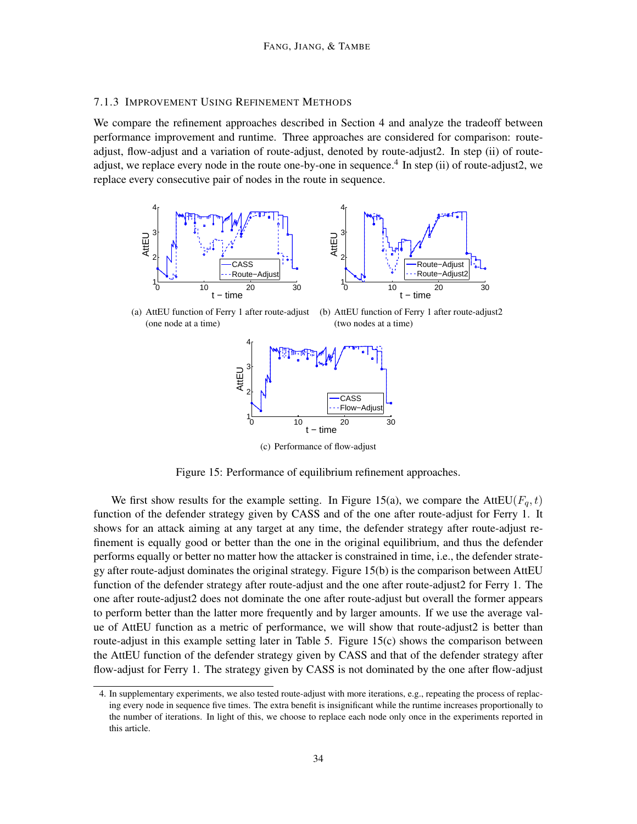#### 7.1.3 IMPROVEMENT USING REFINEMENT METHODS

We compare the refinement approaches described in Section 4 and analyze the tradeoff between performance improvement and runtime. Three approaches are considered for comparison: routeadjust, flow-adjust and a variation of route-adjust, denoted by route-adjust2. In step (ii) of routeadjust, we replace every node in the route one-by-one in sequence.<sup>4</sup> In step (ii) of route-adjust2, we replace every consecutive pair of nodes in the route in sequence.





(a) AttEU function of Ferry 1 after route-adjust (one node at a time)

(b) AttEU function of Ferry 1 after route-adjust2 (two nodes at a time)



(c) Performance of flow-adjust

Figure 15: Performance of equilibrium refinement approaches.

We first show results for the example setting. In Figure 15(a), we compare the AttEU( $F_q$ , t) function of the defender strategy given by CASS and of the one after route-adjust for Ferry 1. It shows for an attack aiming at any target at any time, the defender strategy after route-adjust refinement is equally good or better than the one in the original equilibrium, and thus the defender performs equally or better no matter how the attacker is constrained in time, i.e., the defender strategy after route-adjust dominates the original strategy. Figure 15(b) is the comparison between AttEU function of the defender strategy after route-adjust and the one after route-adjust2 for Ferry 1. The one after route-adjust2 does not dominate the one after route-adjust but overall the former appears to perform better than the latter more frequently and by larger amounts. If we use the average value of AttEU function as a metric of performance, we will show that route-adjust2 is better than route-adjust in this example setting later in Table 5. Figure 15(c) shows the comparison between the AttEU function of the defender strategy given by CASS and that of the defender strategy after flow-adjust for Ferry 1. The strategy given by CASS is not dominated by the one after flow-adjust

<sup>4.</sup> In supplementary experiments, we also tested route-adjust with more iterations, e.g., repeating the process of replacing every node in sequence five times. The extra benefit is insignificant while the runtime increases proportionally to the number of iterations. In light of this, we choose to replace each node only once in the experiments reported in this article.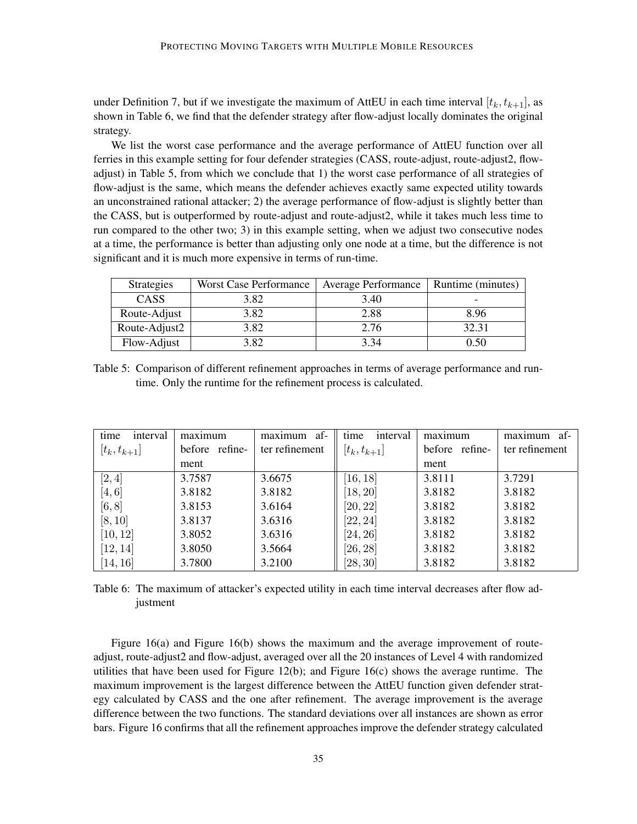under Definition 7, but if we investigate the maximum of AttEU in each time interval  $[t_k, t_{k+1}]$ , as shown in Table 6, we find that the defender strategy after flow-adjust locally dominates the original strategy.

We list the worst case performance and the average performance of AttEU function over all ferries in this example setting for four defender strategies (CASS, route-adjust, route-adjust2, flowadjust) in Table 5, from which we conclude that 1) the worst case performance of all strategies of flow-adjust is the same, which means the defender achieves exactly same expected utility towards an unconstrained rational attacker; 2) the average performance of flow-adjust is slightly better than the CASS, but is outperformed by route-adjust and route-adjust2, while it takes much less time to run compared to the other two; 3) in this example setting, when we adjust two consecutive nodes at a time, the performance is better than adjusting only one node at a time, but the difference is not significant and it is much more expensive in terms of run-time.

| <b>Strategies</b> | <b>Worst Case Performance</b> | <b>Average Performance</b> | Runtime (minutes) |
|-------------------|-------------------------------|----------------------------|-------------------|
| CASS              | 3.82                          | 3.40                       |                   |
| Route-Adjust      | 3.82                          | 2.88                       | 8.96              |
| Route-Adjust2     | 3.82                          | 2.76                       | 32.31             |
| Flow-Adjust       | 3.82                          | 3.34                       | 0.50              |

Table 5: Comparison of different refinement approaches in terms of average performance and runtime. Only the runtime for the refinement process is calculated.

| time<br>interval | maximum        | maximum af-    | interval<br>time | maximum        | -af<br>maximum |
|------------------|----------------|----------------|------------------|----------------|----------------|
| $[t_k, t_{k+1}]$ | before refine- | ter refinement | $[t_k, t_{k+1}]$ | before refine- | ter refinement |
|                  | ment           |                |                  | ment           |                |
| [2,4]            | 3.7587         | 3.6675         | [16, 18]         | 3.8111         | 3.7291         |
| [4, 6]           | 3.8182         | 3.8182         | [18, 20]         | 3.8182         | 3.8182         |
| [6, 8]           | 3.8153         | 3.6164         | [20, 22]         | 3.8182         | 3.8182         |
| [8, 10]          | 3.8137         | 3.6316         | [22, 24]         | 3.8182         | 3.8182         |
| [10, 12]         | 3.8052         | 3.6316         | [24, 26]         | 3.8182         | 3.8182         |
| [12, 14]         | 3.8050         | 3.5664         | [26, 28]         | 3.8182         | 3.8182         |
| [14, 16]         | 3.7800         | 3.2100         | [28, 30]         | 3.8182         | 3.8182         |

Table 6: The maximum of attacker's expected utility in each time interval decreases after flow adjustment

Figure 16(a) and Figure 16(b) shows the maximum and the average improvement of routeadjust, route-adjust2 and flow-adjust, averaged over all the 20 instances of Level 4 with randomized utilities that have been used for Figure  $12(b)$ ; and Figure  $16(c)$  shows the average runtime. The maximum improvement is the largest difference between the AttEU function given defender strategy calculated by CASS and the one after refinement. The average improvement is the average difference between the two functions. The standard deviations over all instances are shown as error bars. Figure 16 confirms that all the refinement approaches improve the defender strategy calculated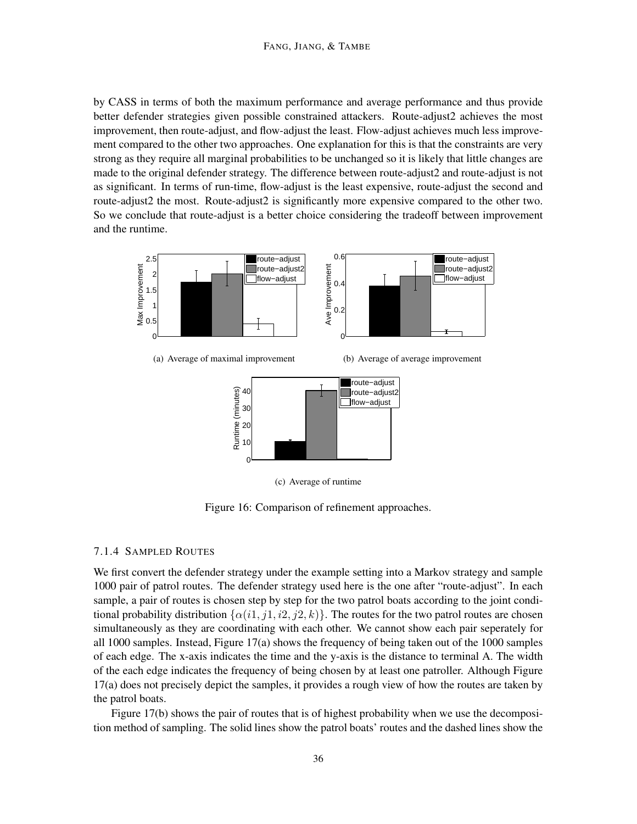#### FANG, JIANG, & TAMBE

by CASS in terms of both the maximum performance and average performance and thus provide better defender strategies given possible constrained attackers. Route-adjust2 achieves the most improvement, then route-adjust, and flow-adjust the least. Flow-adjust achieves much less improvement compared to the other two approaches. One explanation for this is that the constraints are very strong as they require all marginal probabilities to be unchanged so it is likely that little changes are made to the original defender strategy. The difference between route-adjust2 and route-adjust is not as significant. In terms of run-time, flow-adjust is the least expensive, route-adjust the second and route-adjust2 the most. Route-adjust2 is significantly more expensive compared to the other two. So we conclude that route-adjust is a better choice considering the tradeoff between improvement and the runtime.



(a) Average of maximal improvement

(b) Average of average improvement



(c) Average of runtime

Figure 16: Comparison of refinement approaches.

#### 7.1.4 SAMPLED ROUTES

We first convert the defender strategy under the example setting into a Markov strategy and sample 1000 pair of patrol routes. The defender strategy used here is the one after "route-adjust". In each sample, a pair of routes is chosen step by step for the two patrol boats according to the joint conditional probability distribution  $\{\alpha(i1, j1, i2, j2, k)\}\$ . The routes for the two patrol routes are chosen simultaneously as they are coordinating with each other. We cannot show each pair seperately for all 1000 samples. Instead, Figure 17(a) shows the frequency of being taken out of the 1000 samples of each edge. The x-axis indicates the time and the y-axis is the distance to terminal A. The width of the each edge indicates the frequency of being chosen by at least one patroller. Although Figure 17(a) does not precisely depict the samples, it provides a rough view of how the routes are taken by the patrol boats.

Figure 17(b) shows the pair of routes that is of highest probability when we use the decomposition method of sampling. The solid lines show the patrol boats' routes and the dashed lines show the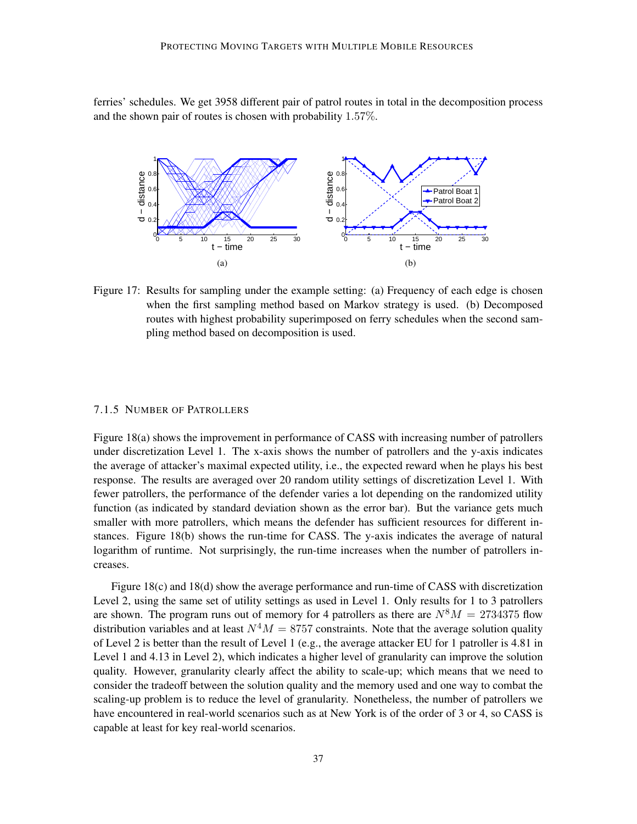ferries' schedules. We get 3958 different pair of patrol routes in total in the decomposition process and the shown pair of routes is chosen with probability 1.57%.



Figure 17: Results for sampling under the example setting: (a) Frequency of each edge is chosen when the first sampling method based on Markov strategy is used. (b) Decomposed routes with highest probability superimposed on ferry schedules when the second sampling method based on decomposition is used.

#### 7.1.5 NUMBER OF PATROLLERS

Figure 18(a) shows the improvement in performance of CASS with increasing number of patrollers under discretization Level 1. The x-axis shows the number of patrollers and the y-axis indicates the average of attacker's maximal expected utility, i.e., the expected reward when he plays his best response. The results are averaged over 20 random utility settings of discretization Level 1. With fewer patrollers, the performance of the defender varies a lot depending on the randomized utility function (as indicated by standard deviation shown as the error bar). But the variance gets much smaller with more patrollers, which means the defender has sufficient resources for different instances. Figure 18(b) shows the run-time for CASS. The y-axis indicates the average of natural logarithm of runtime. Not surprisingly, the run-time increases when the number of patrollers increases.

Figure 18(c) and 18(d) show the average performance and run-time of CASS with discretization Level 2, using the same set of utility settings as used in Level 1. Only results for 1 to 3 patrollers are shown. The program runs out of memory for 4 patrollers as there are  $N^8M = 2734375$  flow distribution variables and at least  $N^4M = 8757$  constraints. Note that the average solution quality of Level 2 is better than the result of Level 1 (e.g., the average attacker EU for 1 patroller is 4.81 in Level 1 and 4.13 in Level 2), which indicates a higher level of granularity can improve the solution quality. However, granularity clearly affect the ability to scale-up; which means that we need to consider the tradeoff between the solution quality and the memory used and one way to combat the scaling-up problem is to reduce the level of granularity. Nonetheless, the number of patrollers we have encountered in real-world scenarios such as at New York is of the order of 3 or 4, so CASS is capable at least for key real-world scenarios.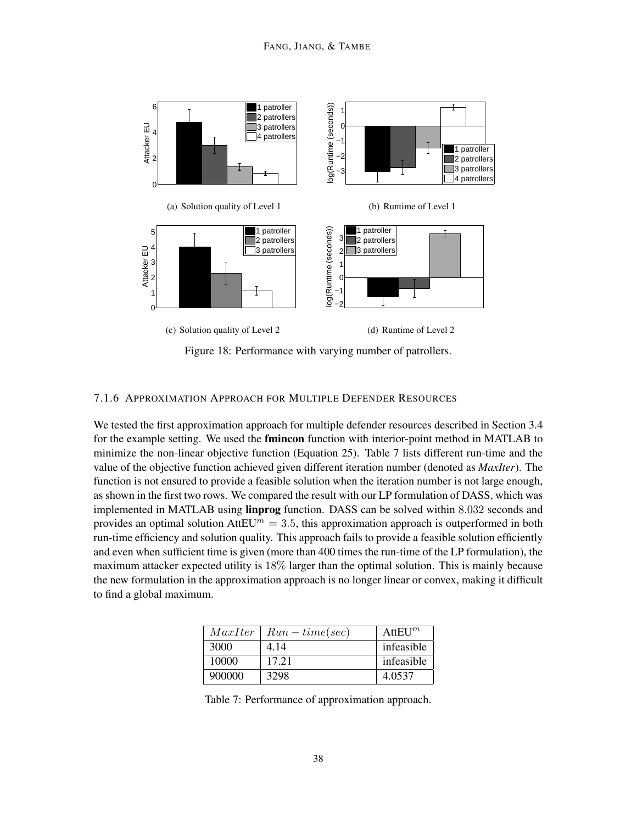

Figure 18: Performance with varying number of patrollers.

#### 7.1.6 APPROXIMATION APPROACH FOR MULTIPLE DEFENDER RESOURCES

We tested the first approximation approach for multiple defender resources described in Section 3.4 for the example setting. We used the **fmincon** function with interior-point method in MATLAB to minimize the non-linear objective function (Equation 25). Table 7 lists different run-time and the value of the objective function achieved given different iteration number (denoted as *MaxIter*). The function is not ensured to provide a feasible solution when the iteration number is not large enough, as shown in the first two rows. We compared the result with our LP formulation of DASS, which was implemented in MATLAB using **linprog** function. DASS can be solved within 8.032 seconds and provides an optimal solution AttEU<sup> $m = 3.5$ , this approximation approach is outperformed in both</sup> run-time efficiency and solution quality. This approach fails to provide a feasible solution efficiently and even when sufficient time is given (more than 400 times the run-time of the LP formulation), the maximum attacker expected utility is 18% larger than the optimal solution. This is mainly because the new formulation in the approximation approach is no longer linear or convex, making it difficult to find a global maximum.

| MaxIter | $Run-time(sec)$ | $AttEU^m$  |
|---------|-----------------|------------|
| 3000    | 4.14            | infeasible |
| 10000   | 17.21           | infeasible |
| 900000  | 3298            | 4.0537     |

Table 7: Performance of approximation approach.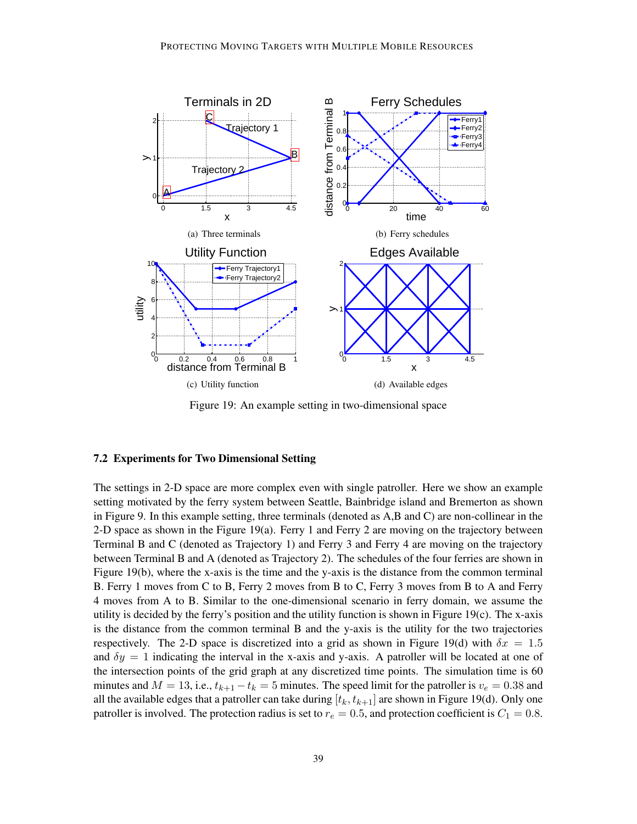

Figure 19: An example setting in two-dimensional space

### 7.2 Experiments for Two Dimensional Setting

The settings in 2-D space are more complex even with single patroller. Here we show an example setting motivated by the ferry system between Seattle, Bainbridge island and Bremerton as shown in Figure 9. In this example setting, three terminals (denoted as A,B and C) are non-collinear in the 2-D space as shown in the Figure 19(a). Ferry 1 and Ferry 2 are moving on the trajectory between Terminal B and C (denoted as Trajectory 1) and Ferry 3 and Ferry 4 are moving on the trajectory between Terminal B and A (denoted as Trajectory 2). The schedules of the four ferries are shown in Figure 19(b), where the x-axis is the time and the y-axis is the distance from the common terminal B. Ferry 1 moves from C to B, Ferry 2 moves from B to C, Ferry 3 moves from B to A and Ferry 4 moves from A to B. Similar to the one-dimensional scenario in ferry domain, we assume the utility is decided by the ferry's position and the utility function is shown in Figure 19(c). The x-axis is the distance from the common terminal B and the y-axis is the utility for the two trajectories respectively. The 2-D space is discretized into a grid as shown in Figure 19(d) with  $\delta x = 1.5$ and  $\delta y = 1$  indicating the interval in the x-axis and y-axis. A patroller will be located at one of the intersection points of the grid graph at any discretized time points. The simulation time is 60 minutes and  $M = 13$ , i.e.,  $t_{k+1} - t_k = 5$  minutes. The speed limit for the patroller is  $v_e = 0.38$  and all the available edges that a patroller can take during  $[t_k, t_{k+1}]$  are shown in Figure 19(d). Only one patroller is involved. The protection radius is set to  $r_e = 0.5$ , and protection coefficient is  $C_1 = 0.8$ .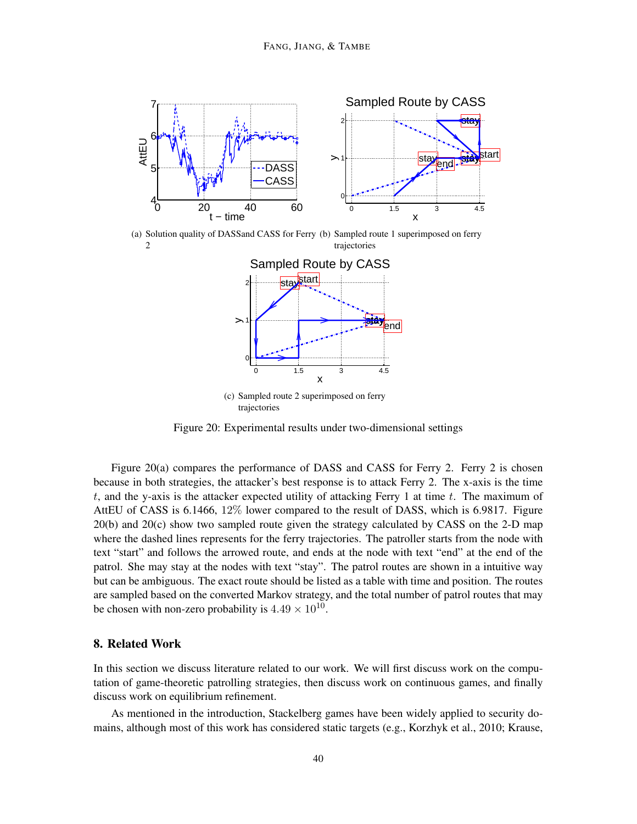

(a) Solution quality of DASSand CASS for Ferry (b) Sampled route 1 superimposed on ferry 2 trajectories



(c) Sampled route 2 superimposed on ferry trajectories

Figure 20: Experimental results under two-dimensional settings

Figure 20(a) compares the performance of DASS and CASS for Ferry 2. Ferry 2 is chosen because in both strategies, the attacker's best response is to attack Ferry 2. The x-axis is the time t, and the y-axis is the attacker expected utility of attacking Ferry 1 at time  $t$ . The maximum of AttEU of CASS is 6.1466, 12% lower compared to the result of DASS, which is 6.9817. Figure 20(b) and 20(c) show two sampled route given the strategy calculated by CASS on the 2-D map where the dashed lines represents for the ferry trajectories. The patroller starts from the node with text "start" and follows the arrowed route, and ends at the node with text "end" at the end of the patrol. She may stay at the nodes with text "stay". The patrol routes are shown in a intuitive way but can be ambiguous. The exact route should be listed as a table with time and position. The routes are sampled based on the converted Markov strategy, and the total number of patrol routes that may be chosen with non-zero probability is  $4.49 \times 10^{10}$ .

# 8. Related Work

In this section we discuss literature related to our work. We will first discuss work on the computation of game-theoretic patrolling strategies, then discuss work on continuous games, and finally discuss work on equilibrium refinement.

As mentioned in the introduction, Stackelberg games have been widely applied to security domains, although most of this work has considered static targets (e.g., Korzhyk et al., 2010; Krause,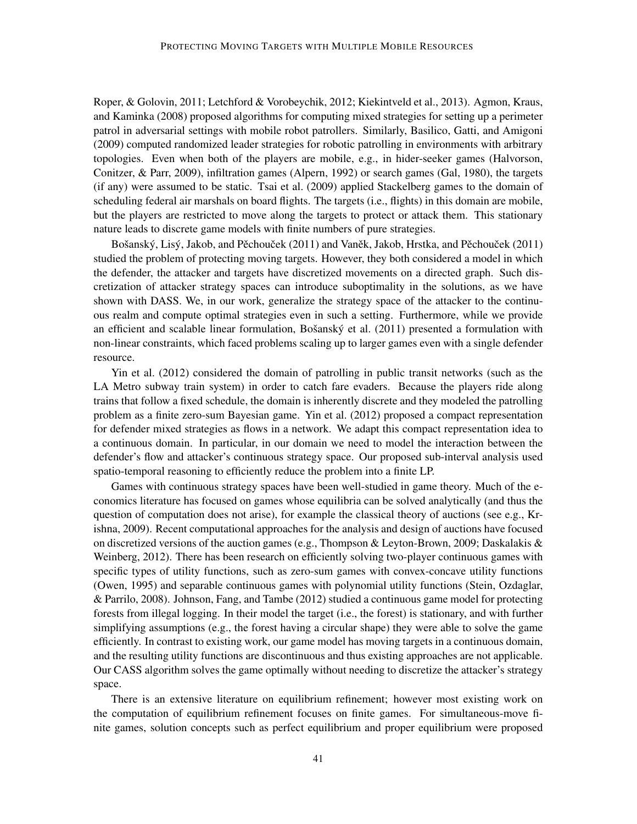Roper, & Golovin, 2011; Letchford & Vorobeychik, 2012; Kiekintveld et al., 2013). Agmon, Kraus, and Kaminka (2008) proposed algorithms for computing mixed strategies for setting up a perimeter patrol in adversarial settings with mobile robot patrollers. Similarly, Basilico, Gatti, and Amigoni (2009) computed randomized leader strategies for robotic patrolling in environments with arbitrary topologies. Even when both of the players are mobile, e.g., in hider-seeker games (Halvorson, Conitzer, & Parr, 2009), infiltration games (Alpern, 1992) or search games (Gal, 1980), the targets (if any) were assumed to be static. Tsai et al. (2009) applied Stackelberg games to the domain of scheduling federal air marshals on board flights. The targets (i.e., flights) in this domain are mobile, but the players are restricted to move along the targets to protect or attack them. This stationary nature leads to discrete game models with finite numbers of pure strategies.

Bošanský, Lisý, Jakob, and Pěchouček (2011) and Vaněk, Jakob, Hrstka, and Pěchouček (2011) studied the problem of protecting moving targets. However, they both considered a model in which the defender, the attacker and targets have discretized movements on a directed graph. Such discretization of attacker strategy spaces can introduce suboptimality in the solutions, as we have shown with DASS. We, in our work, generalize the strategy space of the attacker to the continuous realm and compute optimal strategies even in such a setting. Furthermore, while we provide an efficient and scalable linear formulation, Bošanský et al.  $(2011)$  presented a formulation with non-linear constraints, which faced problems scaling up to larger games even with a single defender resource.

Yin et al. (2012) considered the domain of patrolling in public transit networks (such as the LA Metro subway train system) in order to catch fare evaders. Because the players ride along trains that follow a fixed schedule, the domain is inherently discrete and they modeled the patrolling problem as a finite zero-sum Bayesian game. Yin et al. (2012) proposed a compact representation for defender mixed strategies as flows in a network. We adapt this compact representation idea to a continuous domain. In particular, in our domain we need to model the interaction between the defender's flow and attacker's continuous strategy space. Our proposed sub-interval analysis used spatio-temporal reasoning to efficiently reduce the problem into a finite LP.

Games with continuous strategy spaces have been well-studied in game theory. Much of the economics literature has focused on games whose equilibria can be solved analytically (and thus the question of computation does not arise), for example the classical theory of auctions (see e.g., Krishna, 2009). Recent computational approaches for the analysis and design of auctions have focused on discretized versions of the auction games (e.g., Thompson & Leyton-Brown, 2009; Daskalakis & Weinberg, 2012). There has been research on efficiently solving two-player continuous games with specific types of utility functions, such as zero-sum games with convex-concave utility functions (Owen, 1995) and separable continuous games with polynomial utility functions (Stein, Ozdaglar, & Parrilo, 2008). Johnson, Fang, and Tambe (2012) studied a continuous game model for protecting forests from illegal logging. In their model the target (i.e., the forest) is stationary, and with further simplifying assumptions (e.g., the forest having a circular shape) they were able to solve the game efficiently. In contrast to existing work, our game model has moving targets in a continuous domain, and the resulting utility functions are discontinuous and thus existing approaches are not applicable. Our CASS algorithm solves the game optimally without needing to discretize the attacker's strategy space.

There is an extensive literature on equilibrium refinement; however most existing work on the computation of equilibrium refinement focuses on finite games. For simultaneous-move finite games, solution concepts such as perfect equilibrium and proper equilibrium were proposed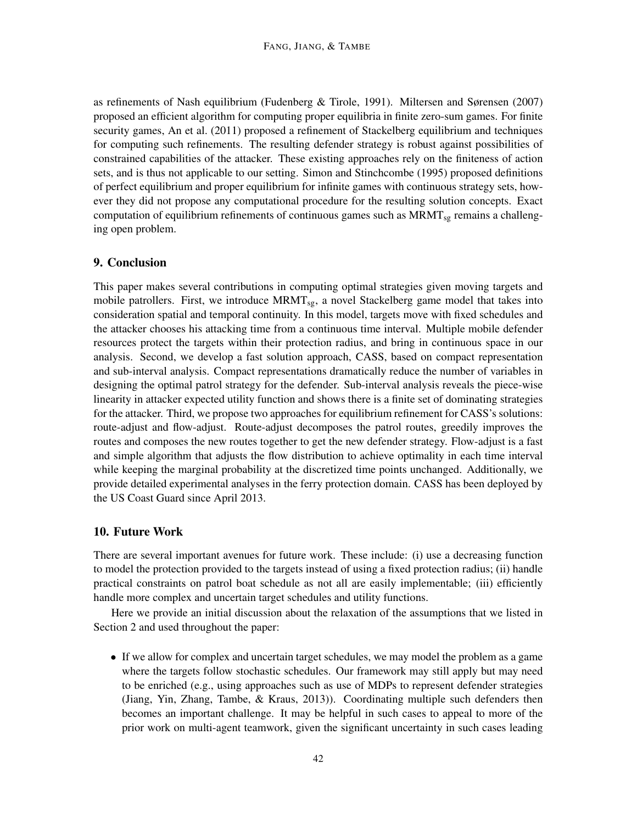as refinements of Nash equilibrium (Fudenberg & Tirole, 1991). Miltersen and Sørensen (2007) proposed an efficient algorithm for computing proper equilibria in finite zero-sum games. For finite security games, An et al. (2011) proposed a refinement of Stackelberg equilibrium and techniques for computing such refinements. The resulting defender strategy is robust against possibilities of constrained capabilities of the attacker. These existing approaches rely on the finiteness of action sets, and is thus not applicable to our setting. Simon and Stinchcombe (1995) proposed definitions of perfect equilibrium and proper equilibrium for infinite games with continuous strategy sets, however they did not propose any computational procedure for the resulting solution concepts. Exact computation of equilibrium refinements of continuous games such as  $MRMT_{sg}$  remains a challenging open problem.

# 9. Conclusion

This paper makes several contributions in computing optimal strategies given moving targets and mobile patrollers. First, we introduce MRMT<sub>sg</sub>, a novel Stackelberg game model that takes into consideration spatial and temporal continuity. In this model, targets move with fixed schedules and the attacker chooses his attacking time from a continuous time interval. Multiple mobile defender resources protect the targets within their protection radius, and bring in continuous space in our analysis. Second, we develop a fast solution approach, CASS, based on compact representation and sub-interval analysis. Compact representations dramatically reduce the number of variables in designing the optimal patrol strategy for the defender. Sub-interval analysis reveals the piece-wise linearity in attacker expected utility function and shows there is a finite set of dominating strategies for the attacker. Third, we propose two approaches for equilibrium refinement for CASS's solutions: route-adjust and flow-adjust. Route-adjust decomposes the patrol routes, greedily improves the routes and composes the new routes together to get the new defender strategy. Flow-adjust is a fast and simple algorithm that adjusts the flow distribution to achieve optimality in each time interval while keeping the marginal probability at the discretized time points unchanged. Additionally, we provide detailed experimental analyses in the ferry protection domain. CASS has been deployed by the US Coast Guard since April 2013.

# 10. Future Work

There are several important avenues for future work. These include: (i) use a decreasing function to model the protection provided to the targets instead of using a fixed protection radius; (ii) handle practical constraints on patrol boat schedule as not all are easily implementable; (iii) efficiently handle more complex and uncertain target schedules and utility functions.

Here we provide an initial discussion about the relaxation of the assumptions that we listed in Section 2 and used throughout the paper:

• If we allow for complex and uncertain target schedules, we may model the problem as a game where the targets follow stochastic schedules. Our framework may still apply but may need to be enriched (e.g., using approaches such as use of MDPs to represent defender strategies (Jiang, Yin, Zhang, Tambe, & Kraus, 2013)). Coordinating multiple such defenders then becomes an important challenge. It may be helpful in such cases to appeal to more of the prior work on multi-agent teamwork, given the significant uncertainty in such cases leading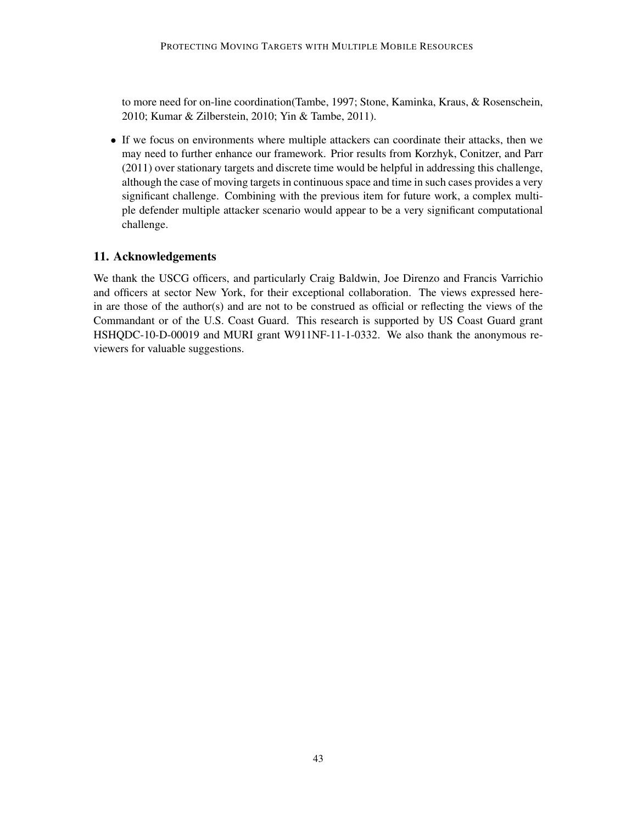to more need for on-line coordination(Tambe, 1997; Stone, Kaminka, Kraus, & Rosenschein, 2010; Kumar & Zilberstein, 2010; Yin & Tambe, 2011).

• If we focus on environments where multiple attackers can coordinate their attacks, then we may need to further enhance our framework. Prior results from Korzhyk, Conitzer, and Parr (2011) over stationary targets and discrete time would be helpful in addressing this challenge, although the case of moving targets in continuous space and time in such cases provides a very significant challenge. Combining with the previous item for future work, a complex multiple defender multiple attacker scenario would appear to be a very significant computational challenge.

# 11. Acknowledgements

We thank the USCG officers, and particularly Craig Baldwin, Joe Direnzo and Francis Varrichio and officers at sector New York, for their exceptional collaboration. The views expressed herein are those of the author(s) and are not to be construed as official or reflecting the views of the Commandant or of the U.S. Coast Guard. This research is supported by US Coast Guard grant HSHQDC-10-D-00019 and MURI grant W911NF-11-1-0332. We also thank the anonymous reviewers for valuable suggestions.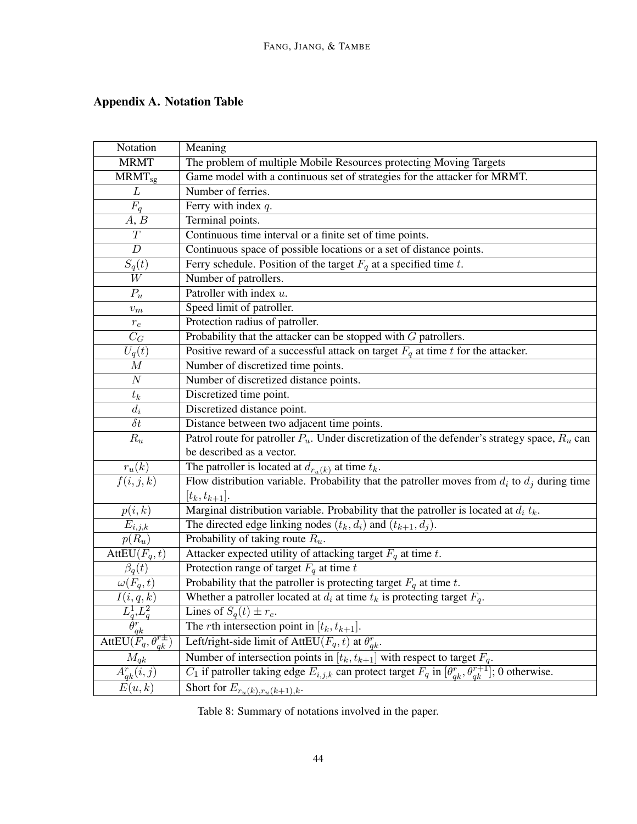# Appendix A. Notation Table

| Notation                                     | Meaning                                                                                                                    |
|----------------------------------------------|----------------------------------------------------------------------------------------------------------------------------|
| <b>MRMT</b>                                  | The problem of multiple Mobile Resources protecting Moving Targets                                                         |
| $M\text{RMT}_{\text{sg}}$                    | Game model with a continuous set of strategies for the attacker for MRMT.                                                  |
| L                                            | Number of ferries.                                                                                                         |
| $F_q$                                        | Ferry with index $q$ .                                                                                                     |
| A, B                                         | Terminal points.                                                                                                           |
| T                                            | Continuous time interval or a finite set of time points.                                                                   |
| $\boldsymbol{D}$                             | Continuous space of possible locations or a set of distance points.                                                        |
| $S_q(t)$                                     | Ferry schedule. Position of the target $F_q$ at a specified time t.                                                        |
| $\ensuremath{W}$                             | Number of patrollers.                                                                                                      |
| $P_u$                                        | Patroller with index u.                                                                                                    |
| $v_m$                                        | Speed limit of patroller.                                                                                                  |
| $r_{e}$                                      | Protection radius of patroller.                                                                                            |
| $\mathcal{C}_G$                              | Probability that the attacker can be stopped with $G$ patrollers.                                                          |
| $U_q(t)$                                     | Positive reward of a successful attack on target $F_q$ at time t for the attacker.                                         |
| $\cal M$                                     | Number of discretized time points.                                                                                         |
| $\cal N$                                     | Number of discretized distance points.                                                                                     |
| $t_k$                                        | Discretized time point.                                                                                                    |
| $d_i$                                        | Discretized distance point.                                                                                                |
| $\delta t$                                   | Distance between two adjacent time points.                                                                                 |
| $R_u$                                        | Patrol route for patroller $P_u$ . Under discretization of the defender's strategy space, $R_u$ can                        |
|                                              | be described as a vector.                                                                                                  |
| $r_u(k)$                                     | The patroller is located at $d_{r_u(k)}$ at time $t_k$ .                                                                   |
| $\overline{f(i,j,k)}$                        | Flow distribution variable. Probability that the patroller moves from $d_i$ to $d_j$ during time                           |
|                                              | $[t_k, t_{k+1}].$                                                                                                          |
| p(i,k)                                       | Marginal distribution variable. Probability that the patroller is located at $d_i t_k$ .                                   |
| $E_{i,j,k}$                                  | The directed edge linking nodes $(t_k, d_i)$ and $(t_{k+1}, d_j)$ .                                                        |
| $p(R_u)$                                     | Probability of taking route $R_u$ .                                                                                        |
| AttEU $(F_q, t)$                             | Attacker expected utility of attacking target $F_q$ at time t.                                                             |
| $\beta_q(t)$                                 | Protection range of target $F_q$ at time t                                                                                 |
| $\omega(F_q,t)$                              | Probability that the patroller is protecting target $F_q$ at time t.                                                       |
| I(i,q,k)                                     | Whether a patroller located at $d_i$ at time $t_k$ is protecting target $F_q$ .                                            |
| $L^1_q, L^2_q$                               | Lines of $S_q(t) \pm r_e$ .                                                                                                |
| $\bar{\theta^\textit{r}}_{\frac{q k}{\tau}}$ | The <i>r</i> th intersection point in $[t_k, t_{k+1}]$ .                                                                   |
| AttEU $(F_q, \theta_{qk}^{r\pm})$            | Left/right-side limit of AttEU( $\overline{F}_q$ , t) at $\theta_{qk}^r$ .                                                 |
| $M_{qk}$                                     | Number of intersection points in $[t_k, t_{k+1}]$ with respect to target $F_a$ .                                           |
| $A_{qk}^r(i,j)$                              | $C_1$ if patroller taking edge $E_{i,j,k}$ can protect target $F_q$ in $[\theta_{qk}^r, \theta_{qk}^{r+1}]$ ; 0 otherwise. |
| E(u,k)                                       | Short for $E_{r_u(k),r_u(k+1),k}$ .                                                                                        |

Table 8: Summary of notations involved in the paper.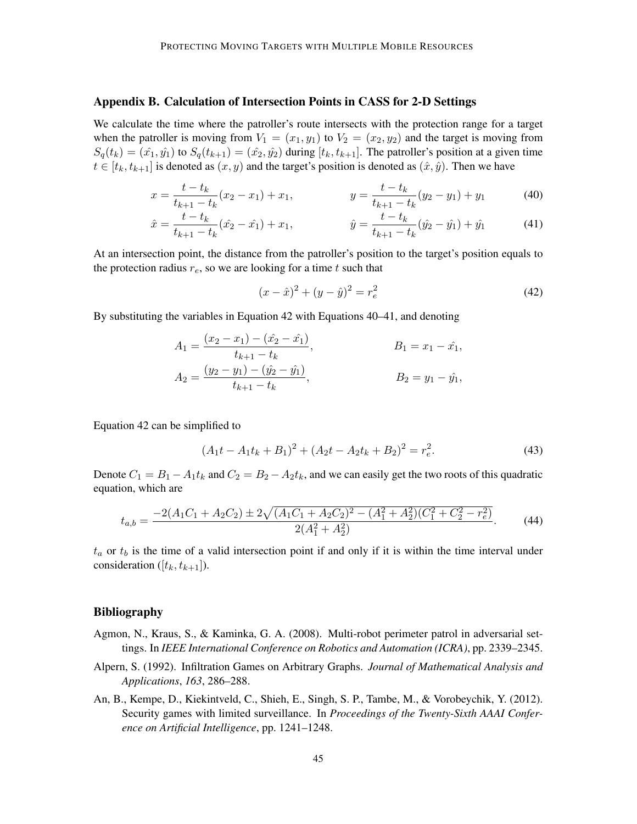### Appendix B. Calculation of Intersection Points in CASS for 2-D Settings

We calculate the time where the patroller's route intersects with the protection range for a target when the patroller is moving from  $V_1 = (x_1, y_1)$  to  $V_2 = (x_2, y_2)$  and the target is moving from  $S_q(t_k) = (\hat{x}_1, \hat{y}_1)$  to  $S_q(t_{k+1}) = (\hat{x}_2, \hat{y}_2)$  during  $[t_k, t_{k+1}]$ . The patroller's position at a given time  $t \in [t_k, t_{k+1}]$  is denoted as  $(x, y)$  and the target's position is denoted as  $(\hat{x}, \hat{y})$ . Then we have

$$
x = \frac{t - t_k}{t_{k+1} - t_k}(x_2 - x_1) + x_1, \qquad y = \frac{t - t_k}{t_{k+1} - t_k}(y_2 - y_1) + y_1 \tag{40}
$$

$$
\hat{x} = \frac{t - t_k}{t_{k+1} - t_k} (\hat{x}_2 - \hat{x}_1) + x_1, \qquad \hat{y} = \frac{t - t_k}{t_{k+1} - t_k} (\hat{y}_2 - \hat{y}_1) + \hat{y}_1 \tag{41}
$$

At an intersection point, the distance from the patroller's position to the target's position equals to the protection radius  $r_e$ , so we are looking for a time t such that

$$
(x - \hat{x})^2 + (y - \hat{y})^2 = r_e^2
$$
\n(42)

By substituting the variables in Equation 42 with Equations 40–41, and denoting

$$
A_1 = \frac{(x_2 - x_1) - (\hat{x_2} - \hat{x_1})}{t_{k+1} - t_k},
$$
  
\n
$$
B_1 = x_1 - \hat{x_1},
$$
  
\n
$$
B_2 = y_1 - \hat{y_1},
$$
  
\n
$$
B_3 = y_1 - \hat{y_1},
$$

Equation 42 can be simplified to

$$
(A_1t - A_1t_k + B_1)^2 + (A_2t - A_2t_k + B_2)^2 = r_e^2.
$$
 (43)

Denote  $C_1 = B_1 - A_1t_k$  and  $C_2 = B_2 - A_2t_k$ , and we can easily get the two roots of this quadratic equation, which are

$$
t_{a,b} = \frac{-2(A_1C_1 + A_2C_2) \pm 2\sqrt{(A_1C_1 + A_2C_2)^2 - (A_1^2 + A_2^2)(C_1^2 + C_2^2 - r_e^2)}}{2(A_1^2 + A_2^2)}.
$$
 (44)

 $t_a$  or  $t_b$  is the time of a valid intersection point if and only if it is within the time interval under consideration ( $[t_k, t_{k+1}]$ ).

#### Bibliography

- Agmon, N., Kraus, S., & Kaminka, G. A. (2008). Multi-robot perimeter patrol in adversarial settings. In *IEEE International Conference on Robotics and Automation (ICRA)*, pp. 2339–2345.
- Alpern, S. (1992). Infiltration Games on Arbitrary Graphs. *Journal of Mathematical Analysis and Applications*, *163*, 286–288.
- An, B., Kempe, D., Kiekintveld, C., Shieh, E., Singh, S. P., Tambe, M., & Vorobeychik, Y. (2012). Security games with limited surveillance. In *Proceedings of the Twenty-Sixth AAAI Conference on Artificial Intelligence*, pp. 1241–1248.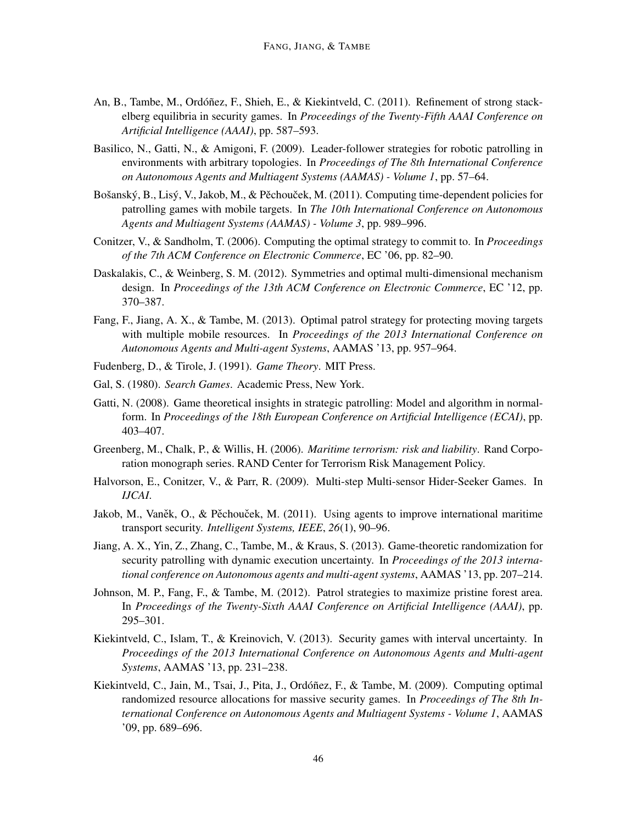- An, B., Tambe, M., Ordóñez, F., Shieh, E., & Kiekintveld, C. (2011). Refinement of strong stackelberg equilibria in security games. In *Proceedings of the Twenty-Fifth AAAI Conference on Artificial Intelligence (AAAI)*, pp. 587–593.
- Basilico, N., Gatti, N., & Amigoni, F. (2009). Leader-follower strategies for robotic patrolling in environments with arbitrary topologies. In *Proceedings of The 8th International Conference on Autonomous Agents and Multiagent Systems (AAMAS) - Volume 1*, pp. 57–64.
- Bošanský, B., Lisý, V., Jakob, M., & Pěchouček, M. (2011). Computing time-dependent policies for patrolling games with mobile targets. In *The 10th International Conference on Autonomous Agents and Multiagent Systems (AAMAS) - Volume 3*, pp. 989–996.
- Conitzer, V., & Sandholm, T. (2006). Computing the optimal strategy to commit to. In *Proceedings of the 7th ACM Conference on Electronic Commerce*, EC '06, pp. 82–90.
- Daskalakis, C., & Weinberg, S. M. (2012). Symmetries and optimal multi-dimensional mechanism design. In *Proceedings of the 13th ACM Conference on Electronic Commerce*, EC '12, pp. 370–387.
- Fang, F., Jiang, A. X., & Tambe, M. (2013). Optimal patrol strategy for protecting moving targets with multiple mobile resources. In *Proceedings of the 2013 International Conference on Autonomous Agents and Multi-agent Systems*, AAMAS '13, pp. 957–964.
- Fudenberg, D., & Tirole, J. (1991). *Game Theory*. MIT Press.
- Gal, S. (1980). *Search Games*. Academic Press, New York.
- Gatti, N. (2008). Game theoretical insights in strategic patrolling: Model and algorithm in normalform. In *Proceedings of the 18th European Conference on Artificial Intelligence (ECAI)*, pp. 403–407.
- Greenberg, M., Chalk, P., & Willis, H. (2006). *Maritime terrorism: risk and liability*. Rand Corporation monograph series. RAND Center for Terrorism Risk Management Policy.
- Halvorson, E., Conitzer, V., & Parr, R. (2009). Multi-step Multi-sensor Hider-Seeker Games. In *IJCAI*.
- Jakob, M., Vaněk, O., & Pěchouček, M. (2011). Using agents to improve international maritime transport security. *Intelligent Systems, IEEE*, *26*(1), 90–96.
- Jiang, A. X., Yin, Z., Zhang, C., Tambe, M., & Kraus, S. (2013). Game-theoretic randomization for security patrolling with dynamic execution uncertainty. In *Proceedings of the 2013 international conference on Autonomous agents and multi-agent systems*, AAMAS '13, pp. 207–214.
- Johnson, M. P., Fang, F., & Tambe, M. (2012). Patrol strategies to maximize pristine forest area. In *Proceedings of the Twenty-Sixth AAAI Conference on Artificial Intelligence (AAAI)*, pp. 295–301.
- Kiekintveld, C., Islam, T., & Kreinovich, V. (2013). Security games with interval uncertainty. In *Proceedings of the 2013 International Conference on Autonomous Agents and Multi-agent Systems*, AAMAS '13, pp. 231–238.
- Kiekintveld, C., Jain, M., Tsai, J., Pita, J., Ordóñez, F., & Tambe, M. (2009). Computing optimal randomized resource allocations for massive security games. In *Proceedings of The 8th International Conference on Autonomous Agents and Multiagent Systems - Volume 1*, AAMAS '09, pp. 689–696.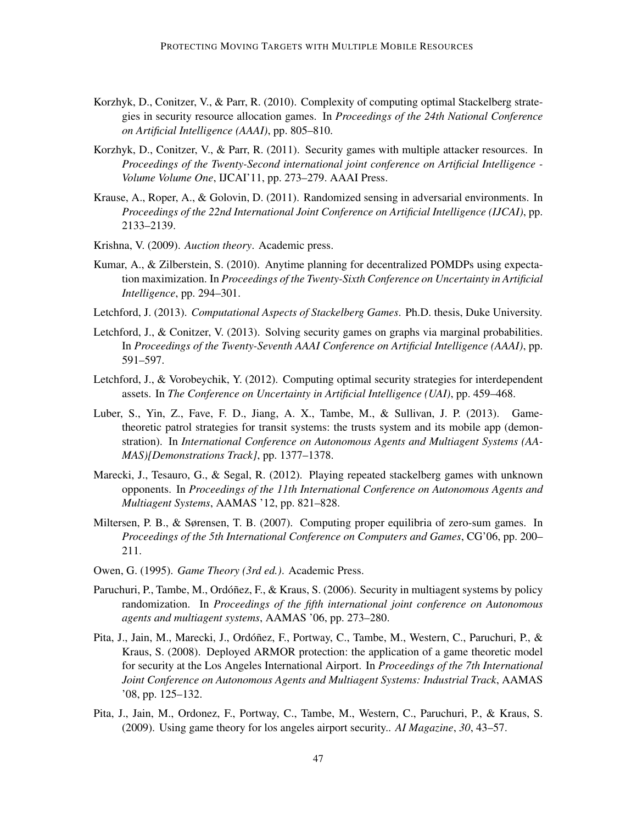- Korzhyk, D., Conitzer, V., & Parr, R. (2010). Complexity of computing optimal Stackelberg strategies in security resource allocation games. In *Proceedings of the 24th National Conference on Artificial Intelligence (AAAI)*, pp. 805–810.
- Korzhyk, D., Conitzer, V., & Parr, R. (2011). Security games with multiple attacker resources. In *Proceedings of the Twenty-Second international joint conference on Artificial Intelligence - Volume Volume One*, IJCAI'11, pp. 273–279. AAAI Press.
- Krause, A., Roper, A., & Golovin, D. (2011). Randomized sensing in adversarial environments. In *Proceedings of the 22nd International Joint Conference on Artificial Intelligence (IJCAI)*, pp. 2133–2139.
- Krishna, V. (2009). *Auction theory*. Academic press.
- Kumar, A., & Zilberstein, S. (2010). Anytime planning for decentralized POMDPs using expectation maximization. In *Proceedings of the Twenty-Sixth Conference on Uncertainty in Artificial Intelligence*, pp. 294–301.
- Letchford, J. (2013). *Computational Aspects of Stackelberg Games*. Ph.D. thesis, Duke University.
- Letchford, J., & Conitzer, V. (2013). Solving security games on graphs via marginal probabilities. In *Proceedings of the Twenty-Seventh AAAI Conference on Artificial Intelligence (AAAI)*, pp. 591–597.
- Letchford, J., & Vorobeychik, Y. (2012). Computing optimal security strategies for interdependent assets. In *The Conference on Uncertainty in Artificial Intelligence (UAI)*, pp. 459–468.
- Luber, S., Yin, Z., Fave, F. D., Jiang, A. X., Tambe, M., & Sullivan, J. P. (2013). Gametheoretic patrol strategies for transit systems: the trusts system and its mobile app (demonstration). In *International Conference on Autonomous Agents and Multiagent Systems (AA-MAS)[Demonstrations Track]*, pp. 1377–1378.
- Marecki, J., Tesauro, G., & Segal, R. (2012). Playing repeated stackelberg games with unknown opponents. In *Proceedings of the 11th International Conference on Autonomous Agents and Multiagent Systems*, AAMAS '12, pp. 821–828.
- Miltersen, P. B., & Sørensen, T. B. (2007). Computing proper equilibria of zero-sum games. In *Proceedings of the 5th International Conference on Computers and Games*, CG'06, pp. 200– 211.
- Owen, G. (1995). *Game Theory (3rd ed.)*. Academic Press.
- Paruchuri, P., Tambe, M., Ordóñez, F., & Kraus, S. (2006). Security in multiagent systems by policy randomization. In *Proceedings of the fifth international joint conference on Autonomous agents and multiagent systems*, AAMAS '06, pp. 273–280.
- Pita, J., Jain, M., Marecki, J., Ordóñez, F., Portway, C., Tambe, M., Western, C., Paruchuri, P., & Kraus, S. (2008). Deployed ARMOR protection: the application of a game theoretic model for security at the Los Angeles International Airport. In *Proceedings of the 7th International Joint Conference on Autonomous Agents and Multiagent Systems: Industrial Track*, AAMAS '08, pp. 125–132.
- Pita, J., Jain, M., Ordonez, F., Portway, C., Tambe, M., Western, C., Paruchuri, P., & Kraus, S. (2009). Using game theory for los angeles airport security.. *AI Magazine*, *30*, 43–57.